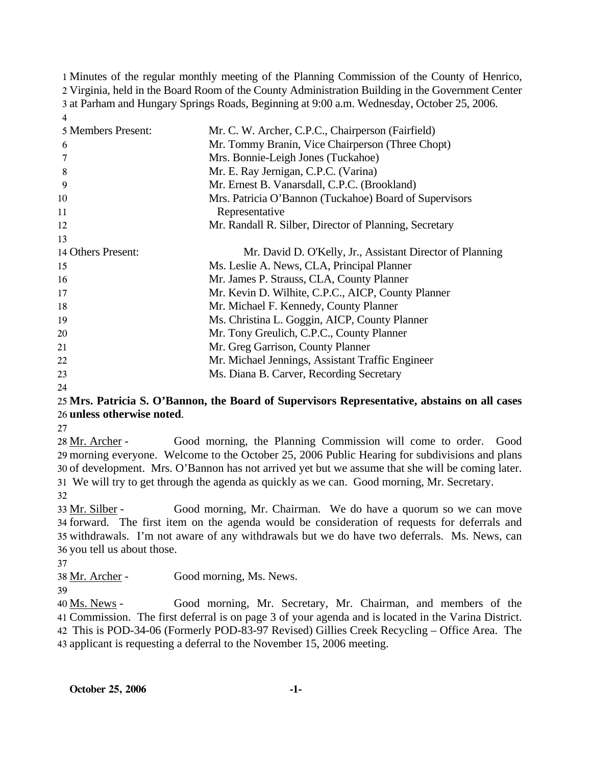Minutes of the regular monthly meeting of the Planning Commission of the County of Henrico, Virginia, held in the Board Room of the County Administration Building in the Government Center at Parham and Hungary Springs Roads, Beginning at 9:00 a.m. Wednesday, October 25, 2006. 4

| Mr. C. W. Archer, C.P.C., Chairperson (Fairfield)         |
|-----------------------------------------------------------|
| Mr. Tommy Branin, Vice Chairperson (Three Chopt)          |
| Mrs. Bonnie-Leigh Jones (Tuckahoe)                        |
| Mr. E. Ray Jernigan, C.P.C. (Varina)                      |
| Mr. Ernest B. Vanarsdall, C.P.C. (Brookland)              |
| Mrs. Patricia O'Bannon (Tuckahoe) Board of Supervisors    |
| Representative                                            |
| Mr. Randall R. Silber, Director of Planning, Secretary    |
|                                                           |
| Mr. David D. O'Kelly, Jr., Assistant Director of Planning |
| Ms. Leslie A. News, CLA, Principal Planner                |
| Mr. James P. Strauss, CLA, County Planner                 |
| Mr. Kevin D. Wilhite, C.P.C., AICP, County Planner        |
| Mr. Michael F. Kennedy, County Planner                    |
| Ms. Christina L. Goggin, AICP, County Planner             |
| Mr. Tony Greulich, C.P.C., County Planner                 |
| Mr. Greg Garrison, County Planner                         |
| Mr. Michael Jennings, Assistant Traffic Engineer          |
| Ms. Diana B. Carver, Recording Secretary                  |
|                                                           |

24

### 25 **Mrs. Patricia S. O'Bannon, the Board of Supervisors Representative, abstains on all cases**  26 **unless otherwise noted**.

27

Good morning, the Planning Commission will come to order. Good morning everyone. Welcome to the October 25, 2006 Public Hearing for subdivisions and plans 29 30 of development. Mrs. O'Bannon has not arrived yet but we assume that she will be coming later. We will try to get through the agenda as quickly as we can. Good morning, Mr. Secretary. 31 28 Mr. Archer -

32

Good morning, Mr. Chairman. We do have a quorum so we can move 34 forward. The first item on the agenda would be consideration of requests for deferrals and 35 withdrawals. I'm not aware of any withdrawals but we do have two deferrals. Ms. News, can 36 you tell us about those. 33 Mr. Silber -

37

38 Mr. Archer - Good morning, Ms. News.

39

Good morning, Mr. Secretary, Mr. Chairman, and members of the Commission. The first deferral is on page 3 of your agenda and is located in the Varina District. 41 This is POD-34-06 (Formerly POD-83-97 Revised) Gillies Creek Recycling – Office Area. The 42 applicant is requesting a deferral to the November 15, 2006 meeting. 43 40 Ms. News -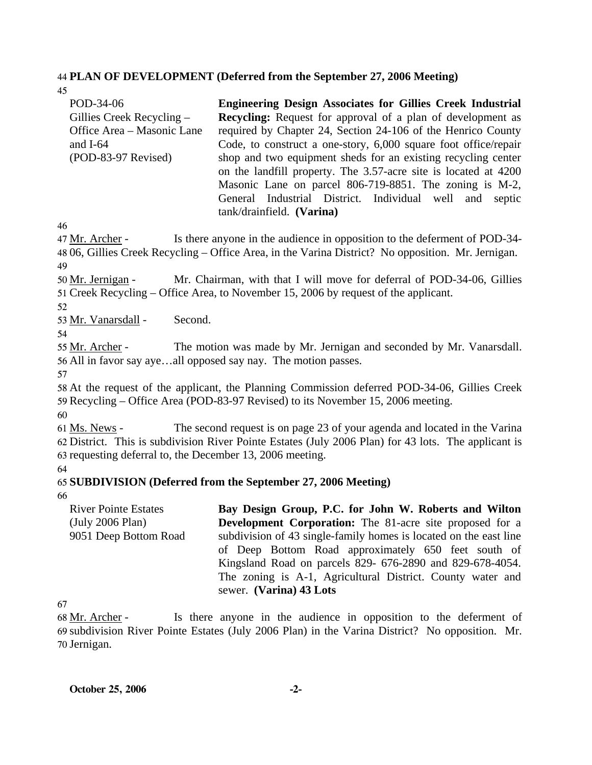#### 44 **PLAN OF DEVELOPMENT (Deferred from the September 27, 2006 Meeting)**

45

| POD-34-06<br>Gillies Creek Recycling $-$<br>Office Area - Masonic Lane<br>and $I-64$<br>$(POD-83-97$ Revised) | <b>Engineering Design Associates for Gillies Creek Industrial</b><br><b>Recycling:</b> Request for approval of a plan of development as<br>required by Chapter 24, Section 24-106 of the Henrico County<br>Code, to construct a one-story, 6,000 square foot office/repair<br>shop and two equipment sheds for an existing recycling center<br>on the landfill property. The 3.57-acre site is located at 4200<br>Masonic Lane on parcel 806-719-8851. The zoning is M-2,<br>General Industrial District. Individual well and septic |
|---------------------------------------------------------------------------------------------------------------|--------------------------------------------------------------------------------------------------------------------------------------------------------------------------------------------------------------------------------------------------------------------------------------------------------------------------------------------------------------------------------------------------------------------------------------------------------------------------------------------------------------------------------------|
|                                                                                                               | tank/drainfield. (Varina)                                                                                                                                                                                                                                                                                                                                                                                                                                                                                                            |

46

Is there anyone in the audience in opposition to the deferment of POD-34-06, Gillies Creek Recycling – Office Area, in the Varina District? No opposition. Mr. Jernigan. 48 47 Mr. Archer -49

Mr. Chairman, with that I will move for deferral of POD-34-06, Gillies 51 Creek Recycling – Office Area, to November 15, 2006 by request of the applicant. 50 Mr. Jernigan -

52

53 Mr. Vanarsdall - Second.

54

The motion was made by Mr. Jernigan and seconded by Mr. Vanarsdall. 56 All in favor say aye...all opposed say nay. The motion passes. 55 Mr. Archer -

57

58 At the request of the applicant, the Planning Commission deferred POD-34-06, Gillies Creek 59 Recycling – Office Area (POD-83-97 Revised) to its November 15, 2006 meeting.

60

The second request is on page 23 of your agenda and located in the Varina 62 District. This is subdivision River Pointe Estates (July 2006 Plan) for 43 lots. The applicant is 63 requesting deferral to, the December 13, 2006 meeting. 61 Ms. News -

64

# 65 **SUBDIVISION (Deferred from the September 27, 2006 Meeting)**

66

River Pointe Estates (July 2006 Plan) 9051 Deep Bottom Road **Bay Design Group, P.C. for John W. Roberts and Wilton Development Corporation:** The 81-acre site proposed for a subdivision of 43 single-family homes is located on the east line of Deep Bottom Road approximately 650 feet south of Kingsland Road on parcels 829- 676-2890 and 829-678-4054. The zoning is A-1, Agricultural District. County water and sewer. **(Varina) 43 Lots** 

67

Is there anyone in the audience in opposition to the deferment of 69 subdivision River Pointe Estates (July 2006 Plan) in the Varina District? No opposition. Mr. 70 Jernigan. 68 Mr. Archer -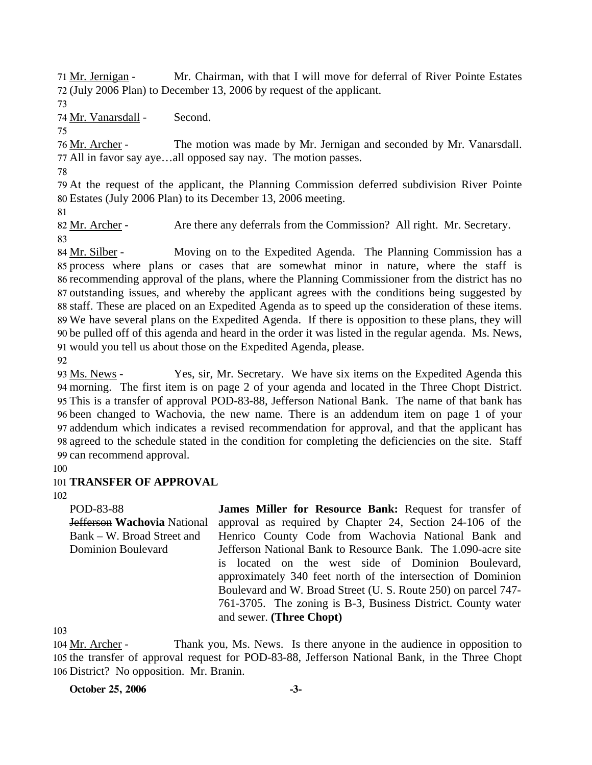Mr. Chairman, with that I will move for deferral of River Pointe Estates 72 (July 2006 Plan) to December 13, 2006 by request of the applicant. 71 Mr. Jernigan -

73

74 Mr. Vanarsdall - Second.

75

The motion was made by Mr. Jernigan and seconded by Mr. Vanarsdall. 77 All in favor say aye...all opposed say nay. The motion passes. 76 Mr. Archer -

78

79 At the request of the applicant, the Planning Commission deferred subdivision River Pointe 80 Estates (July 2006 Plan) to its December 13, 2006 meeting.

81

82 Mr. Archer - Are there any deferrals from the Commission? All right. Mr. Secretary. 83

Moving on to the Expedited Agenda. The Planning Commission has a 85 process where plans or cases that are somewhat minor in nature, where the staff is 86 recommending approval of the plans, where the Planning Commissioner from the district has no 87 outstanding issues, and whereby the applicant agrees with the conditions being suggested by staff. These are placed on an Expedited Agenda as to speed up the consideration of these items. 88 We have several plans on the Expedited Agenda. If there is opposition to these plans, they will 89 be pulled off of this agenda and heard in the order it was listed in the regular agenda. Ms. News, 90 would you tell us about those on the Expedited Agenda, please. 91 84 Mr. Silber -

92

Yes, sir, Mr. Secretary. We have six items on the Expedited Agenda this morning. The first item is on page 2 of your agenda and located in the Three Chopt District. 94 This is a transfer of approval POD-83-88, Jefferson National Bank. The name of that bank has 95 96 been changed to Wachovia, the new name. There is an addendum item on page 1 of your 97 addendum which indicates a revised recommendation for approval, and that the applicant has 98 agreed to the schedule stated in the condition for completing the deficiencies on the site. Staff 99 can recommend approval. 93 Ms. News -

100

# 101 **TRANSFER OF APPROVAL**

102

POD-83-88 Jefferson **Wachovia** National Bank – W. Broad Street and Dominion Boulevard

**James Miller for Resource Bank:** Request for transfer of approval as required by Chapter 24, Section 24-106 of the Henrico County Code from Wachovia National Bank and Jefferson National Bank to Resource Bank. The 1.090-acre site is located on the west side of Dominion Boulevard, approximately 340 feet north of the intersection of Dominion Boulevard and W. Broad Street (U. S. Route 250) on parcel 747- 761-3705. The zoning is B-3, Business District. County water and sewer. **(Three Chopt)** 

103

Thank you, Ms. News. Is there anyone in the audience in opposition to 105 the transfer of approval request for POD-83-88, Jefferson National Bank, in the Three Chopt 106 District? No opposition. Mr. Branin. 104 Mr. Archer -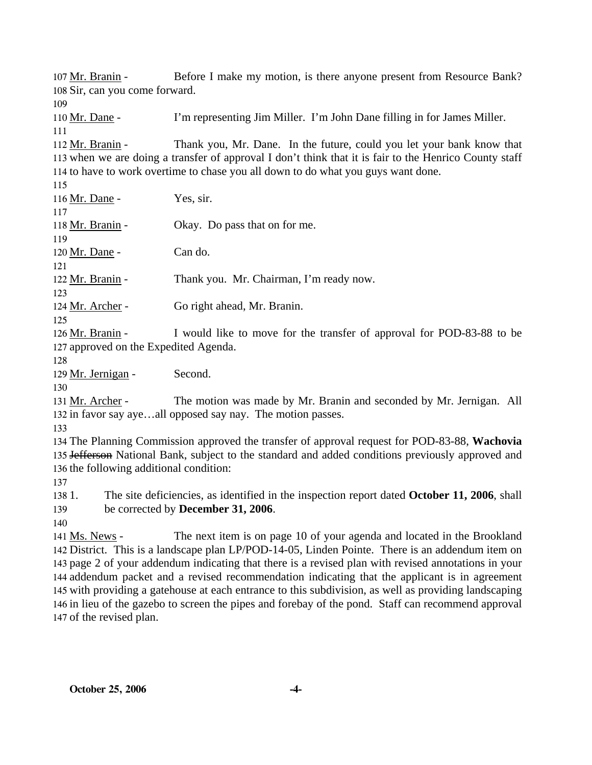Before I make my motion, is there anyone present from Resource Bank? 108 Sir, can you come forward. 107 Mr. Branin -109 110 Mr. Dane - I'm representing Jim Miller. I'm John Dane filling in for James Miller. 111 Thank you, Mr. Dane. In the future, could you let your bank know that 113 when we are doing a transfer of approval I don't think that it is fair to the Henrico County staff 114 to have to work overtime to chase you all down to do what you guys want done. 112 Mr. Branin -115 116 Mr. Dane - Yes, sir. 117 118 Mr. Branin - Okay. Do pass that on for me. 119 120 Mr. Dane - Can do. 121 122 Mr. Branin - Thank you. Mr. Chairman, I'm ready now. 123 124 Mr. Archer - Go right ahead, Mr. Branin. 125 I would like to move for the transfer of approval for POD-83-88 to be 127 approved on the Expedited Agenda. 126 Mr. Branin -128 129 Mr. Jernigan - Second. 130 The motion was made by Mr. Branin and seconded by Mr. Jernigan. All 132 in favor say aye...all opposed say nay. The motion passes. 131 Mr. Archer -133 134 The Planning Commission approved the transfer of approval request for POD-83-88, **Wachovia** 135 Jefferson National Bank, subject to the standard and added conditions previously approved and 136 the following additional condition: 137 138 1. 139 1. The site deficiencies, as identified in the inspection report dated **October 11, 2006**, shall be corrected by **December 31, 2006**.

140

The next item is on page 10 of your agenda and located in the Brookland 142 District. This is a landscape plan LP/POD-14-05, Linden Pointe. There is an addendum item on 143 page 2 of your addendum indicating that there is a revised plan with revised annotations in your 144 addendum packet and a revised recommendation indicating that the applicant is in agreement 145 with providing a gatehouse at each entrance to this subdivision, as well as providing landscaping 146 in lieu of the gazebo to screen the pipes and forebay of the pond. Staff can recommend approval 147 of the revised plan. 141 Ms. News -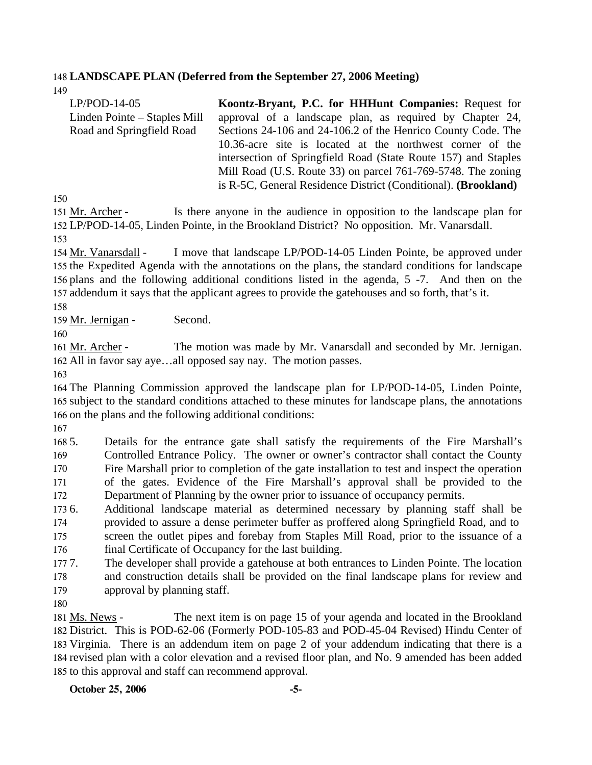### 148 **LANDSCAPE PLAN (Deferred from the September 27, 2006 Meeting)**

149

| $LP/POD-14-05$               | Koontz-Bryant, P.C. for HHHunt Companies: Request for          |
|------------------------------|----------------------------------------------------------------|
| Linden Pointe – Staples Mill | approval of a landscape plan, as required by Chapter 24,       |
| Road and Springfield Road    | Sections 24-106 and 24-106.2 of the Henrico County Code. The   |
|                              | 10.36-acre site is located at the northwest corner of the      |
|                              | intersection of Springfield Road (State Route 157) and Staples |
|                              | Mill Road (U.S. Route 33) on parcel 761-769-5748. The zoning   |
|                              | is R-5C, General Residence District (Conditional). (Brookland) |

150

Is there anyone in the audience in opposition to the landscape plan for LP/POD-14-05, Linden Pointe, in the Brookland District? No opposition. Mr. Vanarsdall. 152 151 Mr. Archer -153

I move that landscape LP/POD-14-05 Linden Pointe, be approved under 155 the Expedited Agenda with the annotations on the plans, the standard conditions for landscape 156 plans and the following additional conditions listed in the agenda, 5 -7. And then on the 157 addendum it says that the applicant agrees to provide the gatehouses and so forth, that's it. 154 Mr. Vanarsdall -

158

159 Mr. Jernigan - Second.

160

The motion was made by Mr. Vanarsdall and seconded by Mr. Jernigan. 162 All in favor say aye...all opposed say nay. The motion passes. 161 Mr. Archer -

163

164 The Planning Commission approved the landscape plan for LP/POD-14-05, Linden Pointe, 165 subject to the standard conditions attached to these minutes for landscape plans, the annotations 166 on the plans and the following additional conditions:

167

168 5. 169 170 171 172 5. Details for the entrance gate shall satisfy the requirements of the Fire Marshall's Controlled Entrance Policy. The owner or owner's contractor shall contact the County Fire Marshall prior to completion of the gate installation to test and inspect the operation of the gates. Evidence of the Fire Marshall's approval shall be provided to the Department of Planning by the owner prior to issuance of occupancy permits.

173 6. 174 175 176 6. Additional landscape material as determined necessary by planning staff shall be provided to assure a dense perimeter buffer as proffered along Springfield Road, and to screen the outlet pipes and forebay from Staples Mill Road, prior to the issuance of a final Certificate of Occupancy for the last building.

177. 178 179 The developer shall provide a gatehouse at both entrances to Linden Pointe. The location and construction details shall be provided on the final landscape plans for review and approval by planning staff.

180

The next item is on page 15 of your agenda and located in the Brookland 182 District. This is POD-62-06 (Formerly POD-105-83 and POD-45-04 Revised) Hindu Center of 183 Virginia. There is an addendum item on page 2 of your addendum indicating that there is a 184 revised plan with a color elevation and a revised floor plan, and No. 9 amended has been added 185 to this approval and staff can recommend approval. 181 Ms. News -

**October 25, 2006 -5-**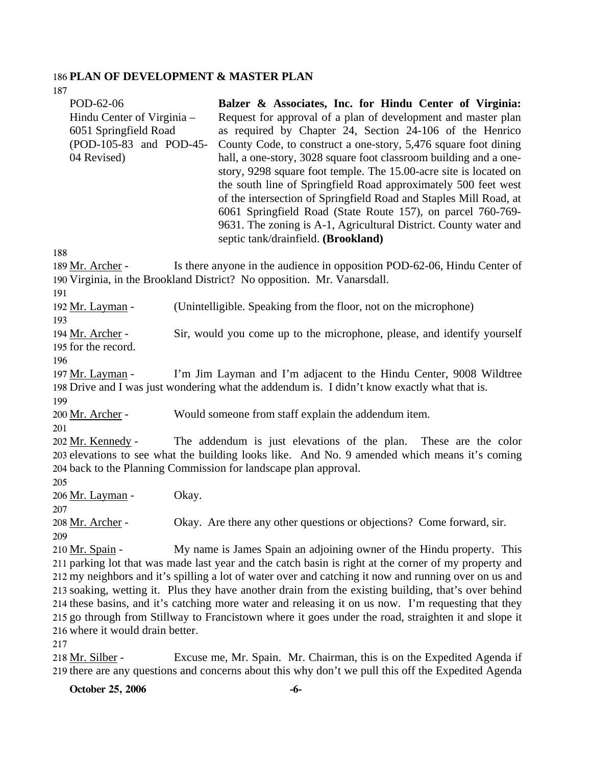#### 186 **PLAN OF DEVELOPMENT & MASTER PLAN**   $107$

| 10/                                                                                                        |                                                                                                                                                                                                                                                                                                                                                                                                                                                                                                                                                                                                                                                                                                                    |
|------------------------------------------------------------------------------------------------------------|--------------------------------------------------------------------------------------------------------------------------------------------------------------------------------------------------------------------------------------------------------------------------------------------------------------------------------------------------------------------------------------------------------------------------------------------------------------------------------------------------------------------------------------------------------------------------------------------------------------------------------------------------------------------------------------------------------------------|
| POD-62-06<br>Hindu Center of Virginia –<br>6051 Springfield Road<br>(POD-105-83 and POD-45-<br>04 Revised) | Balzer & Associates, Inc. for Hindu Center of Virginia:<br>Request for approval of a plan of development and master plan<br>as required by Chapter 24, Section 24-106 of the Henrico<br>County Code, to construct a one-story, 5,476 square foot dining<br>hall, a one-story, 3028 square foot classroom building and a one-<br>story, 9298 square foot temple. The 15.00-acre site is located on<br>the south line of Springfield Road approximately 500 feet west<br>of the intersection of Springfield Road and Staples Mill Road, at<br>6061 Springfield Road (State Route 157), on parcel 760-769-<br>9631. The zoning is A-1, Agricultural District. County water and<br>septic tank/drainfield. (Brookland) |
| 188                                                                                                        |                                                                                                                                                                                                                                                                                                                                                                                                                                                                                                                                                                                                                                                                                                                    |
| 189 Mr. Archer -<br>191                                                                                    | Is there anyone in the audience in opposition POD-62-06, Hindu Center of<br>190 Virginia, in the Brookland District? No opposition. Mr. Vanarsdall.                                                                                                                                                                                                                                                                                                                                                                                                                                                                                                                                                                |
| 192 Mr. Layman -<br>193                                                                                    | (Unintelligible. Speaking from the floor, not on the microphone)                                                                                                                                                                                                                                                                                                                                                                                                                                                                                                                                                                                                                                                   |
| 194 Mr. Archer -<br>195 for the record.<br>196                                                             | Sir, would you come up to the microphone, please, and identify yourself                                                                                                                                                                                                                                                                                                                                                                                                                                                                                                                                                                                                                                            |
| 197 Mr. Layman -                                                                                           | I'm Jim Layman and I'm adjacent to the Hindu Center, 9008 Wildtree<br>198 Drive and I was just wondering what the addendum is. I didn't know exactly what that is.                                                                                                                                                                                                                                                                                                                                                                                                                                                                                                                                                 |
| 199<br>200 Mr. Archer -                                                                                    | Would someone from staff explain the addendum item.                                                                                                                                                                                                                                                                                                                                                                                                                                                                                                                                                                                                                                                                |
| 201<br>202 Mr. Kennedy -<br>204 back to the Planning Commission for landscape plan approval.<br>205        | The addendum is just elevations of the plan. These are the color<br>203 elevations to see what the building looks like. And No. 9 amended which means it's coming                                                                                                                                                                                                                                                                                                                                                                                                                                                                                                                                                  |
| 206 Mr. Layman -<br>Okay.<br>207                                                                           |                                                                                                                                                                                                                                                                                                                                                                                                                                                                                                                                                                                                                                                                                                                    |
| <u> 208 Mr. Archer</u> -<br>209                                                                            | Okay. Are there any other questions or objections? Come forward, sir.                                                                                                                                                                                                                                                                                                                                                                                                                                                                                                                                                                                                                                              |
| 210 Mr. Spain -<br>216 where it would drain better.<br>217                                                 | My name is James Spain an adjoining owner of the Hindu property. This<br>211 parking lot that was made last year and the catch basin is right at the corner of my property and<br>212 my neighbors and it's spilling a lot of water over and catching it now and running over on us and<br>213 soaking, wetting it. Plus they have another drain from the existing building, that's over behind<br>214 these basins, and it's catching more water and releasing it on us now. I'm requesting that they<br>215 go through from Stillway to Francistown where it goes under the road, straighten it and slope it                                                                                                     |

Excuse me, Mr. Spain. Mr. Chairman, this is on the Expedited Agenda if 219 there are any questions and concerns about this why don't we pull this off the Expedited Agenda 218 Mr. Silber -

**October 25, 2006 -6-**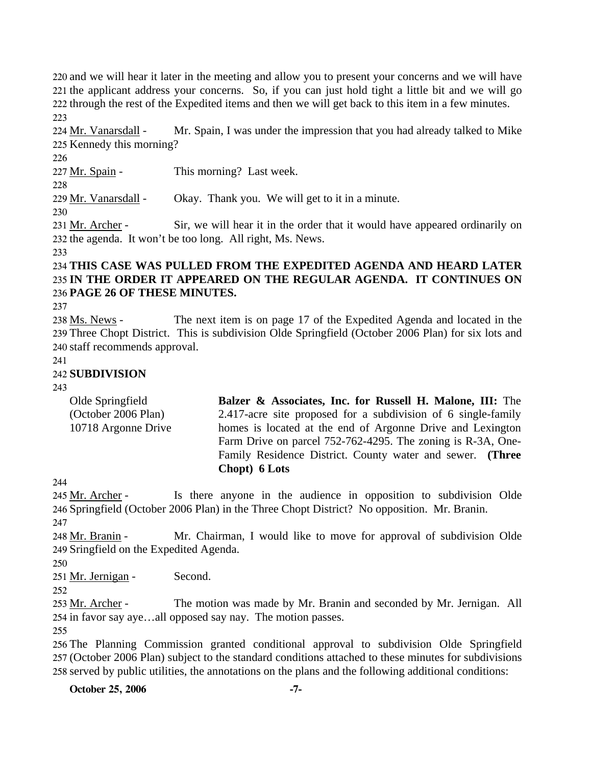and we will hear it later in the meeting and allow you to present your concerns and we will have the applicant address your concerns. So, if you can just hold tight a little bit and we will go through the rest of the Expedited items and then we will get back to this item in a few minutes. 223

Mr. Spain, I was under the impression that you had already talked to Mike 225 Kennedy this morning? 224 Mr. Vanarsdall -

226

227 Mr. Spain - This morning? Last week.

228

229 Mr. Vanarsdall - Okay. Thank you. We will get to it in a minute.

230

Sir, we will hear it in the order that it would have appeared ordinarily on 232 the agenda. It won't be too long. All right, Ms. News. 231 Mr. Archer -

233

### 234 **THIS CASE WAS PULLED FROM THE EXPEDITED AGENDA AND HEARD LATER**  235 **IN THE ORDER IT APPEARED ON THE REGULAR AGENDA. IT CONTINUES ON**  236 **PAGE 26 OF THESE MINUTES.**

237

The next item is on page 17 of the Expedited Agenda and located in the 239 Three Chopt District. This is subdivision Olde Springfield (October 2006 Plan) for six lots and 240 staff recommends approval. 238 Ms. News -

241

# 242 **SUBDIVISION**

243

| Olde Springfield    | Balzer & Associates, Inc. for Russell H. Malone, III: The     |
|---------------------|---------------------------------------------------------------|
| (October 2006 Plan) | 2.417-acre site proposed for a subdivision of 6 single-family |
| 10718 Argonne Drive | homes is located at the end of Argonne Drive and Lexington    |
|                     | Farm Drive on parcel 752-762-4295. The zoning is R-3A, One-   |
|                     | Family Residence District. County water and sewer. (Three     |
|                     | Chopt) 6 Lots                                                 |

244

Is there anyone in the audience in opposition to subdivision Olde 246 Springfield (October 2006 Plan) in the Three Chopt District? No opposition. Mr. Branin. 245 Mr. Archer -247

Mr. Chairman, I would like to move for approval of subdivision Olde 249 Sringfield on the Expedited Agenda. 248 Mr. Branin -

250

251 Mr. Jernigan - Second.

252

The motion was made by Mr. Branin and seconded by Mr. Jernigan. All 254 in favor say aye...all opposed say nay. The motion passes. 253 Mr. Archer -

255

256 The Planning Commission granted conditional approval to subdivision Olde Springfield 257 (October 2006 Plan) subject to the standard conditions attached to these minutes for subdivisions 258 served by public utilities, the annotations on the plans and the following additional conditions:

**October 25, 2006** -7-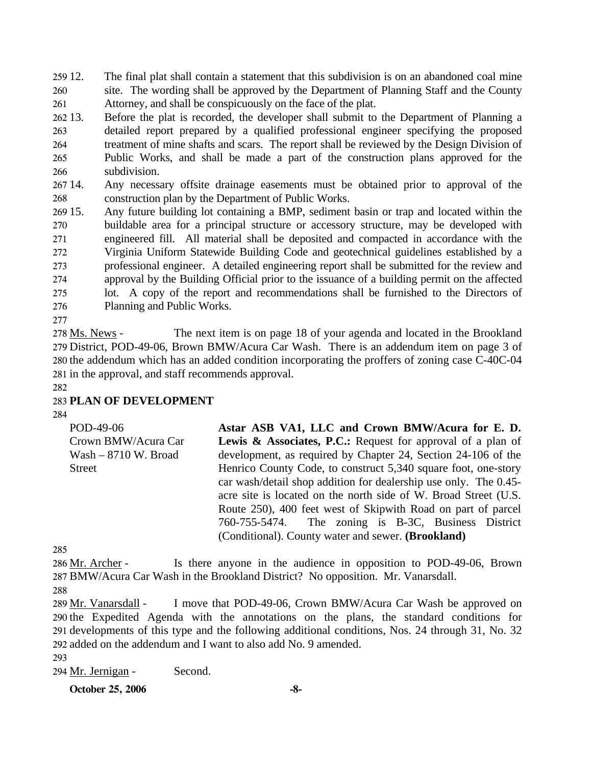259 12. 260 261 The final plat shall contain a statement that this subdivision is on an abandoned coal mine site. The wording shall be approved by the Department of Planning Staff and the County Attorney, and shall be conspicuously on the face of the plat.

262 13. 263 264 265 266 13. Before the plat is recorded, the developer shall submit to the Department of Planning a detailed report prepared by a qualified professional engineer specifying the proposed treatment of mine shafts and scars. The report shall be reviewed by the Design Division of Public Works, and shall be made a part of the construction plans approved for the subdivision.

267 14. 268 Any necessary offsite drainage easements must be obtained prior to approval of the construction plan by the Department of Public Works.

269 15. 270 271 272 273 274 275 276 Any future building lot containing a BMP, sediment basin or trap and located within the buildable area for a principal structure or accessory structure, may be developed with engineered fill. All material shall be deposited and compacted in accordance with the Virginia Uniform Statewide Building Code and geotechnical guidelines established by a professional engineer. A detailed engineering report shall be submitted for the review and approval by the Building Official prior to the issuance of a building permit on the affected lot. A copy of the report and recommendations shall be furnished to the Directors of Planning and Public Works.

277

The next item is on page 18 of your agenda and located in the Brookland 279 District, POD-49-06, Brown BMW/Acura Car Wash. There is an addendum item on page 3 of 280 the addendum which has an added condition incorporating the proffers of zoning case C-40C-04 281 in the approval, and staff recommends approval. 278 Ms. News -

282

## 283 **PLAN OF DEVELOPMENT**

284

POD-49-06 Crown BMW/Acura Car Wash – 8710 W. Broad Street **Astar ASB VA1, LLC and Crown BMW/Acura for E. D.**  Lewis & Associates, P.C.: Request for approval of a plan of development, as required by Chapter 24, Section 24-106 of the Henrico County Code, to construct 5,340 square foot, one-story car wash/detail shop addition for dealership use only. The 0.45 acre site is located on the north side of W. Broad Street (U.S. Route 250), 400 feet west of Skipwith Road on part of parcel 760-755-5474. The zoning is B-3C, Business District (Conditional). County water and sewer. **(Brookland)** 

285

Is there anyone in the audience in opposition to POD-49-06, Brown 287 BMW/Acura Car Wash in the Brookland District? No opposition. Mr. Vanarsdall. 286 Mr. Archer -

288

I move that POD-49-06, Crown BMW/Acura Car Wash be approved on 290 the Expedited Agenda with the annotations on the plans, the standard conditions for 291 developments of this type and the following additional conditions, Nos. 24 through 31, No. 32 292 added on the addendum and I want to also add No. 9 amended. 289 Mr. Vanarsdall -

293

294 Mr. Jernigan - Second.

**October 25, 2006** -8-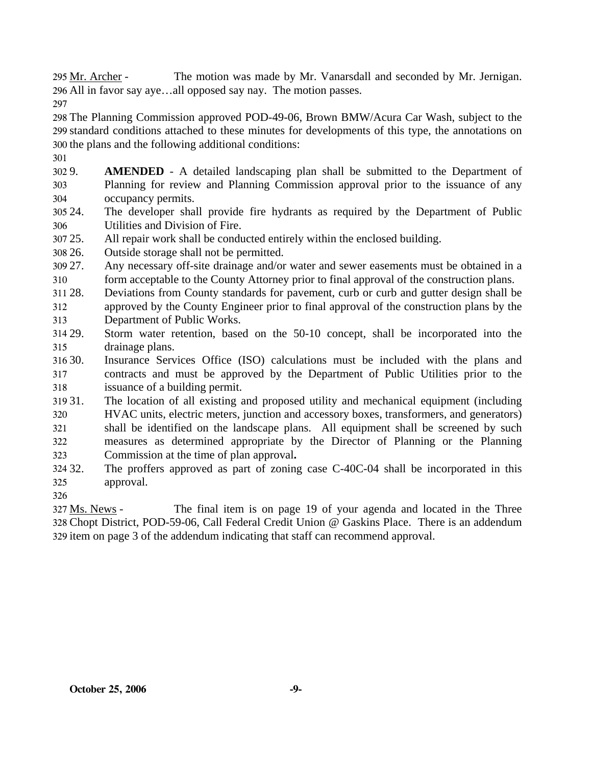The motion was made by Mr. Vanarsdall and seconded by Mr. Jernigan. All in favor say aye…all opposed say nay. The motion passes. 296 295 Mr. Archer -

297

298 The Planning Commission approved POD-49-06, Brown BMW/Acura Car Wash, subject to the 299 standard conditions attached to these minutes for developments of this type, the annotations on 300 the plans and the following additional conditions:

- 301
- 302 9. 303 304 **AMENDED** - A detailed landscaping plan shall be submitted to the Department of Planning for review and Planning Commission approval prior to the issuance of any occupancy permits.
- 305 24. 306 The developer shall provide fire hydrants as required by the Department of Public Utilities and Division of Fire.
- 307 25. All repair work shall be conducted entirely within the enclosed building.
- 308 26. Outside storage shall not be permitted.
- 309 27. 310 Any necessary off-site drainage and/or water and sewer easements must be obtained in a form acceptable to the County Attorney prior to final approval of the construction plans.
- 311 28. 312 313 28. Deviations from County standards for pavement, curb or curb and gutter design shall be approved by the County Engineer prior to final approval of the construction plans by the Department of Public Works.
- 314 29. 315 Storm water retention, based on the 50-10 concept, shall be incorporated into the drainage plans.
- 316 30. 317 318 Insurance Services Office (ISO) calculations must be included with the plans and contracts and must be approved by the Department of Public Utilities prior to the issuance of a building permit.
- 319 31. 320 321 322 323 31. The location of all existing and proposed utility and mechanical equipment (including HVAC units, electric meters, junction and accessory boxes, transformers, and generators) shall be identified on the landscape plans. All equipment shall be screened by such measures as determined appropriate by the Director of Planning or the Planning Commission at the time of plan approval**.**
- 324 32. 325 The proffers approved as part of zoning case C-40C-04 shall be incorporated in this approval.
- 326

The final item is on page 19 of your agenda and located in the Three Chopt District, POD-59-06, Call Federal Credit Union @ Gaskins Place. There is an addendum 328 329 item on page 3 of the addendum indicating that staff can recommend approval. 327 Ms. News -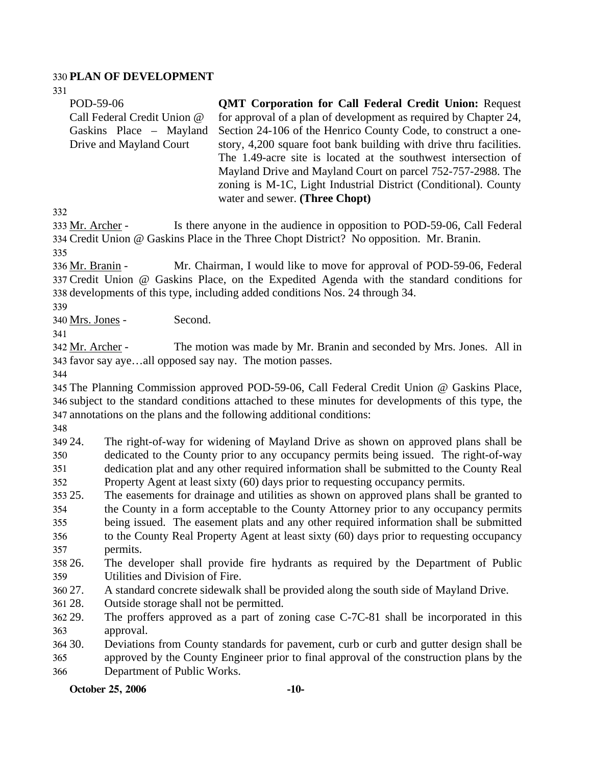### 330 **PLAN OF DEVELOPMENT**

331

| POD-59-06                   | <b>QMT Corporation for Call Federal Credit Union: Request</b>      |
|-----------------------------|--------------------------------------------------------------------|
| Call Federal Credit Union @ | for approval of a plan of development as required by Chapter 24,   |
| Gaskins Place – Mayland     | Section 24-106 of the Henrico County Code, to construct a one-     |
| Drive and Mayland Court     | story, 4,200 square foot bank building with drive thru facilities. |
|                             | The 1.49-acre site is located at the southwest intersection of     |
|                             | Mayland Drive and Mayland Court on parcel 752-757-2988. The        |
|                             | zoning is M-1C, Light Industrial District (Conditional). County    |
|                             | water and sewer. (Three Chopt)                                     |

332

Is there anyone in the audience in opposition to POD-59-06, Call Federal Credit Union @ Gaskins Place in the Three Chopt District? No opposition. Mr. Branin. 334 333 Mr. Archer -

335

Mr. Chairman, I would like to move for approval of POD-59-06, Federal Credit Union @ Gaskins Place, on the Expedited Agenda with the standard conditions for 337 338 developments of this type, including added conditions Nos. 24 through 34. 336 Mr. Branin -

339

340 Mrs. Jones - Second.

341

The motion was made by Mr. Branin and seconded by Mrs. Jones. All in 343 favor say aye...all opposed say nay. The motion passes. 342 Mr. Archer -

344

345 The Planning Commission approved POD-59-06, Call Federal Credit Union @ Gaskins Place, 346 subject to the standard conditions attached to these minutes for developments of this type, the 347 annotations on the plans and the following additional conditions:

348

349 24. 350 The right-of-way for widening of Mayland Drive as shown on approved plans shall be dedicated to the County prior to any occupancy permits being issued. The right-of-way

351 352 dedication plat and any other required information shall be submitted to the County Real Property Agent at least sixty (60) days prior to requesting occupancy permits.

353 25. 25. The easements for drainage and utilities as shown on approved plans shall be granted to

354 the County in a form acceptable to the County Attorney prior to any occupancy permits

355 356 being issued. The easement plats and any other required information shall be submitted to the County Real Property Agent at least sixty (60) days prior to requesting occupancy

- 357 permits.
- 358 26. 359 The developer shall provide fire hydrants as required by the Department of Public Utilities and Division of Fire.
- 360 27. A standard concrete sidewalk shall be provided along the south side of Mayland Drive.
- 361 28. Outside storage shall not be permitted.
- 362 29. 363 The proffers approved as a part of zoning case  $C$ -7 $C$ -81 shall be incorporated in this approval.

30. 30. Deviations from County standards for pavement, curb or curb and gutter design shall be

365 366 approved by the County Engineer prior to final approval of the construction plans by the Department of Public Works.

**October 25, 2006** -10-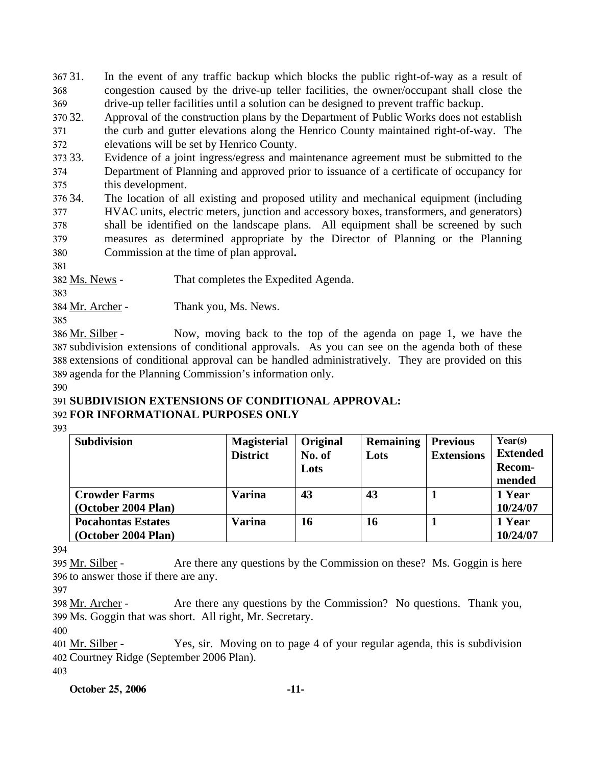367 31. 368 369 In the event of any traffic backup which blocks the public right-of-way as a result of congestion caused by the drive-up teller facilities, the owner/occupant shall close the drive-up teller facilities until a solution can be designed to prevent traffic backup.

370 32. 371 372 Approval of the construction plans by the Department of Public Works does not establish the curb and gutter elevations along the Henrico County maintained right-of-way. The elevations will be set by Henrico County.

373 33. Evidence of a joint ingress/egress and maintenance agreement must be submitted to the

374 375 Department of Planning and approved prior to issuance of a certificate of occupancy for this development.

376 34. 377 378 379 380 The location of all existing and proposed utility and mechanical equipment (including HVAC units, electric meters, junction and accessory boxes, transformers, and generators) shall be identified on the landscape plans. All equipment shall be screened by such measures as determined appropriate by the Director of Planning or the Planning Commission at the time of plan approval**.**

381

382 Ms. News - That completes the Expedited Agenda.

383

384 Mr. Archer - Thank you, Ms. News.

385

Now, moving back to the top of the agenda on page 1, we have the 387 subdivision extensions of conditional approvals. As you can see on the agenda both of these 388 extensions of conditional approval can be handled administratively. They are provided on this 389 agenda for the Planning Commission's information only. 386 Mr. Silber -

390

### 391 **SUBDIVISION EXTENSIONS OF CONDITIONAL APPROVAL:**  392 **FOR INFORMATIONAL PURPOSES ONLY**

393

| <b>Subdivision</b>                               | <b>Magisterial</b><br><b>District</b> | Original<br>No. of<br>Lots | <b>Remaining</b><br>Lots | <b>Previous</b><br><b>Extensions</b> | Year(s)<br><b>Extended</b><br>Recom-<br>mended |
|--------------------------------------------------|---------------------------------------|----------------------------|--------------------------|--------------------------------------|------------------------------------------------|
| <b>Crowder Farms</b><br>(October 2004 Plan)      | Varina                                | 43                         | 43                       |                                      | 1 Year<br>10/24/07                             |
| <b>Pocahontas Estates</b><br>(October 2004 Plan) | Varina                                | 16                         | 16                       |                                      | 1 Year<br>10/24/07                             |

394

Are there any questions by the Commission on these? Ms. Goggin is here 396 to answer those if there are any. 395 Mr. Silber -

397

Are there any questions by the Commission? No questions. Thank you, Ms. Goggin that was short. All right, Mr. Secretary. 399 398 Mr. Archer -

400

Yes, sir. Moving on to page 4 of your regular agenda, this is subdivision 402 Courtney Ridge (September 2006 Plan).  $401$  Mr. Silber -403

**October 25, 2006 -11-**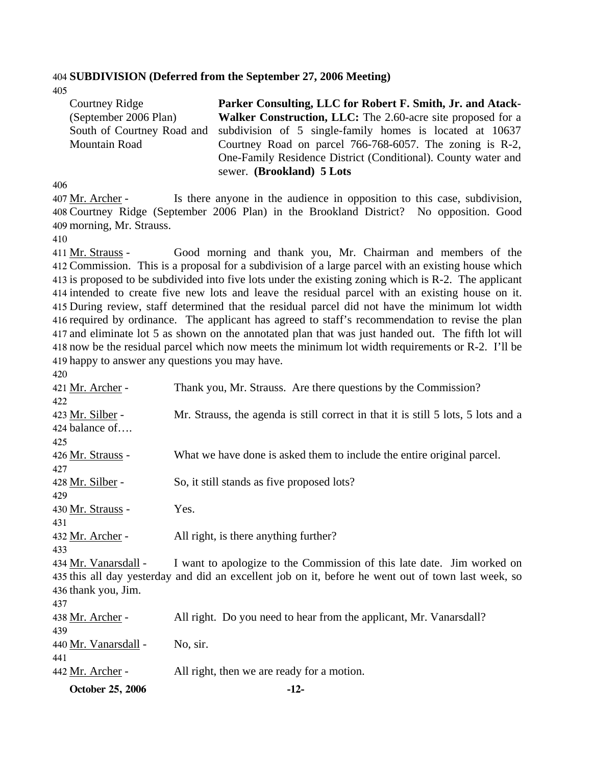#### 404 **SUBDIVISION (Deferred from the September 27, 2006 Meeting)**

405

| Courtney Ridge        | Parker Consulting, LLC for Robert F. Smith, Jr. and Atack-                          |
|-----------------------|-------------------------------------------------------------------------------------|
| (September 2006 Plan) | <b>Walker Construction, LLC:</b> The 2.60-acre site proposed for a                  |
|                       | South of Courtney Road and subdivision of 5 single-family homes is located at 10637 |
| Mountain Road         | Courtney Road on parcel 766-768-6057. The zoning is R-2,                            |
|                       | One-Family Residence District (Conditional). County water and                       |
|                       | sewer. (Brookland) 5 Lots                                                           |

406

Is there anyone in the audience in opposition to this case, subdivision, Courtney Ridge (September 2006 Plan) in the Brookland District? No opposition. Good 408 409 morning, Mr. Strauss. 407 Mr. Archer -

410

Good morning and thank you, Mr. Chairman and members of the Commission. This is a proposal for a subdivision of a large parcel with an existing house which 412 413 is proposed to be subdivided into five lots under the existing zoning which is R-2. The applicant 414 intended to create five new lots and leave the residual parcel with an existing house on it. 415 During review, staff determined that the residual parcel did not have the minimum lot width 416 required by ordinance. The applicant has agreed to staff's recommendation to revise the plan 417 and eliminate lot 5 as shown on the annotated plan that was just handed out. The fifth lot will 418 now be the residual parcel which now meets the minimum lot width requirements or R-2. I'll be 419 happy to answer any questions you may have. 411 Mr. Strauss -

| October 25, 2006                   | $-12-$                                                                                              |
|------------------------------------|-----------------------------------------------------------------------------------------------------|
| 442 Mr. Archer -                   | All right, then we are ready for a motion.                                                          |
| 441                                |                                                                                                     |
| 440 Mr. Vanarsdall -               | No, sir.                                                                                            |
| 439                                |                                                                                                     |
| 438 Mr. Archer -                   | All right. Do you need to hear from the applicant, Mr. Vanarsdall?                                  |
| 437                                |                                                                                                     |
| 436 thank you, Jim.                |                                                                                                     |
|                                    | 435 this all day yesterday and did an excellent job on it, before he went out of town last week, so |
| 433<br>434 Mr. Vanarsdall -        | I want to apologize to the Commission of this late date. Jim worked on                              |
| 432 Mr. Archer -                   | All right, is there anything further?                                                               |
| 431                                |                                                                                                     |
| 430 Mr. Strauss -                  | Yes.                                                                                                |
| 429                                |                                                                                                     |
| 428 Mr. Silber -                   | So, it still stands as five proposed lots?                                                          |
| 427                                |                                                                                                     |
| 426 Mr. Strauss -                  | What we have done is asked them to include the entire original parcel.                              |
| 425                                |                                                                                                     |
| 423 Mr. Silber -<br>424 balance of | Mr. Strauss, the agenda is still correct in that it is still 5 lots, 5 lots and a                   |
| 422                                |                                                                                                     |
| 421 Mr. Archer -                   | Thank you, Mr. Strauss. Are there questions by the Commission?                                      |
|                                    |                                                                                                     |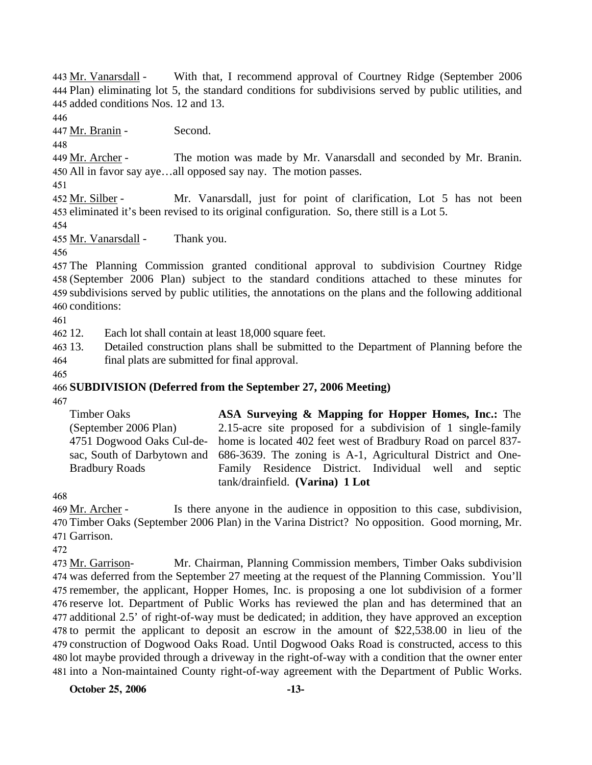With that, I recommend approval of Courtney Ridge (September 2006) Plan) eliminating lot 5, the standard conditions for subdivisions served by public utilities, and 444 445 added conditions Nos. 12 and 13. 443 Mr. Vanarsdall -

446

447 Mr. Branin - Second.

448

The motion was made by Mr. Vanarsdall and seconded by Mr. Branin. All in favor say aye…all opposed say nay. The motion passes. 450 449 Mr. Archer -

451

Mr. Vanarsdall, just for point of clarification, Lot 5 has not been 453 eliminated it's been revised to its original configuration. So, there still is a Lot 5. 452 Mr. Silber -

454

455 Mr. Vanarsdall - Thank you.

456

 The Planning Commission granted conditional approval to subdivision Courtney Ridge (September 2006 Plan) subject to the standard conditions attached to these minutes for subdivisions served by public utilities, the annotations on the plans and the following additional conditions:

461

462 12. Each lot shall contain at least 18,000 square feet.

463 13. 464 13. Detailed construction plans shall be submitted to the Department of Planning before the final plats are submitted for final approval.

465

### 466 **SUBDIVISION (Deferred from the September 27, 2006 Meeting)**

467

Timber Oaks (September 2006 Plan) 4751 Dogwood Oaks Cul-desac, South of Darbytown and Bradbury Roads **ASA Surveying & Mapping for Hopper Homes, Inc.:** The 2.15-acre site proposed for a subdivision of 1 single-family home is located 402 feet west of Bradbury Road on parcel 837- 686-3639. The zoning is A-1, Agricultural District and One-Family Residence District. Individual well and septic tank/drainfield. **(Varina) 1 Lot** 

468

Is there anyone in the audience in opposition to this case, subdivision, 470 Timber Oaks (September 2006 Plan) in the Varina District? No opposition. Good morning, Mr. 471 Garrison. 469 Mr. Archer -

472

Mr. Chairman, Planning Commission members, Timber Oaks subdivision 474 was deferred from the September 27 meeting at the request of the Planning Commission. You'll 475 remember, the applicant, Hopper Homes, Inc. is proposing a one lot subdivision of a former 476 reserve lot. Department of Public Works has reviewed the plan and has determined that an 477 additional 2.5' of right-of-way must be dedicated; in addition, they have approved an exception 478 to permit the applicant to deposit an escrow in the amount of \$22,538.00 in lieu of the 479 construction of Dogwood Oaks Road. Until Dogwood Oaks Road is constructed, access to this 480 lot maybe provided through a driveway in the right-of-way with a condition that the owner enter 481 into a Non-maintained County right-of-way agreement with the Department of Public Works. 473 Mr. Garrison-

**October 25, 2006 -13-**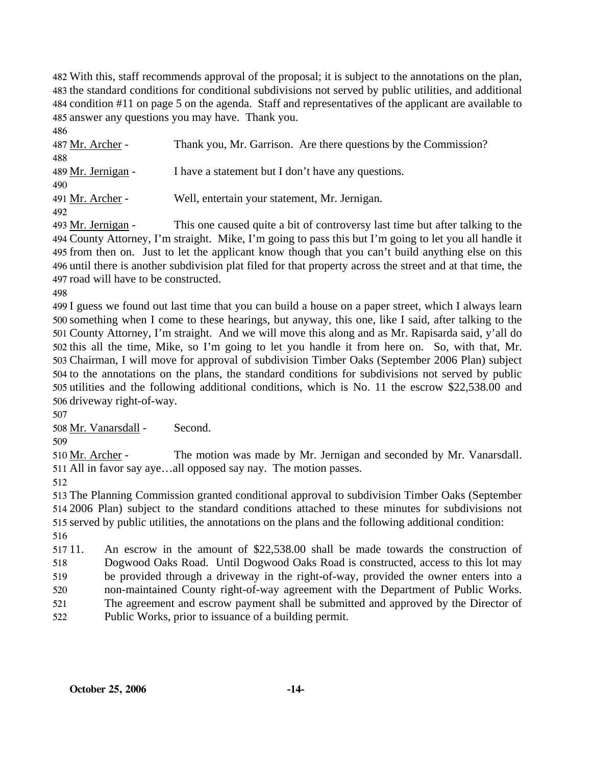With this, staff recommends approval of the proposal; it is subject to the annotations on the plan, the standard conditions for conditional subdivisions not served by public utilities, and additional condition #11 on page 5 on the agenda. Staff and representatives of the applicant are available to answer any questions you may have. Thank you.

| 486                |                                                                 |
|--------------------|-----------------------------------------------------------------|
| 487 Mr. Archer -   | Thank you, Mr. Garrison. Are there questions by the Commission? |
| 488                |                                                                 |
| 489 Mr. Jernigan - | I have a statement but I don't have any questions.              |
| 490                |                                                                 |
| 491 Mr. Archer -   | Well, entertain your statement, Mr. Jernigan.                   |
| 492                |                                                                 |

This one caused quite a bit of controversy last time but after talking to the County Attorney, I'm straight. Mike, I'm going to pass this but I'm going to let you all handle it 495 from then on. Just to let the applicant know though that you can't build anything else on this 496 until there is another subdivision plat filed for that property across the street and at that time, the 497 road will have to be constructed. 493 Mr. Jernigan -

 I guess we found out last time that you can build a house on a paper street, which I always learn something when I come to these hearings, but anyway, this one, like I said, after talking to the County Attorney, I'm straight. And we will move this along and as Mr. Rapisarda said, y'all do this all the time, Mike, so I'm going to let you handle it from here on. So, with that, Mr. Chairman, I will move for approval of subdivision Timber Oaks (September 2006 Plan) subject to the annotations on the plans, the standard conditions for subdivisions not served by public utilities and the following additional conditions, which is No. 11 the escrow \$22,538.00 and driveway right-of-way.

Mr. Vanarsdall - Second.

The motion was made by Mr. Jernigan and seconded by Mr. Vanarsdall. 511 All in favor say aye...all opposed say nay. The motion passes. 510 Mr. Archer -

 The Planning Commission granted conditional approval to subdivision Timber Oaks (September 2006 Plan) subject to the standard conditions attached to these minutes for subdivisions not served by public utilities, the annotations on the plans and the following additional condition: 

517 11 An escrow in the amount of \$22,538.00 shall be made towards the construction of Dogwood Oaks Road. Until Dogwood Oaks Road is constructed, access to this lot may be provided through a driveway in the right-of-way, provided the owner enters into a non-maintained County right-of-way agreement with the Department of Public Works. The agreement and escrow payment shall be submitted and approved by the Director of

 Public Works, prior to issuance of a building permit.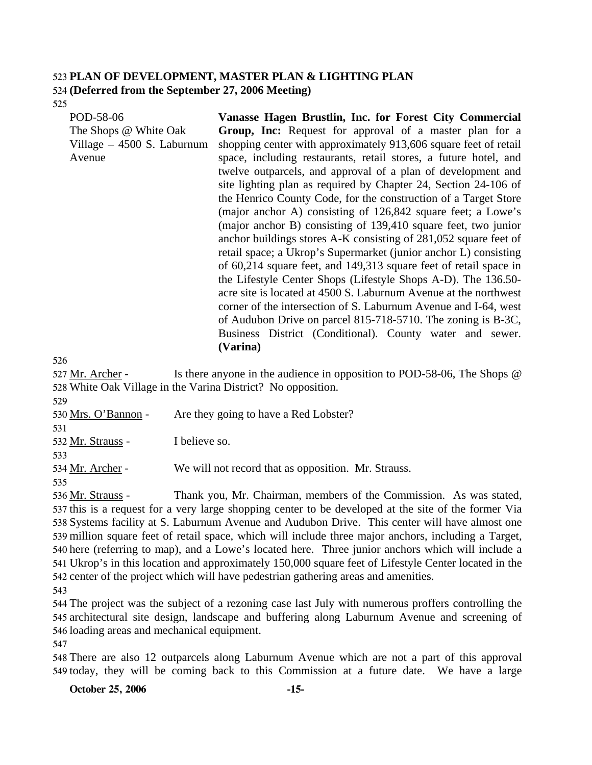### 523 **PLAN OF DEVELOPMENT, MASTER PLAN & LIGHTING PLAN**  524 **(Deferred from the September 27, 2006 Meeting)**

525

POD-58-06 The Shops @ White Oak Village – 4500 S. Laburnum Avenue **Vanasse Hagen Brustlin, Inc. for Forest City Commercial Group, Inc:** Request for approval of a master plan for a shopping center with approximately 913,606 square feet of retail space, including restaurants, retail stores, a future hotel, and twelve outparcels, and approval of a plan of development and site lighting plan as required by Chapter 24, Section 24-106 of the Henrico County Code, for the construction of a Target Store (major anchor A) consisting of 126,842 square feet; a Lowe's (major anchor B) consisting of 139,410 square feet, two junior anchor buildings stores A-K consisting of 281,052 square feet of retail space; a Ukrop's Supermarket (junior anchor L) consisting of 60,214 square feet, and 149,313 square feet of retail space in the Lifestyle Center Shops (Lifestyle Shops A-D). The 136.50 acre site is located at 4500 S. Laburnum Avenue at the northwest corner of the intersection of S. Laburnum Avenue and I-64, west of Audubon Drive on parcel 815-718-5710. The zoning is B-3C, Business District (Conditional). County water and sewer. **(Varina)** 

526

Is there anyone in the audience in opposition to POD-58-06, The Shops  $\omega$ 528 White Oak Village in the Varina District? No opposition. 527 Mr. Archer -

529

| Are they going to have a Red Lobster?               |
|-----------------------------------------------------|
|                                                     |
| I believe so.                                       |
|                                                     |
| We will not record that as opposition. Mr. Strauss. |
|                                                     |
|                                                     |

Thank you, Mr. Chairman, members of the Commission. As was stated, 537 this is a request for a very large shopping center to be developed at the site of the former Via 538 Systems facility at S. Laburnum Avenue and Audubon Drive. This center will have almost one 539 million square feet of retail space, which will include three major anchors, including a Target, 540 here (referring to map), and a Lowe's located here. Three junior anchors which will include a Ukrop's in this location and approximately 150,000 square feet of Lifestyle Center located in the 541 542 center of the project which will have pedestrian gathering areas and amenities. 536 Mr. Strauss -

543

544 The project was the subject of a rezoning case last July with numerous proffers controlling the 545 architectural site design, landscape and buffering along Laburnum Avenue and screening of 546 loading areas and mechanical equipment.

547

548 There are also 12 outparcels along Laburnum Avenue which are not a part of this approval 549 today, they will be coming back to this Commission at a future date. We have a large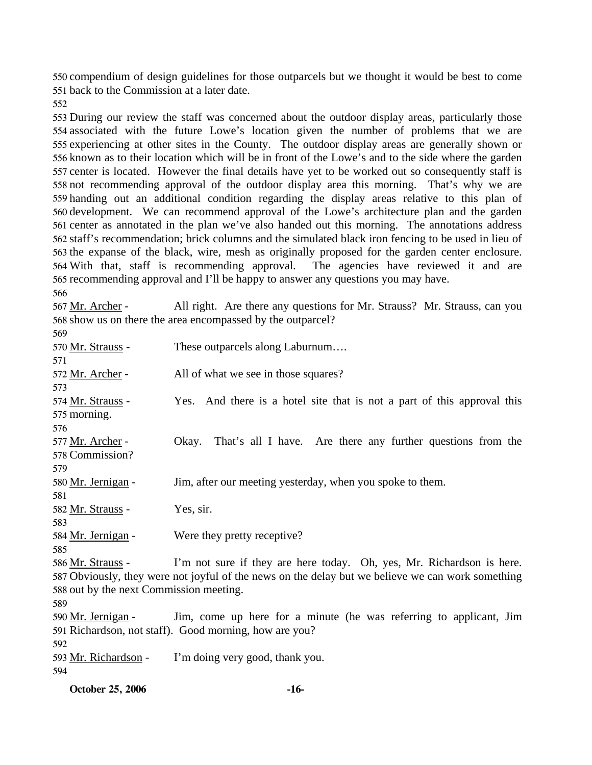compendium of design guidelines for those outparcels but we thought it would be best to come back to the Commission at a later date.

 During our review the staff was concerned about the outdoor display areas, particularly those associated with the future Lowe's location given the number of problems that we are experiencing at other sites in the County. The outdoor display areas are generally shown or known as to their location which will be in front of the Lowe's and to the side where the garden center is located. However the final details have yet to be worked out so consequently staff is not recommending approval of the outdoor display area this morning. That's why we are handing out an additional condition regarding the display areas relative to this plan of development. We can recommend approval of the Lowe's architecture plan and the garden center as annotated in the plan we've also handed out this morning. The annotations address staff's recommendation; brick columns and the simulated black iron fencing to be used in lieu of the expanse of the black, wire, mesh as originally proposed for the garden center enclosure. With that, staff is recommending approval. The agencies have reviewed it and are recommending approval and I'll be happy to answer any questions you may have. 

All right. Are there any questions for Mr. Strauss? Mr. Strauss, can you 568 show us on there the area encompassed by the outparcel? 567 Mr. Archer -

| 569                                     |                                                                                                   |
|-----------------------------------------|---------------------------------------------------------------------------------------------------|
| 570 Mr. Strauss -                       | These outparcels along Laburnum                                                                   |
| 571                                     |                                                                                                   |
| 572 Mr. Archer -                        | All of what we see in those squares?                                                              |
| 573                                     |                                                                                                   |
| 574 Mr. Strauss -                       | Yes. And there is a hotel site that is not a part of this approval this                           |
| 575 morning.                            |                                                                                                   |
| 576                                     |                                                                                                   |
| 577 Mr. Archer -                        | That's all I have. Are there any further questions from the<br>Okay.                              |
| 578 Commission?                         |                                                                                                   |
| 579                                     |                                                                                                   |
| 580 Mr. Jernigan -                      | Jim, after our meeting yesterday, when you spoke to them.                                         |
| 581                                     |                                                                                                   |
| 582 Mr. Strauss -                       | Yes, sir.                                                                                         |
| 583                                     |                                                                                                   |
| 584 Mr. Jernigan -                      | Were they pretty receptive?                                                                       |
| 585                                     |                                                                                                   |
| 586 Mr. Strauss -                       | I'm not sure if they are here today. Oh, yes, Mr. Richardson is here.                             |
|                                         | 587 Obviously, they were not joyful of the news on the delay but we believe we can work something |
| 588 out by the next Commission meeting. |                                                                                                   |
| 589                                     |                                                                                                   |
| 590 Mr. Jernigan -                      | Jim, come up here for a minute (he was referring to applicant, Jim                                |
|                                         | 591 Richardson, not staff). Good morning, how are you?                                            |
| 592                                     |                                                                                                   |
| 593 Mr. Richardson -                    | I'm doing very good, thank you.                                                                   |
| 594                                     |                                                                                                   |

**October 25, 2006 -16-**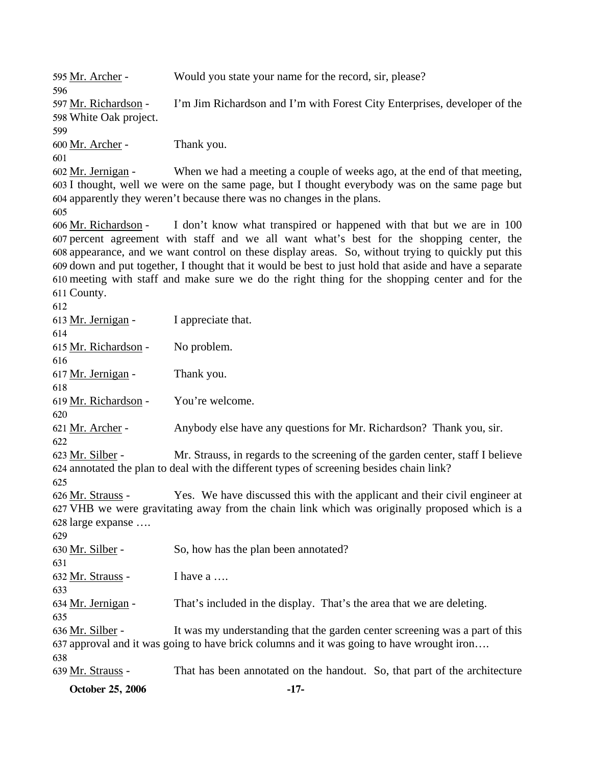| <b>October 25, 2006</b>                               | $-17-$                                                                                                                                                                                                                                                                                                    |
|-------------------------------------------------------|-----------------------------------------------------------------------------------------------------------------------------------------------------------------------------------------------------------------------------------------------------------------------------------------------------------|
| 639 Mr. Strauss -                                     | That has been annotated on the handout. So, that part of the architecture                                                                                                                                                                                                                                 |
| 636 <u>Mr. Silber</u> -<br>638                        | It was my understanding that the garden center screening was a part of this<br>637 approval and it was going to have brick columns and it was going to have wrought iron                                                                                                                                  |
| 634 Mr. Jernigan -<br>635                             | That's included in the display. That's the area that we are deleting.                                                                                                                                                                                                                                     |
| 632 Mr. Strauss -<br>633                              | I have a                                                                                                                                                                                                                                                                                                  |
| 630 <u>Mr. Silber</u> -<br>631                        | So, how has the plan been annotated?                                                                                                                                                                                                                                                                      |
| 629                                                   |                                                                                                                                                                                                                                                                                                           |
| 626 <u>Mr. Strauss</u> -<br>628 large expanse         | Yes. We have discussed this with the applicant and their civil engineer at<br>627 VHB we were gravitating away from the chain link which was originally proposed which is a                                                                                                                               |
| 625                                                   | 624 annotated the plan to deal with the different types of screening besides chain link?                                                                                                                                                                                                                  |
| 622<br>623 Mr. Silber -                               | Mr. Strauss, in regards to the screening of the garden center, staff I believe                                                                                                                                                                                                                            |
| 620<br>621 Mr. Archer -                               | Anybody else have any questions for Mr. Richardson? Thank you, sir.                                                                                                                                                                                                                                       |
| 618<br>619 Mr. Richardson -                           | You're welcome.                                                                                                                                                                                                                                                                                           |
| 616<br>617 Mr. Jernigan -                             | Thank you.                                                                                                                                                                                                                                                                                                |
| 614<br>615 Mr. Richardson -                           | No problem.                                                                                                                                                                                                                                                                                               |
| 612<br>613 Mr. Jernigan -                             | I appreciate that.                                                                                                                                                                                                                                                                                        |
| 611 County.                                           | 610 meeting with staff and make sure we do the right thing for the shopping center and for the                                                                                                                                                                                                            |
|                                                       | 607 percent agreement with staff and we all want what's best for the shopping center, the<br>608 appearance, and we want control on these display areas. So, without trying to quickly put this<br>609 down and put together, I thought that it would be best to just hold that aside and have a separate |
| 605<br>606 Mr. Richardson -                           | I don't know what transpired or happened with that but we are in 100                                                                                                                                                                                                                                      |
| 601<br>602 Mr. Jernigan -                             | When we had a meeting a couple of weeks ago, at the end of that meeting,<br>603 I thought, well we were on the same page, but I thought everybody was on the same page but<br>604 apparently they weren't because there was no changes in the plans.                                                      |
| 599<br>600 Mr. Archer -                               | Thank you.                                                                                                                                                                                                                                                                                                |
| 596<br>597 Mr. Richardson -<br>598 White Oak project. | I'm Jim Richardson and I'm with Forest City Enterprises, developer of the                                                                                                                                                                                                                                 |
| 595 Mr. Archer -                                      | Would you state your name for the record, sir, please?                                                                                                                                                                                                                                                    |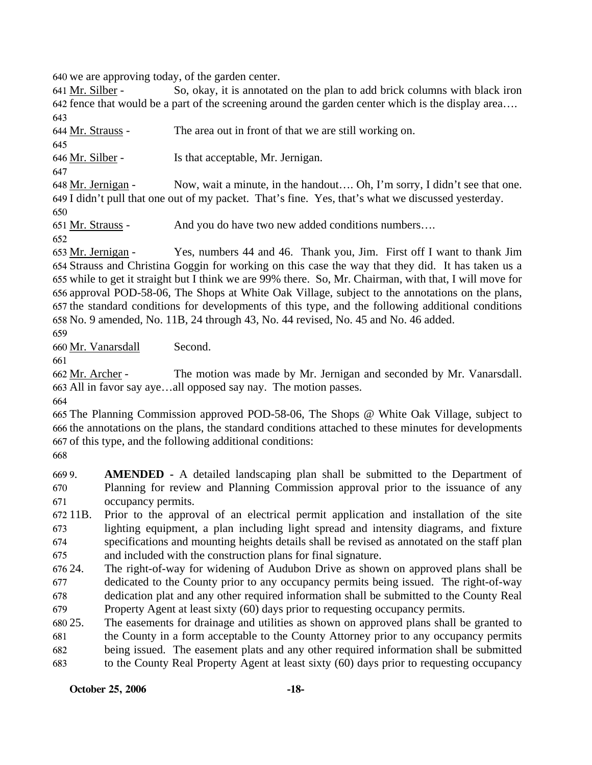640 we are approving today, of the garden center.

So, okay, it is annotated on the plan to add brick columns with black iron fence that would be a part of the screening around the garden center which is the display area…. 642 641 Mr. Silber -643

644 Mr. Strauss - The area out in front of that we are still working on. 645 646 Mr. Silber - Is that acceptable, Mr. Jernigan. 647

Now, wait a minute, in the handout.... Oh, I'm sorry, I didn't see that one. 649 I didn't pull that one out of my packet. That's fine. Yes, that's what we discussed yesterday. 648 Mr. Jernigan -650

651 Mr. Strauss - And you do have two new added conditions numbers….

652

Yes, numbers 44 and 46. Thank you, Jim. First off I want to thank Jim. 654 Strauss and Christina Goggin for working on this case the way that they did. It has taken us a 655 while to get it straight but I think we are 99% there. So, Mr. Chairman, with that, I will move for 656 approval POD-58-06, The Shops at White Oak Village, subject to the annotations on the plans, 657 the standard conditions for developments of this type, and the following additional conditions No. 9 amended, No. 11B, 24 through 43, No. 44 revised, No. 45 and No. 46 added. 658 653 Mr. Jernigan -

659

660 Mr. Vanarsdall Second.

661

The motion was made by Mr. Jernigan and seconded by Mr. Vanarsdall. All in favor say aye…all opposed say nay. The motion passes. 663 662 Mr. Archer -

664

665 The Planning Commission approved POD-58-06, The Shops @ White Oak Village, subject to 666 the annotations on the plans, the standard conditions attached to these minutes for developments 667 of this type, and the following additional conditions:

668

669 9. 670 671 AMENDED - A detailed landscaping plan shall be submitted to the Department of Planning for review and Planning Commission approval prior to the issuance of any occupancy permits.

672 11B. 673 674 675 11B. Prior to the approval of an electrical permit application and installation of the site lighting equipment, a plan including light spread and intensity diagrams, and fixture specifications and mounting heights details shall be revised as annotated on the staff plan and included with the construction plans for final signature.

676 24. 677 678 The right-of-way for widening of Audubon Drive as shown on approved plans shall be dedicated to the County prior to any occupancy permits being issued. The right-of-way dedication plat and any other required information shall be submitted to the County Real

679 Property Agent at least sixty (60) days prior to requesting occupancy permits.

680 25. 681 682 683 25. The easements for drainage and utilities as shown on approved plans shall be granted to the County in a form acceptable to the County Attorney prior to any occupancy permits being issued. The easement plats and any other required information shall be submitted to the County Real Property Agent at least sixty (60) days prior to requesting occupancy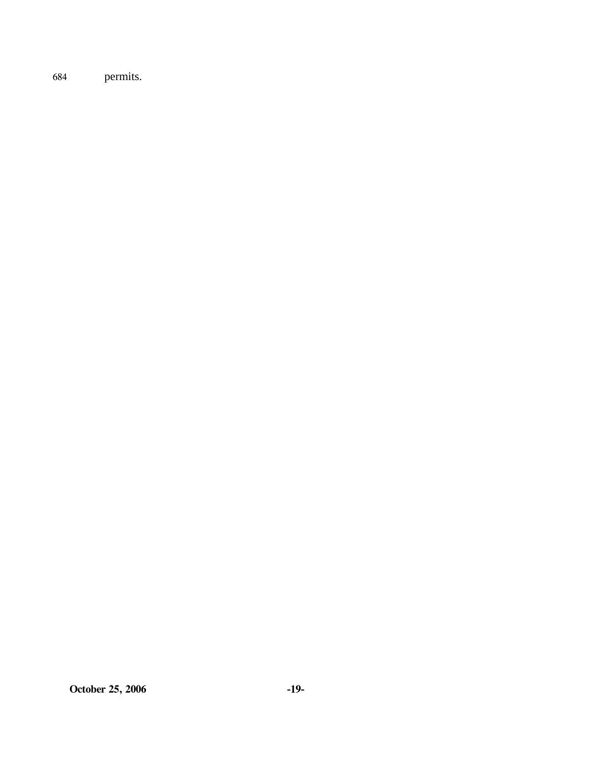684 permits.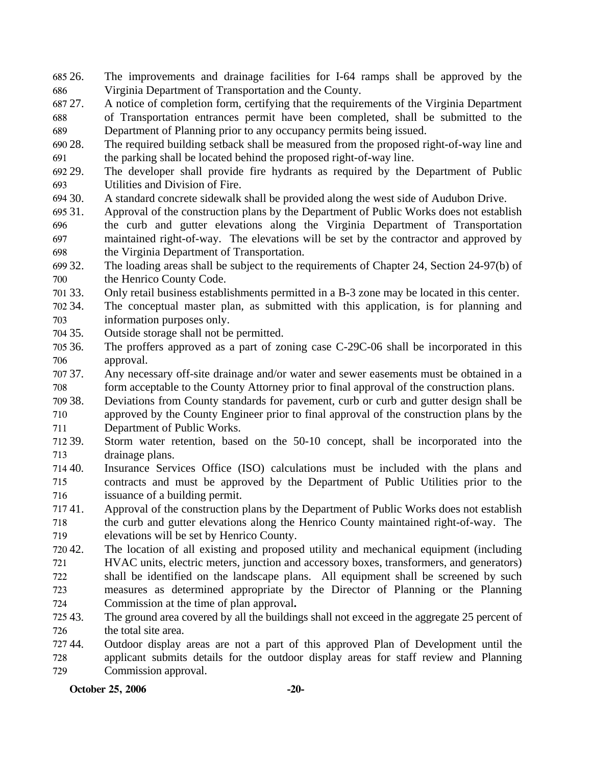- 685 26. 686 26. The improvements and drainage facilities for I-64 ramps shall be approved by the Virginia Department of Transportation and the County.
- 687 27. 688 689 27. A notice of completion form, certifying that the requirements of the Virginia Department of Transportation entrances permit have been completed, shall be submitted to the Department of Planning prior to any occupancy permits being issued.
- 690 28. 691 The required building setback shall be measured from the proposed right-of-way line and the parking shall be located behind the proposed right-of-way line.
- 692 29. 693 The developer shall provide fire hydrants as required by the Department of Public Utilities and Division of Fire.
- 694 30. A standard concrete sidewalk shall be provided along the west side of Audubon Drive.
- 695 31. 696 697 698 Approval of the construction plans by the Department of Public Works does not establish the curb and gutter elevations along the Virginia Department of Transportation maintained right-of-way. The elevations will be set by the contractor and approved by the Virginia Department of Transportation.
- 699 32. 700 The loading areas shall be subject to the requirements of Chapter 24, Section 24-97(b) of the Henrico County Code.
- 701 33. 33. Only retail business establishments permitted in a B-3 zone may be located in this center.
- 702 34. 703 The conceptual master plan, as submitted with this application, is for planning and information purposes only.
- 704 35. Outside storage shall not be permitted.
- 705 36. 706 The proffers approved as a part of zoning case C-29C-06 shall be incorporated in this approval.
- 707 37. 708 Any necessary off-site drainage and/or water and sewer easements must be obtained in a form acceptable to the County Attorney prior to final approval of the construction plans.
- 709 38. 710 38. Deviations from County standards for pavement, curb or curb and gutter design shall be approved by the County Engineer prior to final approval of the construction plans by the
- 711 Department of Public Works.
- 712 39. 713 Storm water retention, based on the 50-10 concept, shall be incorporated into the drainage plans.
- 714 40. 715 716 Insurance Services Office (ISO) calculations must be included with the plans and contracts and must be approved by the Department of Public Utilities prior to the issuance of a building permit.
- 71741. 718 719 41. Approval of the construction plans by the Department of Public Works does not establish the curb and gutter elevations along the Henrico County maintained right-of-way. The elevations will be set by Henrico County.
- 720 42. 721 722 723 The location of all existing and proposed utility and mechanical equipment (including HVAC units, electric meters, junction and accessory boxes, transformers, and generators) shall be identified on the landscape plans. All equipment shall be screened by such measures as determined appropriate by the Director of Planning or the Planning
- 724 Commission at the time of plan approval**.**
- 725 43. 726 The ground area covered by all the buildings shall not exceed in the aggregate 25 percent of the total site area.
- 727 44. 728 729 44. Outdoor display areas are not a part of this approved Plan of Development until the applicant submits details for the outdoor display areas for staff review and Planning Commission approval.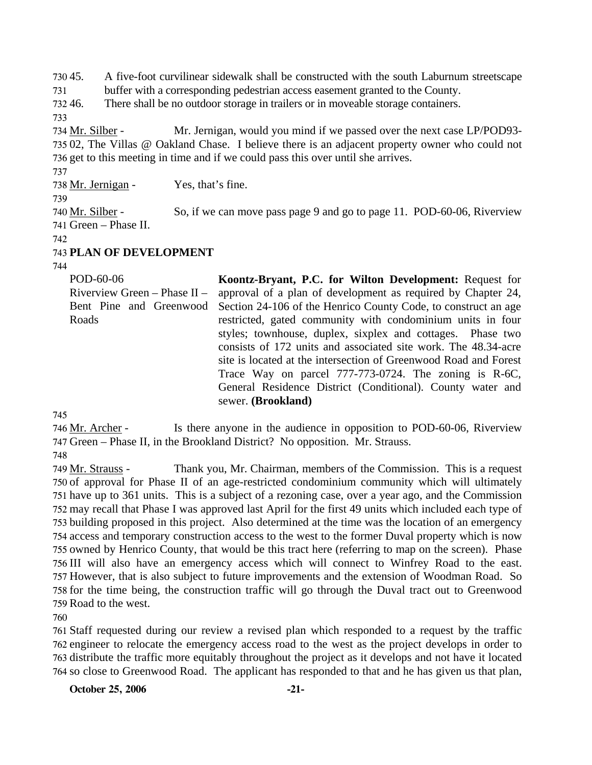730.45. 45. A five-foot curvilinear sidewalk shall be constructed with the south Laburnum streetscape

731 buffer with a corresponding pedestrian access easement granted to the County.

732.46 There shall be no outdoor storage in trailers or in moveable storage containers.

733

Mr. Jernigan, would you mind if we passed over the next case LP/POD93-735 02, The Villas @ Oakland Chase. I believe there is an adjacent property owner who could not 736 get to this meeting in time and if we could pass this over until she arrives. 734 Mr. Silber -

737 738 Mr. Jernigan - Yes, that's fine.

739

So, if we can move pass page 9 and go to page 11. POD-60-06, Riverview 741 Green – Phase II. 740 Mr. Silber -

742

### 743 **PLAN OF DEVELOPMENT**

744

POD-60-06 Riverview Green – Phase II – Bent Pine and Greenwood Roads **Koontz-Bryant, P.C. for Wilton Development:** Request for approval of a plan of development as required by Chapter 24, Section 24-106 of the Henrico County Code, to construct an age restricted, gated community with condominium units in four styles; townhouse, duplex, sixplex and cottages. Phase two consists of 172 units and associated site work. The 48.34-acre site is located at the intersection of Greenwood Road and Forest Trace Way on parcel 777-773-0724. The zoning is R-6C, General Residence District (Conditional). County water and sewer. **(Brookland)** 

745

Is there anyone in the audience in opposition to POD-60-06, Riverview 747 Green – Phase II, in the Brookland District? No opposition. Mr. Strauss. 746 <u>Mr. Archer</u> -

748

Thank you, Mr. Chairman, members of the Commission. This is a request 750 of approval for Phase II of an age-restricted condominium community which will ultimately 751 have up to 361 units. This is a subject of a rezoning case, over a year ago, and the Commission 752 may recall that Phase I was approved last April for the first 49 units which included each type of 753 building proposed in this project. Also determined at the time was the location of an emergency 754 access and temporary construction access to the west to the former Duval property which is now 755 owned by Henrico County, that would be this tract here (referring to map on the screen). Phase 756 III will also have an emergency access which will connect to Winfrey Road to the east. 757 However, that is also subject to future improvements and the extension of Woodman Road. So 758 for the time being, the construction traffic will go through the Duval tract out to Greenwood 759 Road to the west. 749 Mr. Strauss -

760

 Staff requested during our review a revised plan which responded to a request by the traffic engineer to relocate the emergency access road to the west as the project develops in order to distribute the traffic more equitably throughout the project as it develops and not have it located so close to Greenwood Road. The applicant has responded to that and he has given us that plan,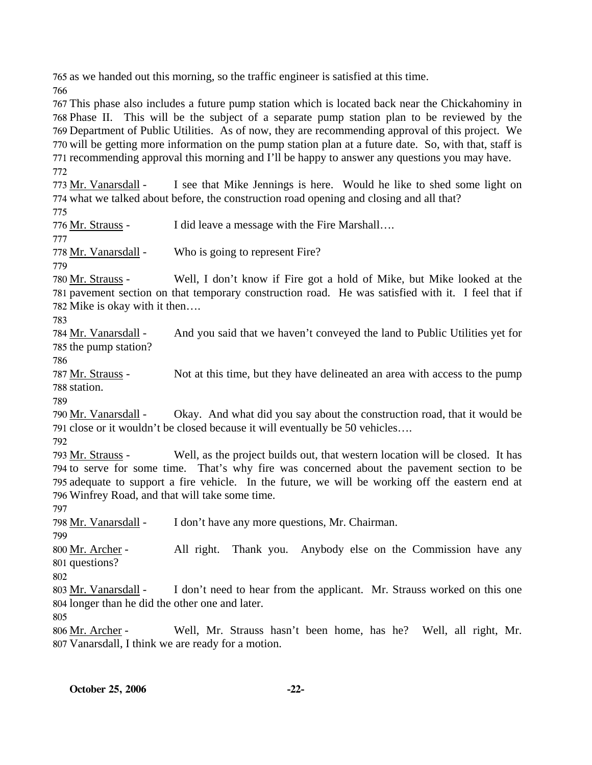765 as we handed out this morning, so the traffic engineer is satisfied at this time.

766

 This phase also includes a future pump station which is located back near the Chickahominy in Phase II. This will be the subject of a separate pump station plan to be reviewed by the Department of Public Utilities. As of now, they are recommending approval of this project. We will be getting more information on the pump station plan at a future date. So, with that, staff is recommending approval this morning and I'll be happy to answer any questions you may have. 772

I see that Mike Jennings is here. Would he like to shed some light on 774 what we talked about before, the construction road opening and closing and all that? 773 Mr. Vanarsdall -

775

776 Mr. Strauss - I did leave a message with the Fire Marshall….

777

778 Mr. Vanarsdall - Who is going to represent Fire?

779

Well, I don't know if Fire got a hold of Mike, but Mike looked at the 781 pavement section on that temporary construction road. He was satisfied with it. I feel that if 782 Mike is okay with it then.... 780 Mr. Strauss -

783

And you said that we haven't conveyed the land to Public Utilities yet for 785 the pump station? 784 Mr. Vanarsdall -

786

Not at this time, but they have delineated an area with access to the pump 788 station. 787 Mr. Strauss -

789

Okay. And what did you say about the construction road, that it would be 791 close or it wouldn't be closed because it will eventually be 50 vehicles.... 790 Mr. Vanarsdall -

792

Well, as the project builds out, that western location will be closed. It has 794 to serve for some time. That's why fire was concerned about the pavement section to be 795 adequate to support a fire vehicle. In the future, we will be working off the eastern end at Winfrey Road, and that will take some time. 796 793 Mr. Strauss -

797

798 Mr. Vanarsdall - I don't have any more questions, Mr. Chairman.

799

All right. Thank you. Anybody else on the Commission have any 801 questions? 800 Mr. Archer -

802

I don't need to hear from the applicant. Mr. Strauss worked on this one 804 longer than he did the other one and later. 803 Mr. Vanarsdall -

805

Well, Mr. Strauss hasn't been home, has he? Well, all right, Mr. Vanarsdall, I think we are ready for a motion. 807 806 Mr. Archer -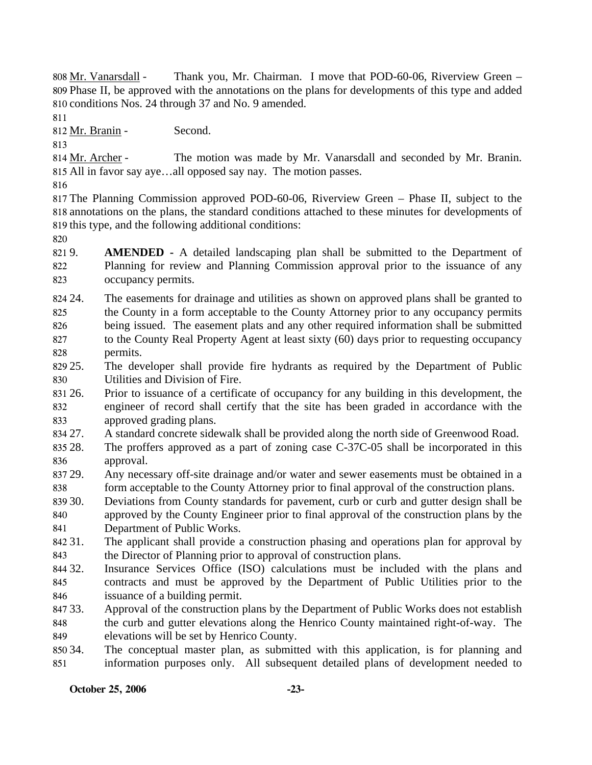Thank you, Mr. Chairman. I move that POD-60-06, Riverview Green – 809 Phase II, be approved with the annotations on the plans for developments of this type and added 810 conditions Nos. 24 through 37 and No. 9 amended. 808 Mr. Vanarsdall -

811

812 Mr. Branin - Second.

813

The motion was made by Mr. Vanarsdall and seconded by Mr. Branin. All in favor say aye…all opposed say nay. The motion passes. 815 814 Mr. Archer -

816

817 The Planning Commission approved POD-60-06, Riverview Green – Phase II, subject to the 818 annotations on the plans, the standard conditions attached to these minutes for developments of 819 this type, and the following additional conditions:

820

821 9. 822 823 **AMENDED** - A detailed landscaping plan shall be submitted to the Department of Planning for review and Planning Commission approval prior to the issuance of any occupancy permits.

824 24. 825 826 827 828 The easements for drainage and utilities as shown on approved plans shall be granted to the County in a form acceptable to the County Attorney prior to any occupancy permits being issued. The easement plats and any other required information shall be submitted to the County Real Property Agent at least sixty (60) days prior to requesting occupancy permits.

829 25. 830 The developer shall provide fire hydrants as required by the Department of Public Utilities and Division of Fire.

831 26. 832 833 Prior to issuance of a certificate of occupancy for any building in this development, the engineer of record shall certify that the site has been graded in accordance with the approved grading plans.

834 27. 27. A standard concrete sidewalk shall be provided along the north side of Greenwood Road.

835 28. 836 The proffers approved as a part of zoning case C-37C-05 shall be incorporated in this approval.

837 29. 838 Any necessary off-site drainage and/or water and sewer easements must be obtained in a form acceptable to the County Attorney prior to final approval of the construction plans.

839 30. 840 841 Deviations from County standards for pavement, curb or curb and gutter design shall be approved by the County Engineer prior to final approval of the construction plans by the Department of Public Works.

842 31. 843 The applicant shall provide a construction phasing and operations plan for approval by the Director of Planning prior to approval of construction plans.

844 32. 845 846 Insurance Services Office (ISO) calculations must be included with the plans and contracts and must be approved by the Department of Public Utilities prior to the issuance of a building permit.

847 33. 848 849 Approval of the construction plans by the Department of Public Works does not establish the curb and gutter elevations along the Henrico County maintained right-of-way. The elevations will be set by Henrico County.

850 34. 851 The conceptual master plan, as submitted with this application, is for planning and information purposes only. All subsequent detailed plans of development needed to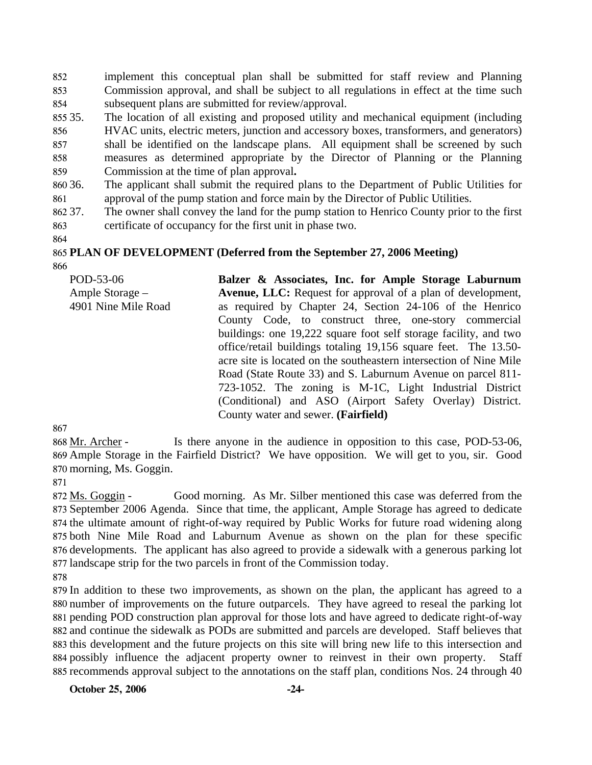852 853 854 implement this conceptual plan shall be submitted for staff review and Planning Commission approval, and shall be subject to all regulations in effect at the time such subsequent plans are submitted for review/approval.

855 35. 856 857 858 The location of all existing and proposed utility and mechanical equipment (including HVAC units, electric meters, junction and accessory boxes, transformers, and generators) shall be identified on the landscape plans. All equipment shall be screened by such measures as determined appropriate by the Director of Planning or the Planning

859 Commission at the time of plan approval**.**

860 36. 861 The applicant shall submit the required plans to the Department of Public Utilities for approval of the pump station and force main by the Director of Public Utilities.

- 862 37. 863 The owner shall convey the land for the pump station to Henrico County prior to the first certificate of occupancy for the first unit in phase two.
- 864

#### 865 **PLAN OF DEVELOPMENT (Deferred from the September 27, 2006 Meeting)**  866

POD-53-06 Ample Storage – 4901 Nine Mile Road **Balzer & Associates, Inc. for Ample Storage Laburnum Avenue, LLC:** Request for approval of a plan of development, as required by Chapter 24, Section 24-106 of the Henrico County Code, to construct three, one-story commercial buildings: one 19,222 square foot self storage facility, and two office/retail buildings totaling 19,156 square feet. The 13.50 acre site is located on the southeastern intersection of Nine Mile Road (State Route 33) and S. Laburnum Avenue on parcel 811- 723-1052. The zoning is M-1C, Light Industrial District (Conditional) and ASO (Airport Safety Overlay) District. County water and sewer. **(Fairfield)** 

867

Is there anyone in the audience in opposition to this case, POD-53-06, 869 Ample Storage in the Fairfield District? We have opposition. We will get to you, sir. Good 870 morning, Ms. Goggin. 868 Mr. Archer -

871

Good morning. As Mr. Silber mentioned this case was deferred from the 873 September 2006 Agenda. Since that time, the applicant, Ample Storage has agreed to dedicate 874 the ultimate amount of right-of-way required by Public Works for future road widening along 875 both Nine Mile Road and Laburnum Avenue as shown on the plan for these specific 876 developments. The applicant has also agreed to provide a sidewalk with a generous parking lot 877 landscape strip for the two parcels in front of the Commission today. 872 Ms. Goggin -

878

 In addition to these two improvements, as shown on the plan, the applicant has agreed to a number of improvements on the future outparcels. They have agreed to reseal the parking lot pending POD construction plan approval for those lots and have agreed to dedicate right-of-way and continue the sidewalk as PODs are submitted and parcels are developed. Staff believes that this development and the future projects on this site will bring new life to this intersection and possibly influence the adjacent property owner to reinvest in their own property. Staff recommends approval subject to the annotations on the staff plan, conditions Nos. 24 through 40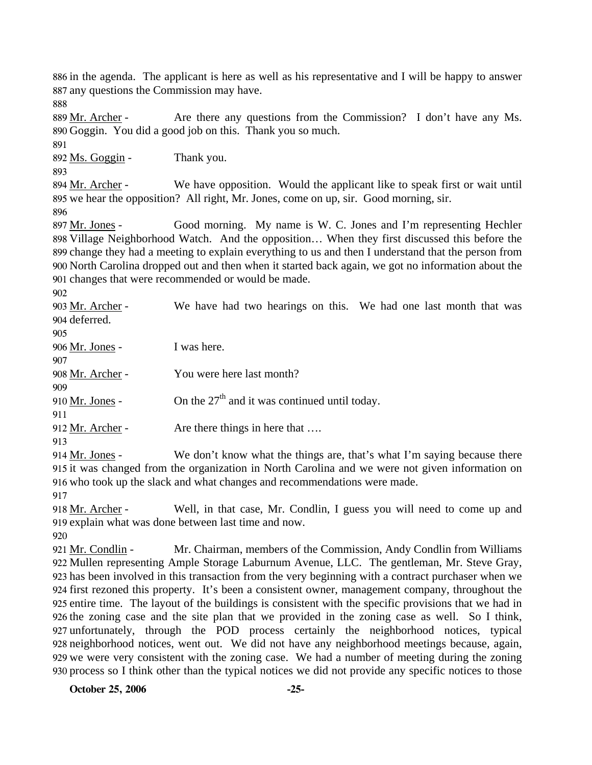886 in the agenda. The applicant is here as well as his representative and I will be happy to answer 887 any questions the Commission may have.

888

Are there any questions from the Commission? I don't have any Ms. 890 Goggin. You did a good job on this. Thank you so much. 889 Mr. Archer -

892 Ms. Goggin - Thank you.

893

891

We have opposition. Would the applicant like to speak first or wait until 895 we hear the opposition? All right, Mr. Jones, come on up, sir. Good morning, sir. 894 Mr. Archer -

896

Good morning. My name is W. C. Jones and I'm representing Hechler 898 Village Neighborhood Watch. And the opposition... When they first discussed this before the 899 change they had a meeting to explain everything to us and then I understand that the person from 900 North Carolina dropped out and then when it started back again, we got no information about the 901 changes that were recommended or would be made. 897 Mr. Jones -

902

We have had two hearings on this. We had one last month that was 904 deferred. 903 Mr. Archer -

| 905                    |                                                 |
|------------------------|-------------------------------------------------|
| 906 <u>Mr. Jones</u> - | I was here.                                     |
| 907                    |                                                 |
| 908 Mr. Archer -       | You were here last month?                       |
| 909                    |                                                 |
| 910 <u>Mr. Jones</u> - | On the $27th$ and it was continued until today. |
| 911                    |                                                 |
| 912 Mr. Archer -       | Are there things in here that                   |
| 913                    |                                                 |

We don't know what the things are, that's what I'm saying because there 915 it was changed from the organization in North Carolina and we were not given information on 916 who took up the slack and what changes and recommendations were made. 914 Mr. Jones -

917

Well, in that case, Mr. Condlin, I guess you will need to come up and 919 explain what was done between last time and now. 918 Mr. Archer -

920

Mr. Chairman, members of the Commission, Andy Condlin from Williams 922 Mullen representing Ample Storage Laburnum Avenue, LLC. The gentleman, Mr. Steve Gray, 923 has been involved in this transaction from the very beginning with a contract purchaser when we 924 first rezoned this property. It's been a consistent owner, management company, throughout the 925 entire time. The layout of the buildings is consistent with the specific provisions that we had in 926 the zoning case and the site plan that we provided in the zoning case as well. So I think, 927 unfortunately, through the POD process certainly the neighborhood notices, typical 928 neighborhood notices, went out. We did not have any neighborhood meetings because, again, 929 we were very consistent with the zoning case. We had a number of meeting during the zoning 930 process so I think other than the typical notices we did not provide any specific notices to those 921 Mr. Condlin -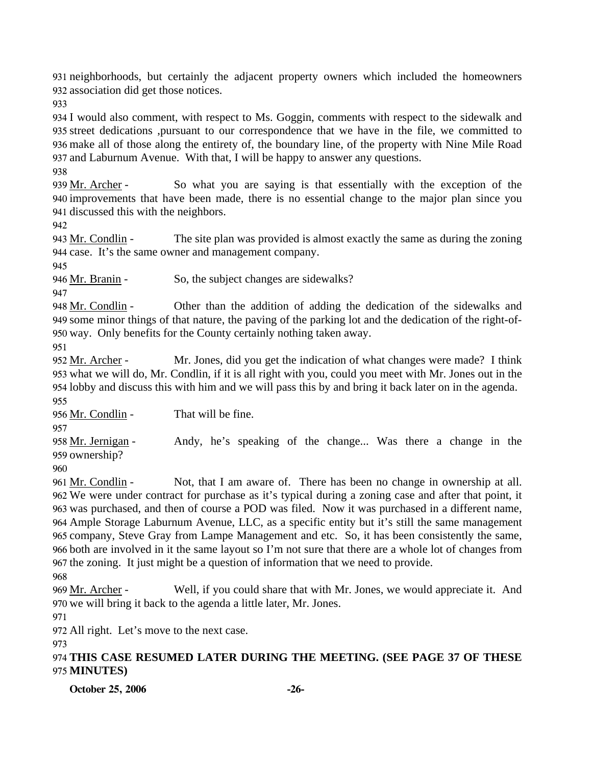931 neighborhoods, but certainly the adjacent property owners which included the homeowners 932 association did get those notices.

933

 I would also comment, with respect to Ms. Goggin, comments with respect to the sidewalk and street dedications ,pursuant to our correspondence that we have in the file, we committed to make all of those along the entirety of, the boundary line, of the property with Nine Mile Road and Laburnum Avenue. With that, I will be happy to answer any questions.

938

So what you are saying is that essentially with the exception of the 940 improvements that have been made, there is no essential change to the major plan since you 941 discussed this with the neighbors. 939 Mr. Archer -

942

The site plan was provided is almost exactly the same as during the zoning 944 case. It's the same owner and management company. 943 Mr. Condlin -

945

946 Mr. Branin - So, the subject changes are sidewalks?

947

Other than the addition of adding the dedication of the sidewalks and 949 some minor things of that nature, the paving of the parking lot and the dedication of the right-of-950 way. Only benefits for the County certainly nothing taken away. 948 Mr. Condlin -

951

Mr. Jones, did you get the indication of what changes were made? I think 953 what we will do, Mr. Condlin, if it is all right with you, could you meet with Mr. Jones out in the 954 lobby and discuss this with him and we will pass this by and bring it back later on in the agenda. 952 Mr. Archer -955

956 Mr. Condlin - That will be fine.

957

Andy, he's speaking of the change... Was there a change in the 959 ownership? 958 Mr. Jernigan -

960

Not, that I am aware of. There has been no change in ownership at all. We were under contract for purchase as it's typical during a zoning case and after that point, it 962 963 was purchased, and then of course a POD was filed. Now it was purchased in a different name, Ample Storage Laburnum Avenue, LLC, as a specific entity but it's still the same management 964 965 company, Steve Gray from Lampe Management and etc. So, it has been consistently the same, 966 both are involved in it the same layout so I'm not sure that there are a whole lot of changes from 967 the zoning. It just might be a question of information that we need to provide. 961 Mr. Condlin -

968

Well, if you could share that with Mr. Jones, we would appreciate it. And 970 we will bring it back to the agenda a little later, Mr. Jones. 969 Mr. Archer -

971

972 All right. Let's move to the next case.

973

974 **THIS CASE RESUMED LATER DURING THE MEETING. (SEE PAGE 37 OF THESE**  975 **MINUTES)** 

**October 25, 2006 -26-**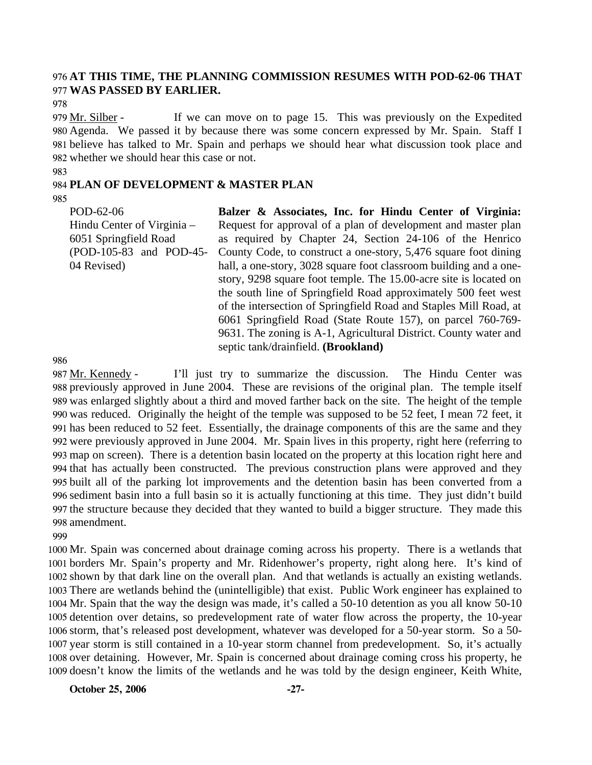### 976 **AT THIS TIME, THE PLANNING COMMISSION RESUMES WITH POD-62-06 THAT**  977 **WAS PASSED BY EARLIER.**

978

If we can move on to page 15. This was previously on the Expedited Agenda. We passed it by because there was some concern expressed by Mr. Spain. Staff I 980 981 believe has talked to Mr. Spain and perhaps we should hear what discussion took place and 982 whether we should hear this case or not. 979 Mr. Silber -

983

#### 984 **PLAN OF DEVELOPMENT & MASTER PLAN**

985

POD-62-06 Hindu Center of Virginia – 6051 Springfield Road (POD-105-83 and POD-45- 04 Revised)

**Balzer & Associates, Inc. for Hindu Center of Virginia:**  Request for approval of a plan of development and master plan as required by Chapter 24, Section 24-106 of the Henrico County Code, to construct a one-story, 5,476 square foot dining hall, a one-story, 3028 square foot classroom building and a onestory, 9298 square foot temple. The 15.00-acre site is located on the south line of Springfield Road approximately 500 feet west of the intersection of Springfield Road and Staples Mill Road, at 6061 Springfield Road (State Route 157), on parcel 760-769- 9631. The zoning is A-1, Agricultural District. County water and septic tank/drainfield. **(Brookland)** 

986

I'll just try to summarize the discussion. The Hindu Center was 988 previously approved in June 2004. These are revisions of the original plan. The temple itself 989 was enlarged slightly about a third and moved farther back on the site. The height of the temple 990 was reduced. Originally the height of the temple was supposed to be 52 feet, I mean 72 feet, it 991 has been reduced to 52 feet. Essentially, the drainage components of this are the same and they 992 were previously approved in June 2004. Mr. Spain lives in this property, right here (referring to map on screen). There is a detention basin located on the property at this location right here and 993 994 that has actually been constructed. The previous construction plans were approved and they 995 built all of the parking lot improvements and the detention basin has been converted from a 996 sediment basin into a full basin so it is actually functioning at this time. They just didn't build 997 the structure because they decided that they wanted to build a bigger structure. They made this 998 amendment. 987 Mr. Kennedy -

999

 Mr. Spain was concerned about drainage coming across his property. There is a wetlands that borders Mr. Spain's property and Mr. Ridenhower's property, right along here. It's kind of shown by that dark line on the overall plan. And that wetlands is actually an existing wetlands. There are wetlands behind the (unintelligible) that exist. Public Work engineer has explained to Mr. Spain that the way the design was made, it's called a 50-10 detention as you all know 50-10 detention over detains, so predevelopment rate of water flow across the property, the 10-year storm, that's released post development, whatever was developed for a 50-year storm. So a 50- year storm is still contained in a 10-year storm channel from predevelopment. So, it's actually over detaining. However, Mr. Spain is concerned about drainage coming cross his property, he doesn't know the limits of the wetlands and he was told by the design engineer, Keith White,

**October 25, 2006** -27-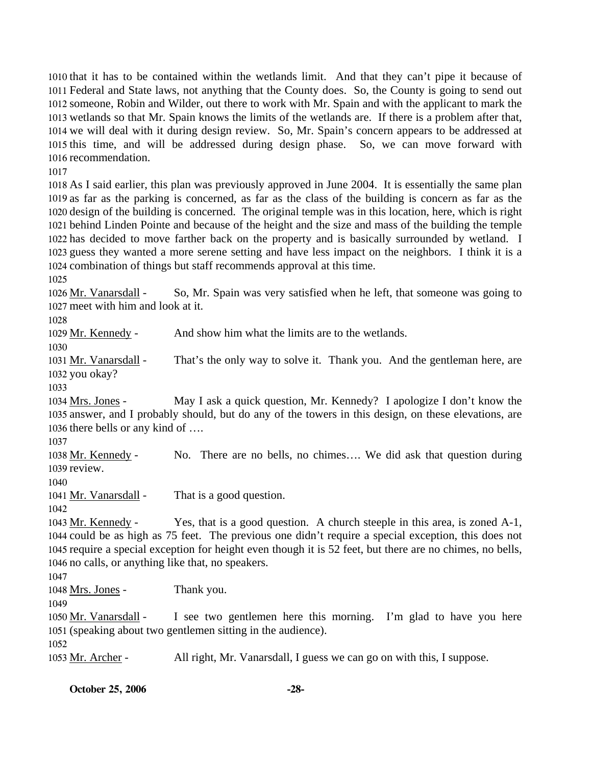that it has to be contained within the wetlands limit. And that they can't pipe it because of Federal and State laws, not anything that the County does. So, the County is going to send out someone, Robin and Wilder, out there to work with Mr. Spain and with the applicant to mark the wetlands so that Mr. Spain knows the limits of the wetlands are. If there is a problem after that, we will deal with it during design review. So, Mr. Spain's concern appears to be addressed at this time, and will be addressed during design phase. So, we can move forward with recommendation.

1017

 As I said earlier, this plan was previously approved in June 2004. It is essentially the same plan as far as the parking is concerned, as far as the class of the building is concern as far as the design of the building is concerned. The original temple was in this location, here, which is right behind Linden Pointe and because of the height and the size and mass of the building the temple has decided to move farther back on the property and is basically surrounded by wetland. I guess they wanted a more serene setting and have less impact on the neighbors. I think it is a combination of things but staff recommends approval at this time.

1025

So, Mr. Spain was very satisfied when he left, that someone was going to 1027 meet with him and look at it. 1026 Mr. Vanarsdall -

1028

1029 Mr. Kennedy - And show him what the limits are to the wetlands.

1030

That's the only way to solve it. Thank you. And the gentleman here, are 1032 you okay? 1031 Mr. Vanarsdall -

1033

May I ask a quick question, Mr. Kennedy? I apologize I don't know the 1035 answer, and I probably should, but do any of the towers in this design, on these elevations, are 1036 there bells or any kind of .... 1034 Mrs. Jones -

1037

No. There are no bells, no chimes.... We did ask that question during 1039 review. 1038 Mr. Kennedy -

1040

1041 Mr. Vanarsdall - That is a good question.

1042

Yes, that is a good question. A church steeple in this area, is zoned A-1, 1044 could be as high as 75 feet. The previous one didn't require a special exception, this does not 1045 require a special exception for height even though it is 52 feet, but there are no chimes, no bells, 1046 no calls, or anything like that, no speakers. 1043 Mr. Kennedy -

1047

1048 Mrs. Jones - Thank you.

1049

I see two gentlemen here this morning. I'm glad to have you here 1051 (speaking about two gentlemen sitting in the audience). 1050 Mr. Vanarsdall -

1052

1053 Mr. Archer - All right, Mr. Vanarsdall, I guess we can go on with this, I suppose.

**October 25, 2006 -28-**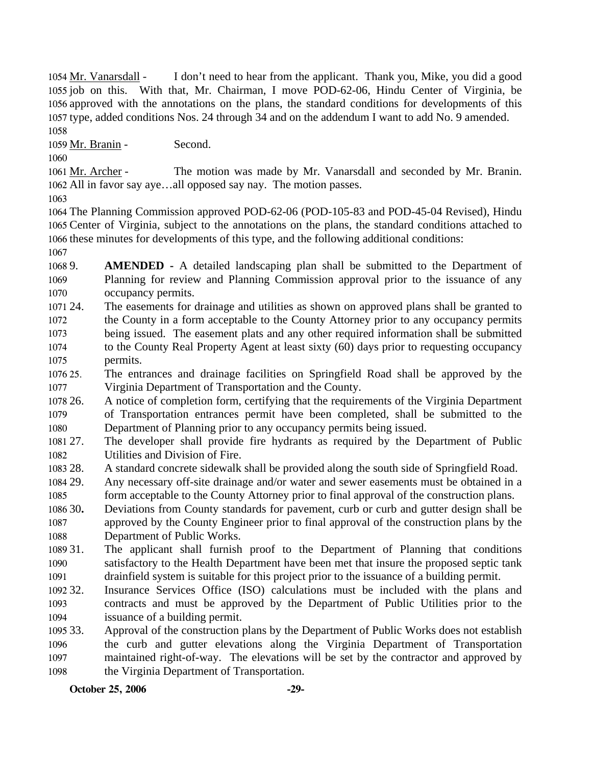I don't need to hear from the applicant. Thank you, Mike, you did a good 1055 job on this. With that, Mr. Chairman, I move POD-62-06, Hindu Center of Virginia, be 1056 approved with the annotations on the plans, the standard conditions for developments of this 1057 type, added conditions Nos. 24 through 34 and on the addendum I want to add No. 9 amended. 1054 Mr. Vanarsdall -1058

1059 Mr. Branin - Second.

1060

The motion was made by Mr. Vanarsdall and seconded by Mr. Branin. 1062 All in favor say aye...all opposed say nay. The motion passes. 1061 Mr. Archer -

1063

1064 The Planning Commission approved POD-62-06 (POD-105-83 and POD-45-04 Revised), Hindu 1065 Center of Virginia, subject to the annotations on the plans, the standard conditions attached to 1066 these minutes for developments of this type, and the following additional conditions:

1067

- 1068 9. 1069 1070 AMENDED - A detailed landscaping plan shall be submitted to the Department of Planning for review and Planning Commission approval prior to the issuance of any occupancy permits.
- 1071 24. 1072 1073 1074 1075 The easements for drainage and utilities as shown on approved plans shall be granted to the County in a form acceptable to the County Attorney prior to any occupancy permits being issued. The easement plats and any other required information shall be submitted to the County Real Property Agent at least sixty (60) days prior to requesting occupancy permits.
- 1076 25. 1077 25. The entrances and drainage facilities on Springfield Road shall be approved by the Virginia Department of Transportation and the County.
- 1078 26. 1079 1080 26. A notice of completion form, certifying that the requirements of the Virginia Department of Transportation entrances permit have been completed, shall be submitted to the Department of Planning prior to any occupancy permits being issued.
- 1081 27. 1082 The developer shall provide fire hydrants as required by the Department of Public Utilities and Division of Fire.
- 1083 28. 28. A standard concrete sidewalk shall be provided along the south side of Springfield Road.
- 1084 29. 1085 Any necessary off-site drainage and/or water and sewer easements must be obtained in a form acceptable to the County Attorney prior to final approval of the construction plans.
- 1086 30. 1087 1088 30**.** Deviations from County standards for pavement, curb or curb and gutter design shall be approved by the County Engineer prior to final approval of the construction plans by the Department of Public Works.
- 1089 31. 1090 1091 The applicant shall furnish proof to the Department of Planning that conditions satisfactory to the Health Department have been met that insure the proposed septic tank drainfield system is suitable for this project prior to the issuance of a building permit.
- 1092 32. 1093 1094 Insurance Services Office (ISO) calculations must be included with the plans and contracts and must be approved by the Department of Public Utilities prior to the issuance of a building permit.
- 1095 33. 1096 1097 1098 Approval of the construction plans by the Department of Public Works does not establish the curb and gutter elevations along the Virginia Department of Transportation maintained right-of-way. The elevations will be set by the contractor and approved by the Virginia Department of Transportation.

**October 25, 2006** -29-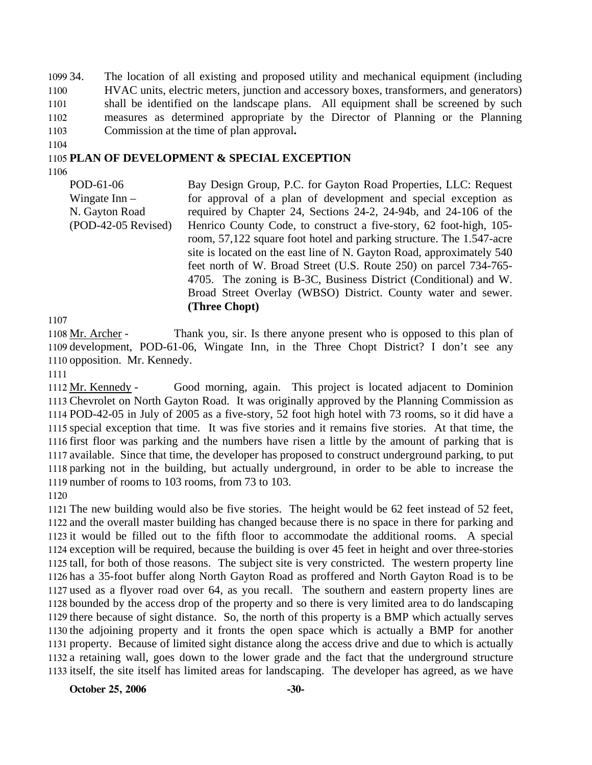1099 34. 1100 1101 1102 1103 The location of all existing and proposed utility and mechanical equipment (including HVAC units, electric meters, junction and accessory boxes, transformers, and generators) shall be identified on the landscape plans. All equipment shall be screened by such measures as determined appropriate by the Director of Planning or the Planning Commission at the time of plan approval**.** 

1104

### 1105 **PLAN OF DEVELOPMENT & SPECIAL EXCEPTION**

1106

POD-61-06 Wingate Inn – N. Gayton Road (POD-42-05 Revised) Bay Design Group, P.C. for Gayton Road Properties, LLC: Request for approval of a plan of development and special exception as required by Chapter 24, Sections 24-2, 24-94b, and 24-106 of the Henrico County Code, to construct a five-story, 62 foot-high, 105 room, 57,122 square foot hotel and parking structure. The 1.547-acre site is located on the east line of N. Gayton Road, approximately 540 feet north of W. Broad Street (U.S. Route 250) on parcel 734-765- 4705. The zoning is B-3C, Business District (Conditional) and W. Broad Street Overlay (WBSO) District. County water and sewer. **(Three Chopt)**

1107

Thank you, sir. Is there anyone present who is opposed to this plan of 1109 development, POD-61-06, Wingate Inn, in the Three Chopt District? I don't see any 1110 opposition. Mr. Kennedy. 1108 Mr. Archer -

1111

Good morning, again. This project is located adjacent to Dominion 1113 Chevrolet on North Gayton Road. It was originally approved by the Planning Commission as 1114 POD-42-05 in July of 2005 as a five-story, 52 foot high hotel with 73 rooms, so it did have a 1115 special exception that time. It was five stories and it remains five stories. At that time, the 1116 first floor was parking and the numbers have risen a little by the amount of parking that is 1117 available. Since that time, the developer has proposed to construct underground parking, to put 1118 parking not in the building, but actually underground, in order to be able to increase the 1119 number of rooms to 103 rooms, from 73 to 103. 1112 Mr. Kennedy -

1120

 The new building would also be five stories. The height would be 62 feet instead of 52 feet, and the overall master building has changed because there is no space in there for parking and it would be filled out to the fifth floor to accommodate the additional rooms. A special exception will be required, because the building is over 45 feet in height and over three-stories tall, for both of those reasons. The subject site is very constricted. The western property line has a 35-foot buffer along North Gayton Road as proffered and North Gayton Road is to be used as a flyover road over 64, as you recall. The southern and eastern property lines are bounded by the access drop of the property and so there is very limited area to do landscaping there because of sight distance. So, the north of this property is a BMP which actually serves the adjoining property and it fronts the open space which is actually a BMP for another property. Because of limited sight distance along the access drive and due to which is actually a retaining wall, goes down to the lower grade and the fact that the underground structure itself, the site itself has limited areas for landscaping. The developer has agreed, as we have

**October 25, 2006** -30-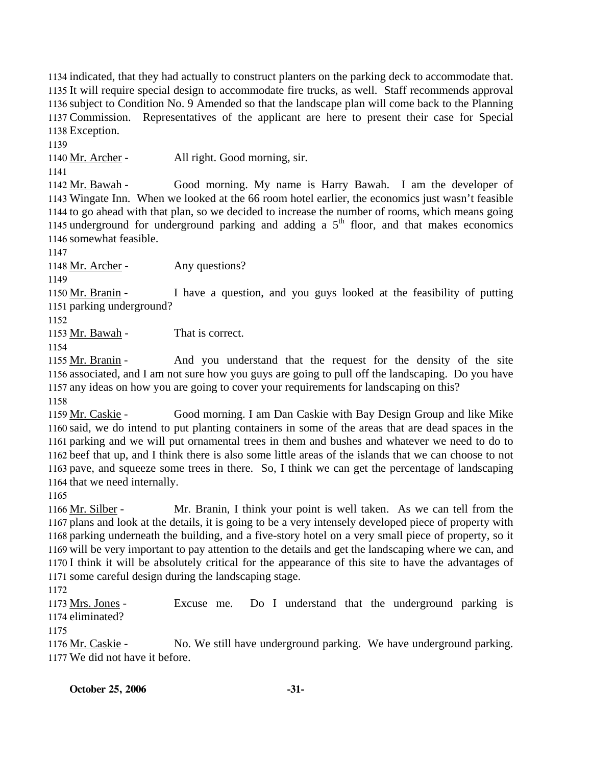indicated, that they had actually to construct planters on the parking deck to accommodate that. It will require special design to accommodate fire trucks, as well. Staff recommends approval subject to Condition No. 9 Amended so that the landscape plan will come back to the Planning Commission. Representatives of the applicant are here to present their case for Special Exception.

1139

1140 Mr. Archer - All right. Good morning, sir.

1141

Good morning. My name is Harry Bawah. I am the developer of Wingate Inn. When we looked at the 66 room hotel earlier, the economics just wasn't feasible 1143 1144 to go ahead with that plan, so we decided to increase the number of rooms, which means going 1145 underground for underground parking and adding a  $5<sup>th</sup>$  floor, and that makes economics 1142 Mr. Bawah -1146 somewhat feasible.

1147

1148 Mr. Archer - Any questions?

1149

I have a question, and you guys looked at the feasibility of putting 1151 parking underground? 1150 Mr. Branin -

1152

1153 Mr. Bawah - That is correct.

1154

And you understand that the request for the density of the site 1156 associated, and I am not sure how you guys are going to pull off the landscaping. Do you have 1157 any ideas on how you are going to cover your requirements for landscaping on this? 1155 Mr. Branin -

1158

Good morning. I am Dan Caskie with Bay Design Group and like Mike 1160 said, we do intend to put planting containers in some of the areas that are dead spaces in the 1161 parking and we will put ornamental trees in them and bushes and whatever we need to do to 1162 beef that up, and I think there is also some little areas of the islands that we can choose to not 1163 pave, and squeeze some trees in there. So, I think we can get the percentage of landscaping 1164 that we need internally. 1159 Mr. Caskie -

1165

Mr. Branin, I think your point is well taken. As we can tell from the 1167 plans and look at the details, it is going to be a very intensely developed piece of property with 1168 parking underneath the building, and a five-story hotel on a very small piece of property, so it 1169 will be very important to pay attention to the details and get the landscaping where we can, and 1170 I think it will be absolutely critical for the appearance of this site to have the advantages of 1171 some careful design during the landscaping stage. 1166 Mr. Silber -

1172

Excuse me. Do I understand that the underground parking is 1174 eliminated? 1173 Mrs. Jones -

1175

No. We still have underground parking. We have underground parking. We did not have it before. 1177 1176 Mr. Caskie -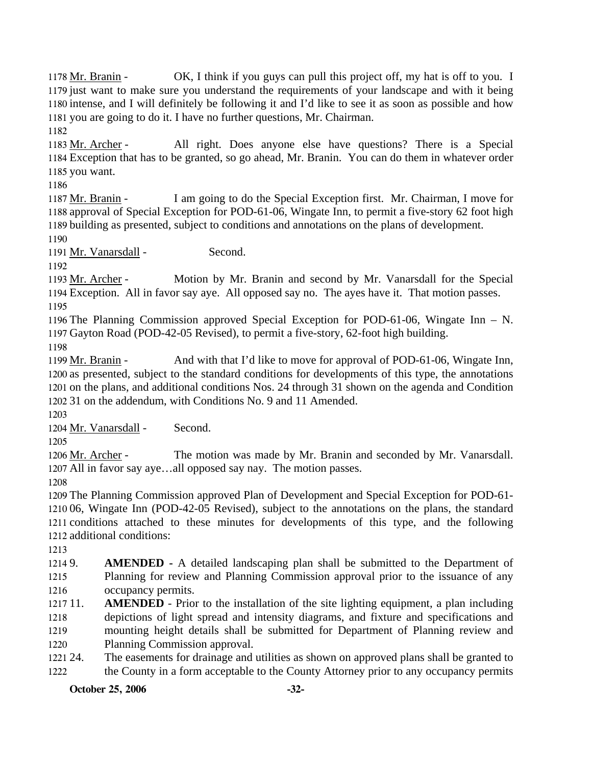**October 25, 2006** -32-OK, I think if you guys can pull this project off, my hat is off to you. I 1179 just want to make sure you understand the requirements of your landscape and with it being 1180 intense, and I will definitely be following it and I'd like to see it as soon as possible and how 1181 you are going to do it. I have no further questions, Mr. Chairman. 1178 Mr. Branin -1182 All right. Does anyone else have questions? There is a Special Exception that has to be granted, so go ahead, Mr. Branin. You can do them in whatever order 1184 1185 you want. 1183 Mr. Archer -1186 I am going to do the Special Exception first. Mr. Chairman, I move for 1188 approval of Special Exception for POD-61-06, Wingate Inn, to permit a five-story 62 foot high 1189 building as presented, subject to conditions and annotations on the plans of development. 1187 Mr. Branin -1190 1191 Mr. Vanarsdall - Second. 1192 Motion by Mr. Branin and second by Mr. Vanarsdall for the Special Exception. All in favor say aye. All opposed say no. The ayes have it. That motion passes. 1194 1193 Mr. Archer -1195 1196 The Planning Commission approved Special Exception for POD-61-06, Wingate Inn – N. 1197 Gayton Road (POD-42-05 Revised), to permit a five-story, 62-foot high building. 1198 And with that I'd like to move for approval of POD-61-06, Wingate Inn, 1200 as presented, subject to the standard conditions for developments of this type, the annotations 1201 on the plans, and additional conditions Nos. 24 through 31 shown on the agenda and Condition 1202 31 on the addendum, with Conditions No. 9 and 11 Amended. 1199 Mr. Branin -1203 1204 Mr. Vanarsdall - Second. 1205 The motion was made by Mr. Branin and seconded by Mr. Vanarsdall. 1207 All in favor say aye...all opposed say nay. The motion passes. 1206 Mr. Archer -1208 1209 The Planning Commission approved Plan of Development and Special Exception for POD-61- 1210 06, Wingate Inn (POD-42-05 Revised), subject to the annotations on the plans, the standard 1211 conditions attached to these minutes for developments of this type, and the following 1212 additional conditions: 1213 1214 9. 1215 1216  $121711.$ 1218 1219 1220 1221 24. 1222 AMENDED - A detailed landscaping plan shall be submitted to the Department of Planning for review and Planning Commission approval prior to the issuance of any occupancy permits. **AMENDED** - Prior to the installation of the site lighting equipment, a plan including depictions of light spread and intensity diagrams, and fixture and specifications and mounting height details shall be submitted for Department of Planning review and Planning Commission approval. The easements for drainage and utilities as shown on approved plans shall be granted to the County in a form acceptable to the County Attorney prior to any occupancy permits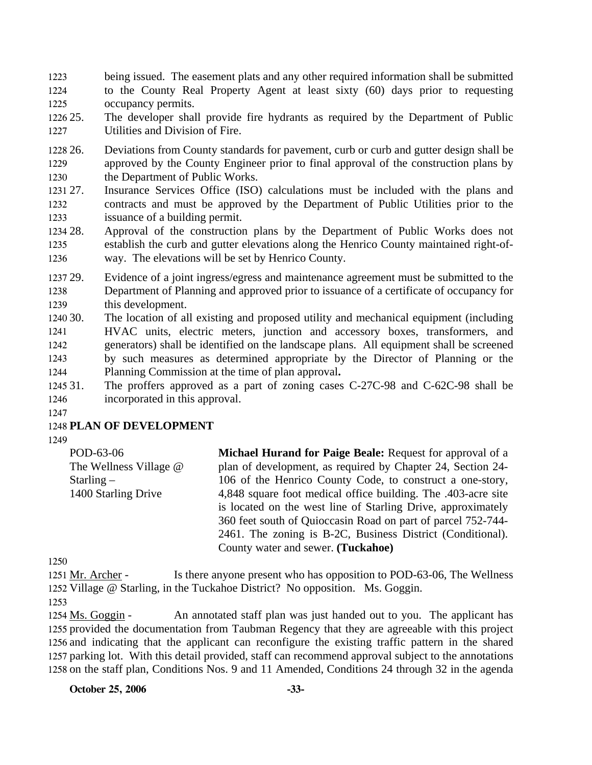- 1223 1224 1225 being issued. The easement plats and any other required information shall be submitted to the County Real Property Agent at least sixty (60) days prior to requesting occupancy permits.
- 1226 25. 1227 The developer shall provide fire hydrants as required by the Department of Public Utilities and Division of Fire.
- 1228 26. 1229 1230 26. Deviations from County standards for pavement, curb or curb and gutter design shall be approved by the County Engineer prior to final approval of the construction plans by the Department of Public Works.
- 1231 27. 1232 1233 Insurance Services Office (ISO) calculations must be included with the plans and contracts and must be approved by the Department of Public Utilities prior to the issuance of a building permit.
- 1234 28. 1235 1236 Approval of the construction plans by the Department of Public Works does not establish the curb and gutter elevations along the Henrico County maintained right-ofway. The elevations will be set by Henrico County.
- 1237 29. 1238 1239 Evidence of a joint ingress/egress and maintenance agreement must be submitted to the Department of Planning and approved prior to issuance of a certificate of occupancy for this development.
- 1240 30. 1241 1242 1243 1244 The location of all existing and proposed utility and mechanical equipment (including HVAC units, electric meters, junction and accessory boxes, transformers, and generators) shall be identified on the landscape plans. All equipment shall be screened by such measures as determined appropriate by the Director of Planning or the Planning Commission at the time of plan approval**.**
- 1245 31 1246 The proffers approved as a part of zoning cases C-27C-98 and C-62C-98 shall be incorporated in this approval.
- 1247

## 1248 **PLAN OF DEVELOPMENT**

1249

| POD-63-06              | <b>Michael Hurand for Paige Beale:</b> Request for approval of a |  |
|------------------------|------------------------------------------------------------------|--|
| The Wellness Village @ | plan of development, as required by Chapter 24, Section 24-      |  |
| Starling $-$           | 106 of the Henrico County Code, to construct a one-story,        |  |
| 1400 Starling Drive    | 4,848 square foot medical office building. The .403-acre site    |  |
|                        | is located on the west line of Starling Drive, approximately     |  |
|                        | 360 feet south of Quioccasin Road on part of parcel 752-744-     |  |
|                        | 2461. The zoning is B-2C, Business District (Conditional).       |  |
|                        | County water and sewer. (Tuckahoe)                               |  |

1250

Is there anyone present who has opposition to POD-63-06, The Wellness 1252 Village @ Starling, in the Tuckahoe District? No opposition. Ms. Goggin. 1251 Mr. Archer -

1253

An annotated staff plan was just handed out to you. The applicant has 1255 provided the documentation from Taubman Regency that they are agreeable with this project 1256 and indicating that the applicant can reconfigure the existing traffic pattern in the shared 1257 parking lot. With this detail provided, staff can recommend approval subject to the annotations 1258 on the staff plan, Conditions Nos. 9 and 11 Amended, Conditions 24 through 32 in the agenda 1254 Ms. Goggin -

**October 25, 2006** -33-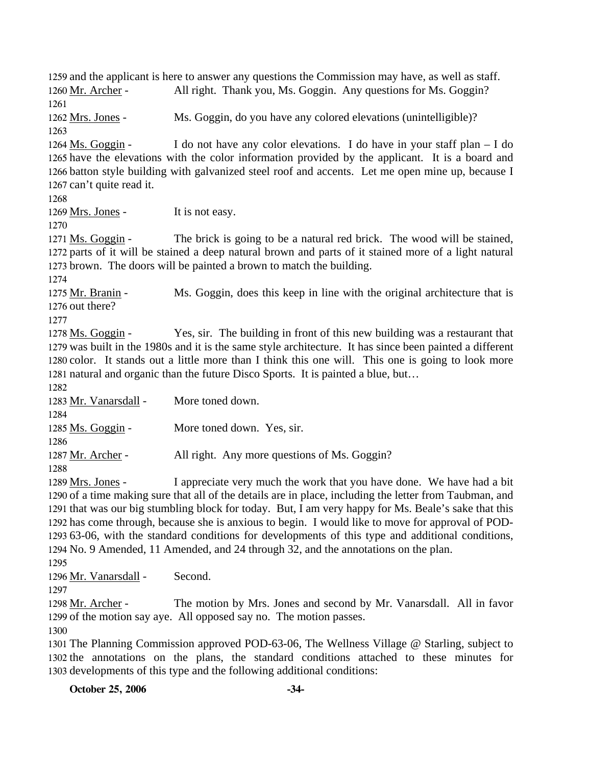1259 and the applicant is here to answer any questions the Commission may have, as well as staff. 1260 Mr. Archer - All right. Thank you, Ms. Goggin. Any questions for Ms. Goggin? 1261 1262 Mrs. Jones - Ms. Goggin, do you have any colored elevations (unintelligible)? 1263 I do not have any color elevations. I do have in your staff plan  $-$  I do 1265 have the elevations with the color information provided by the applicant. It is a board and 1266 batton style building with galvanized steel roof and accents. Let me open mine up, because I 1267 can't quite read it. 1264 Ms. Goggin -1268 1269 Mrs. Jones - It is not easy. 1270 The brick is going to be a natural red brick. The wood will be stained, 1272 parts of it will be stained a deep natural brown and parts of it stained more of a light natural 1273 brown. The doors will be painted a brown to match the building. 1271 Ms. Goggin -1274 Ms. Goggin, does this keep in line with the original architecture that is 1276 out there? 1275 Mr. Branin -1277 Yes, sir. The building in front of this new building was a restaurant that 1279 was built in the 1980s and it is the same style architecture. It has since been painted a different 1280 color. It stands out a little more than I think this one will. This one is going to look more 1281 natural and organic than the future Disco Sports. It is painted a blue, but... 1278 Ms. Goggin -1282 1283 Mr. Vanarsdall - More toned down. 1284 1285 Ms. Goggin - More toned down. Yes, sir. 1286 1287 Mr. Archer - All right. Any more questions of Ms. Goggin? 1288 I appreciate very much the work that you have done. We have had a bit 1290 of a time making sure that all of the details are in place, including the letter from Taubman, and 1291 that was our big stumbling block for today. But, I am very happy for Ms. Beale's sake that this 1292 has come through, because she is anxious to begin. I would like to move for approval of POD-63-06, with the standard conditions for developments of this type and additional conditions, 1293 1294 No. 9 Amended, 11 Amended, and 24 through 32, and the annotations on the plan. 1289 Mrs. Jones -1295 1296 Mr. Vanarsdall - Second. 1297 The motion by Mrs. Jones and second by Mr. Vanarsdall. All in favor 1299 of the motion say aye. All opposed say no. The motion passes. 1298 Mr. Archer -1300 1301 The Planning Commission approved POD-63-06, The Wellness Village @ Starling, subject to 1302 the annotations on the plans, the standard conditions attached to these minutes for 1303 developments of this type and the following additional conditions: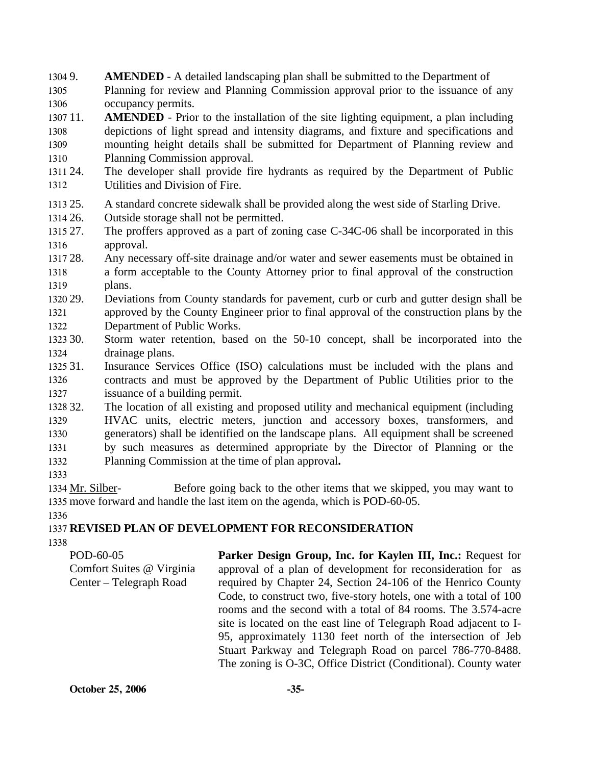1304 9. 1305 1306 AMENDED - A detailed landscaping plan shall be submitted to the Department of Planning for review and Planning Commission approval prior to the issuance of any occupancy permits.

1307 11. 1308 1309 1310 **AMENDED** - Prior to the installation of the site lighting equipment, a plan including depictions of light spread and intensity diagrams, and fixture and specifications and mounting height details shall be submitted for Department of Planning review and Planning Commission approval.

- 1311 24. 1312 The developer shall provide fire hydrants as required by the Department of Public Utilities and Division of Fire.
- 1313 25. A standard concrete sidewalk shall be provided along the west side of Starling Drive.
- 1314 26. Outside storage shall not be permitted.
- 1315 27 1316 The proffers approved as a part of zoning case C-34C-06 shall be incorporated in this approval.
- 1317 28. 1318 1319 Any necessary off-site drainage and/or water and sewer easements must be obtained in a form acceptable to the County Attorney prior to final approval of the construction plans.
- 1320 29. 1321 1322 29. Deviations from County standards for pavement, curb or curb and gutter design shall be approved by the County Engineer prior to final approval of the construction plans by the Department of Public Works.
- 1323 30. 1324 Storm water retention, based on the 50-10 concept, shall be incorporated into the drainage plans.
- 1325 31. 1326 1327 Insurance Services Office (ISO) calculations must be included with the plans and contracts and must be approved by the Department of Public Utilities prior to the issuance of a building permit.
- 1328 32. 1329 1330 1331 1332 The location of all existing and proposed utility and mechanical equipment (including HVAC units, electric meters, junction and accessory boxes, transformers, and generators) shall be identified on the landscape plans. All equipment shall be screened by such measures as determined appropriate by the Director of Planning or the Planning Commission at the time of plan approval**.**
- 1333

Before going back to the other items that we skipped, you may want to 1335 move forward and handle the last item on the agenda, which is POD-60-05. 1334 Mr. Silber-

1336

# 1337 **REVISED PLAN OF DEVELOPMENT FOR RECONSIDERATION**

1338

POD-60-05 Comfort Suites @ Virginia Center – Telegraph Road Parker Design Group, Inc. for Kaylen III, Inc.: Request for approval of a plan of development for reconsideration for as required by Chapter 24, Section 24-106 of the Henrico County Code, to construct two, five-story hotels, one with a total of 100 rooms and the second with a total of 84 rooms. The 3.574-acre site is located on the east line of Telegraph Road adjacent to I-95, approximately 1130 feet north of the intersection of Jeb Stuart Parkway and Telegraph Road on parcel 786-770-8488. The zoning is O-3C, Office District (Conditional). County water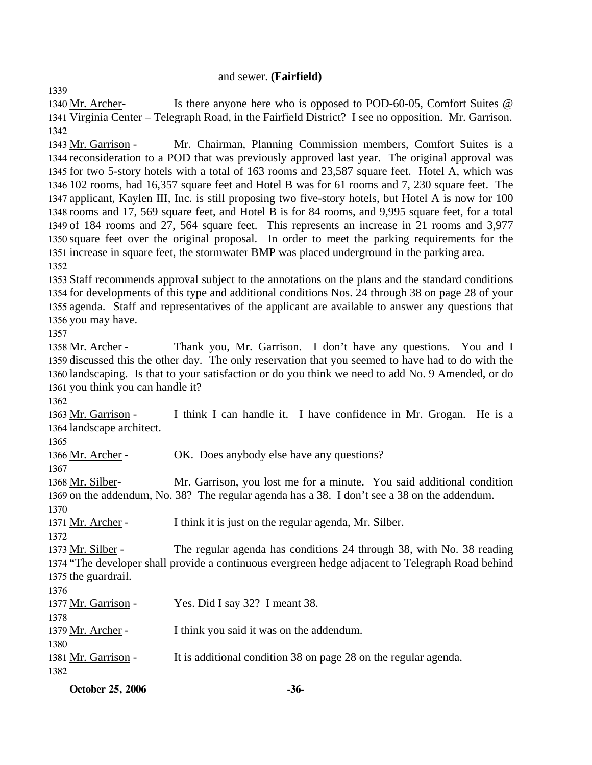#### and sewer. **(Fairfield)**

Is there anyone here who is opposed to POD-60-05, Comfort Suites @ 1341 Virginia Center - Telegraph Road, in the Fairfield District? I see no opposition. Mr. Garrison. 1340 Mr. Archer-1342

Mr. Chairman, Planning Commission members, Comfort Suites is a 1344 reconsideration to a POD that was previously approved last year. The original approval was 1345 for two 5-story hotels with a total of 163 rooms and 23,587 square feet. Hotel A, which was 102 rooms, had 16,357 square feet and Hotel B was for 61 rooms and 7, 230 square feet. The 1346 1347 applicant, Kaylen III, Inc. is still proposing two five-story hotels, but Hotel A is now for 100 1348 rooms and 17, 569 square feet, and Hotel B is for 84 rooms, and 9,995 square feet, for a total 1349 of 184 rooms and 27, 564 square feet. This represents an increase in 21 rooms and 3,977 1350 square feet over the original proposal. In order to meet the parking requirements for the 1351 increase in square feet, the stormwater BMP was placed underground in the parking area. 1343 Mr. Garrison -1352

 Staff recommends approval subject to the annotations on the plans and the standard conditions for developments of this type and additional conditions Nos. 24 through 38 on page 28 of your agenda. Staff and representatives of the applicant are available to answer any questions that you may have.

1357

1339

Thank you, Mr. Garrison. I don't have any questions. You and I 1359 discussed this the other day. The only reservation that you seemed to have had to do with the 1360 landscaping. Is that to your satisfaction or do you think we need to add No. 9 Amended, or do 1361 you think you can handle it? 1358 Mr. Archer -

1362

I think I can handle it. I have confidence in Mr. Grogan. He is a 1364 landscape architect. 1363 Mr. Garrison -

1365

1366 Mr. Archer - OK. Does anybody else have any questions?

1367

Mr. Garrison, you lost me for a minute. You said additional condition 1369 on the addendum, No. 38? The regular agenda has a 38. I don't see a 38 on the addendum. 1368 Mr. Silber-1370

1371 Mr. Archer - I think it is just on the regular agenda, Mr. Silber.

1372

The regular agenda has conditions 24 through 38, with No. 38 reading 1374 "The developer shall provide a continuous evergreen hedge adjacent to Telegraph Road behind 1375 the guardrail. 1373 Mr. Silber -

1376

1380

1377 Mr. Garrison - Yes. Did I say 32? I meant 38. 1378

1379 Mr. Archer - I think you said it was on the addendum.

1381 Mr. Garrison - It is additional condition 38 on page 28 on the regular agenda.

1382

**October 25, 2006** -36-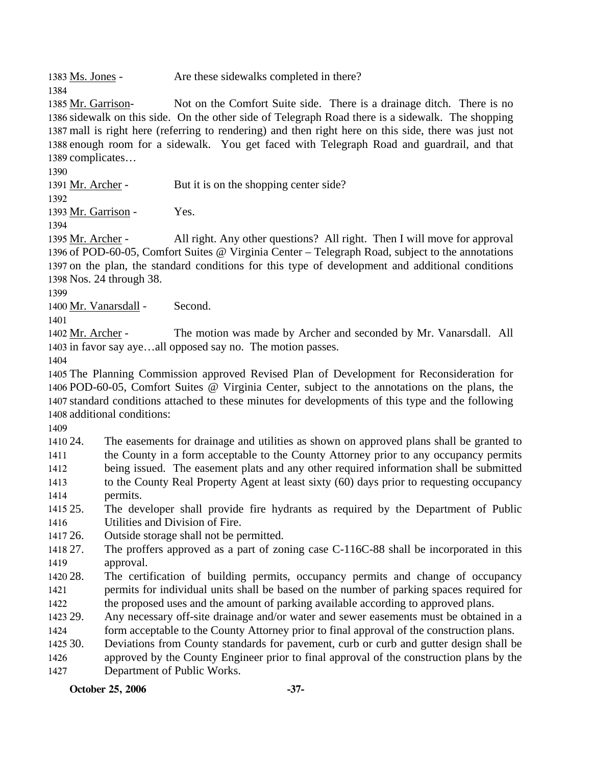1383 Ms. Jones - Are these sidewalks completed in there?

Not on the Comfort Suite side. There is a drainage ditch. There is no 1386 sidewalk on this side. On the other side of Telegraph Road there is a sidewalk. The shopping 1387 mall is right here (referring to rendering) and then right here on this side, there was just not 1388 enough room for a sidewalk. You get faced with Telegraph Road and guardrail, and that 1389 complicates... 1385 Mr. Garrison-

1390 1391 Mr. Archer - But it is on the shopping center side? 1392 1393 Mr. Garrison - Yes. 1394 All right. Any other questions? All right. Then I will move for approval 1396 of POD-60-05, Comfort Suites @ Virginia Center - Telegraph Road, subject to the annotations 1397 on the plan, the standard conditions for this type of development and additional conditions 1398 Nos. 24 through 38. 1395 Mr. Archer -1399 1400 Mr. Vanarsdall - Second. 1401 The motion was made by Archer and seconded by Mr. Vanarsdall. All 1402 Mr. Archer -

1403 in favor say aye...all opposed say no. The motion passes.

1404

1384

 The Planning Commission approved Revised Plan of Development for Reconsideration for POD-60-05, Comfort Suites @ Virginia Center, subject to the annotations on the plans, the standard conditions attached to these minutes for developments of this type and the following additional conditions:

1409

1410 24. 1411 1412 1413 1414 24. The easements for drainage and utilities as shown on approved plans shall be granted to the County in a form acceptable to the County Attorney prior to any occupancy permits being issued. The easement plats and any other required information shall be submitted to the County Real Property Agent at least sixty (60) days prior to requesting occupancy permits.

1415 25. 1416 The developer shall provide fire hydrants as required by the Department of Public Utilities and Division of Fire.

1417 26. Outside storage shall not be permitted.

1418 27 1419 The proffers approved as a part of zoning case C-116C-88 shall be incorporated in this approval.

1420 28. 1421 1422 The certification of building permits, occupancy permits and change of occupancy permits for individual units shall be based on the number of parking spaces required for the proposed uses and the amount of parking available according to approved plans.

1423 29. 1424 Any necessary off-site drainage and/or water and sewer easements must be obtained in a form acceptable to the County Attorney prior to final approval of the construction plans.

1425 30. 30. Deviations from County standards for pavement, curb or curb and gutter design shall be

1426 1427 approved by the County Engineer prior to final approval of the construction plans by the Department of Public Works.

**October 25, 2006** -37-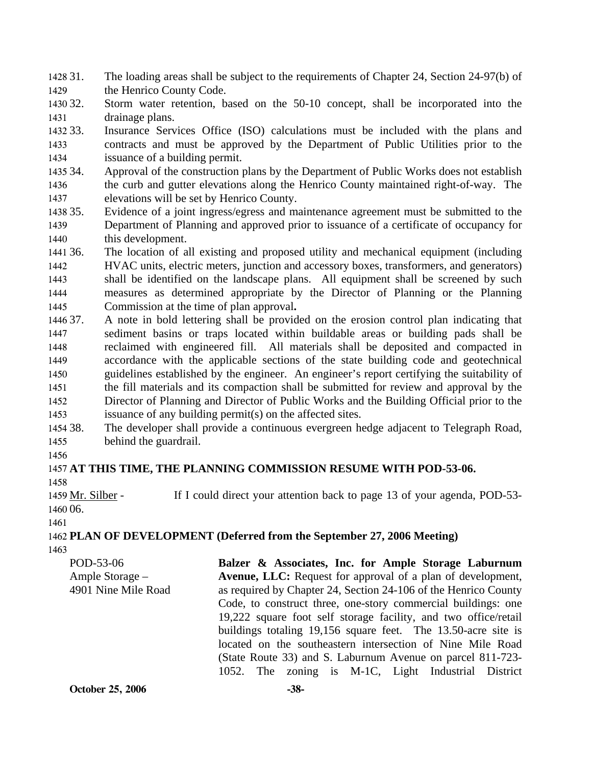1428 31. 1429 The loading areas shall be subject to the requirements of Chapter 24, Section 24-97(b) of the Henrico County Code.

1430 32. 1431 Storm water retention, based on the 50-10 concept, shall be incorporated into the drainage plans.

1432 33. 1433 1434 Insurance Services Office (ISO) calculations must be included with the plans and contracts and must be approved by the Department of Public Utilities prior to the issuance of a building permit.

1435 34. 1436 1437 Approval of the construction plans by the Department of Public Works does not establish the curb and gutter elevations along the Henrico County maintained right-of-way. The elevations will be set by Henrico County.

1438 35. 1439 1440 Evidence of a joint ingress/egress and maintenance agreement must be submitted to the Department of Planning and approved prior to issuance of a certificate of occupancy for this development.

1441 36 1442 1443 1444 1445 36. The location of all existing and proposed utility and mechanical equipment (including HVAC units, electric meters, junction and accessory boxes, transformers, and generators) shall be identified on the landscape plans. All equipment shall be screened by such measures as determined appropriate by the Director of Planning or the Planning Commission at the time of plan approval**.**

1446 37. 1447 1448 1449 1450 1451 1452 1453 37. A note in bold lettering shall be provided on the erosion control plan indicating that sediment basins or traps located within buildable areas or building pads shall be reclaimed with engineered fill. All materials shall be deposited and compacted in accordance with the applicable sections of the state building code and geotechnical guidelines established by the engineer. An engineer's report certifying the suitability of the fill materials and its compaction shall be submitted for review and approval by the Director of Planning and Director of Public Works and the Building Official prior to the issuance of any building permit(s) on the affected sites.

1454 38. 1455 The developer shall provide a continuous evergreen hedge adjacent to Telegraph Road, behind the guardrail.

1456

#### 1457 **AT THIS TIME, THE PLANNING COMMISSION RESUME WITH POD-53-06.**  1458

If I could direct your attention back to page 13 of your agenda, POD-53-1460 06. 1459 Mr. Silber -

```
1461
```
1462 **PLAN OF DEVELOPMENT (Deferred from the September 27, 2006 Meeting)** 

| POD-53-06           | Balzer & Associates, Inc. for Ample Storage Laburnum               |  |  |
|---------------------|--------------------------------------------------------------------|--|--|
| Ample Storage -     | <b>Avenue, LLC:</b> Request for approval of a plan of development, |  |  |
| 4901 Nine Mile Road | as required by Chapter 24, Section 24-106 of the Henrico County    |  |  |
|                     | Code, to construct three, one-story commercial buildings: one      |  |  |
|                     | 19,222 square foot self storage facility, and two office/retail    |  |  |
|                     | buildings totaling 19,156 square feet. The 13.50-acre site is      |  |  |
|                     | located on the southeastern intersection of Nine Mile Road         |  |  |
|                     | (State Route 33) and S. Laburnum Avenue on parcel 811-723-         |  |  |
|                     | 1052. The zoning is M-1C, Light Industrial District                |  |  |
| October 25, 2006    | $-38-$                                                             |  |  |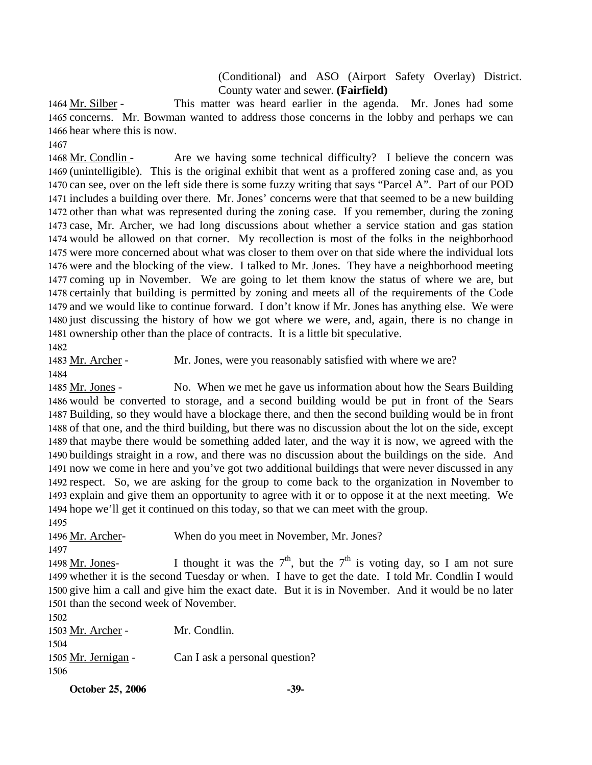(Conditional) and ASO (Airport Safety Overlay) District. County water and sewer. **(Fairfield)** 

This matter was heard earlier in the agenda. Mr. Jones had some 1465 concerns. Mr. Bowman wanted to address those concerns in the lobby and perhaps we can 1466 hear where this is now. 1464 Mr. Silber -

1467

Are we having some technical difficulty? I believe the concern was 1469 (unintelligible). This is the original exhibit that went as a proffered zoning case and, as you 1470 can see, over on the left side there is some fuzzy writing that says "Parcel A". Part of our POD 1471 includes a building over there. Mr. Jones' concerns were that that seemed to be a new building 1472 other than what was represented during the zoning case. If you remember, during the zoning 1473 case, Mr. Archer, we had long discussions about whether a service station and gas station 1474 would be allowed on that corner. My recollection is most of the folks in the neighborhood 1475 were more concerned about what was closer to them over on that side where the individual lots 1476 were and the blocking of the view. I talked to Mr. Jones. They have a neighborhood meeting 1477 coming up in November. We are going to let them know the status of where we are, but 1478 certainly that building is permitted by zoning and meets all of the requirements of the Code 1479 and we would like to continue forward. I don't know if Mr. Jones has anything else. We were 1480 just discussing the history of how we got where we were, and, again, there is no change in 1481 ownership other than the place of contracts. It is a little bit speculative. 1468 Mr. Condlin -1482

1483 Mr. Archer - Mr. Jones, were you reasonably satisfied with where we are? 1484

No. When we met he gave us information about how the Sears Building 1486 would be converted to storage, and a second building would be put in front of the Sears 1487 Building, so they would have a blockage there, and then the second building would be in front 1488 of that one, and the third building, but there was no discussion about the lot on the side, except 1489 that maybe there would be something added later, and the way it is now, we agreed with the 1490 buildings straight in a row, and there was no discussion about the buildings on the side. And 1491 now we come in here and you've got two additional buildings that were never discussed in any 1492 respect. So, we are asking for the group to come back to the organization in November to 1493 explain and give them an opportunity to agree with it or to oppose it at the next meeting. We 1494 hope we'll get it continued on this today, so that we can meet with the group. 1485 Mr. Jones -1495

1496 Mr. Archer- When do you meet in November, Mr. Jones?

1497

I thought it was the  $7<sup>th</sup>$ , but the  $7<sup>th</sup>$  is voting day, so I am not sure 1499 whether it is the second Tuesday or when. I have to get the date. I told Mr. Condlin I would 1500 give him a call and give him the exact date. But it is in November. And it would be no later 1501 than the second week of November. 1498 Mr. Jones-

1502 1503 Mr. Archer - Mr. Condlin. 1504 1505 Mr. Jernigan - Can I ask a personal question? 1506

**October 25, 2006** -39-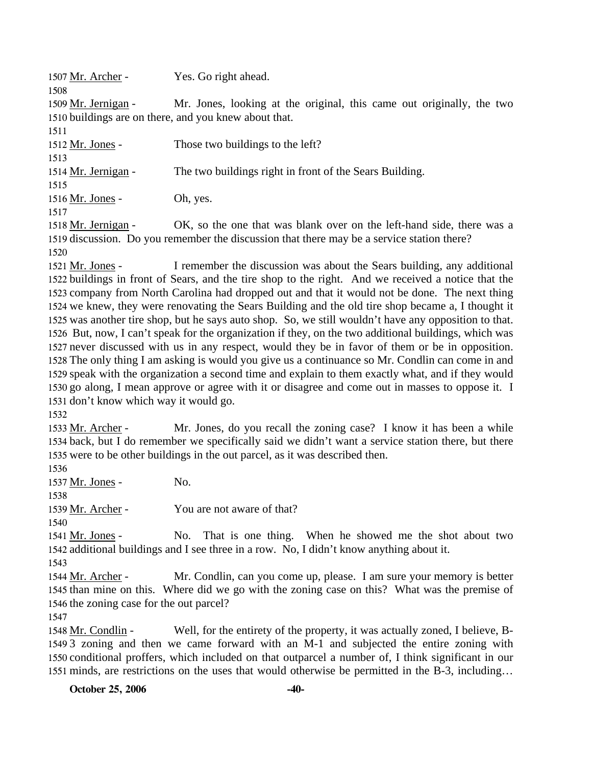1507 Mr. Archer - Yes. Go right ahead. 1508 Mr. Jones, looking at the original, this came out originally, the two 1510 buildings are on there, and you knew about that. 1509 Mr. Jernigan -1511 1512 Mr. Jones - Those two buildings to the left? 1513 1514 Mr. Jernigan - The two buildings right in front of the Sears Building. 1515 1516 Mr. Jones - Oh, yes. 1517

OK, so the one that was blank over on the left-hand side, there was a 1519 discussion. Do you remember the discussion that there may be a service station there? 1518 Mr. Jernigan -1520

I remember the discussion was about the Sears building, any additional 1522 buildings in front of Sears, and the tire shop to the right. And we received a notice that the 1523 company from North Carolina had dropped out and that it would not be done. The next thing 1524 we knew, they were renovating the Sears Building and the old tire shop became a, I thought it 1525 was another tire shop, but he says auto shop. So, we still wouldn't have any opposition to that. 1526 But, now, I can't speak for the organization if they, on the two additional buildings, which was 1527 never discussed with us in any respect, would they be in favor of them or be in opposition. 1528 The only thing I am asking is would you give us a continuance so Mr. Condlin can come in and 1529 speak with the organization a second time and explain to them exactly what, and if they would 1530 go along, I mean approve or agree with it or disagree and come out in masses to oppose it. I 1531 don't know which way it would go. 1521 Mr. Jones -

1532

Mr. Jones, do you recall the zoning case? I know it has been a while 1534 back, but I do remember we specifically said we didn't want a service station there, but there 1535 were to be other buildings in the out parcel, as it was described then. 1533 Mr. Archer -

1536

1537 Mr. Jones - No. 1538 1539 Mr. Archer - You are not aware of that? 1540

No. That is one thing. When he showed me the shot about two 1542 additional buildings and I see three in a row. No, I didn't know anything about it. 1541 Mr. Jones -1543

Mr. Condlin, can you come up, please. I am sure your memory is better 1545 than mine on this. Where did we go with the zoning case on this? What was the premise of 1546 the zoning case for the out parcel? 1544 Mr. Archer -

1547

Well, for the entirety of the property, it was actually zoned, I believe, B-1549 3 zoning and then we came forward with an M-1 and subjected the entire zoning with 1550 conditional proffers, which included on that outparcel a number of, I think significant in our 1551 minds, are restrictions on the uses that would otherwise be permitted in the B-3, including... 1548 Mr. Condlin -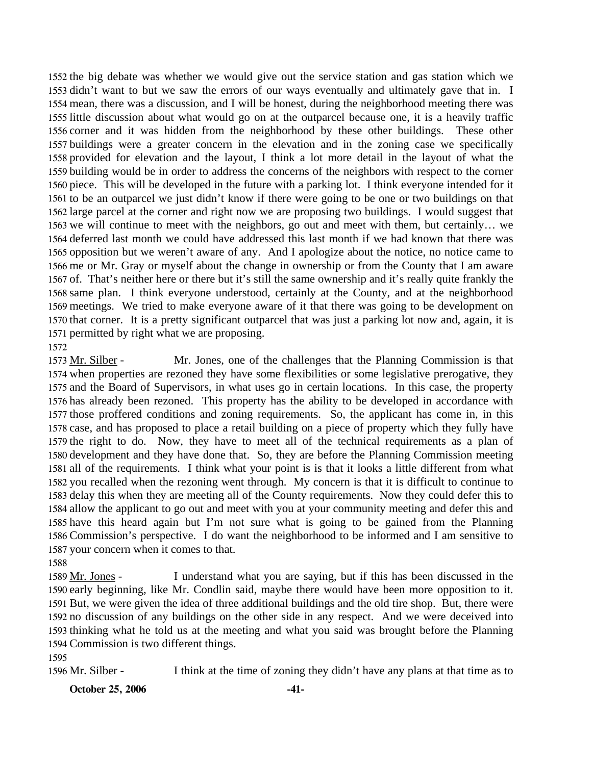the big debate was whether we would give out the service station and gas station which we didn't want to but we saw the errors of our ways eventually and ultimately gave that in. I mean, there was a discussion, and I will be honest, during the neighborhood meeting there was little discussion about what would go on at the outparcel because one, it is a heavily traffic corner and it was hidden from the neighborhood by these other buildings. These other buildings were a greater concern in the elevation and in the zoning case we specifically provided for elevation and the layout, I think a lot more detail in the layout of what the building would be in order to address the concerns of the neighbors with respect to the corner piece. This will be developed in the future with a parking lot. I think everyone intended for it to be an outparcel we just didn't know if there were going to be one or two buildings on that large parcel at the corner and right now we are proposing two buildings. I would suggest that we will continue to meet with the neighbors, go out and meet with them, but certainly… we deferred last month we could have addressed this last month if we had known that there was opposition but we weren't aware of any. And I apologize about the notice, no notice came to me or Mr. Gray or myself about the change in ownership or from the County that I am aware of. That's neither here or there but it's still the same ownership and it's really quite frankly the same plan. I think everyone understood, certainly at the County, and at the neighborhood meetings. We tried to make everyone aware of it that there was going to be development on that corner. It is a pretty significant outparcel that was just a parking lot now and, again, it is permitted by right what we are proposing.

Mr. Jones, one of the challenges that the Planning Commission is that 1574 when properties are rezoned they have some flexibilities or some legislative prerogative, they 1575 and the Board of Supervisors, in what uses go in certain locations. In this case, the property 1576 has already been rezoned. This property has the ability to be developed in accordance with 1577 those proffered conditions and zoning requirements. So, the applicant has come in, in this 1578 case, and has proposed to place a retail building on a piece of property which they fully have 1579 the right to do. Now, they have to meet all of the technical requirements as a plan of 1580 development and they have done that. So, they are before the Planning Commission meeting 1581 all of the requirements. I think what your point is is that it looks a little different from what 1582 you recalled when the rezoning went through. My concern is that it is difficult to continue to 1583 delay this when they are meeting all of the County requirements. Now they could defer this to 1584 allow the applicant to go out and meet with you at your community meeting and defer this and 1585 have this heard again but I'm not sure what is going to be gained from the Planning 1586 Commission's perspective. I do want the neighborhood to be informed and I am sensitive to 1587 your concern when it comes to that. 1573 Mr. Silber -

1588

1572

I understand what you are saying, but if this has been discussed in the 1590 early beginning, like Mr. Condlin said, maybe there would have been more opposition to it. 1591 But, we were given the idea of three additional buildings and the old tire shop. But, there were 1592 no discussion of any buildings on the other side in any respect. And we were deceived into 1593 thinking what he told us at the meeting and what you said was brought before the Planning 1594 Commission is two different things. 1589 Mr. Jones -

1595

1596 Mr. Silber - I think at the time of zoning they didn't have any plans at that time as to

**October 25, 2006 -41-**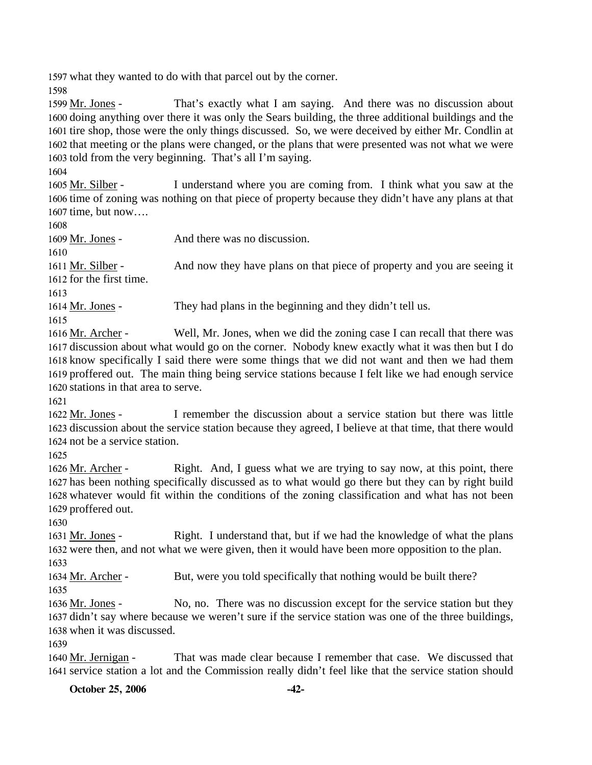1597 what they wanted to do with that parcel out by the corner.

1598

That's exactly what I am saying. And there was no discussion about 1600 doing anything over there it was only the Sears building, the three additional buildings and the 1601 tire shop, those were the only things discussed. So, we were deceived by either Mr. Condlin at 1602 that meeting or the plans were changed, or the plans that were presented was not what we were 1603 told from the very beginning. That's all I'm saying. 1599 Mr. Jones -

1604

I understand where you are coming from. I think what you saw at the 1606 time of zoning was nothing on that piece of property because they didn't have any plans at that 1607 time, but now.... 1605 Mr. Silber -

1608

1609 Mr. Jones - And there was no discussion. 1610 And now they have plans on that piece of property and you are seeing it 1612 for the first time. 1611 Mr. Silber -1613 1614 Mr. Jones - They had plans in the beginning and they didn't tell us. 1615

Well, Mr. Jones, when we did the zoning case I can recall that there was 1617 discussion about what would go on the corner. Nobody knew exactly what it was then but I do 1618 know specifically I said there were some things that we did not want and then we had them 1619 proffered out. The main thing being service stations because I felt like we had enough service 1620 stations in that area to serve. 1616 Mr. Archer -

1621

I remember the discussion about a service station but there was little 1623 discussion about the service station because they agreed, I believe at that time, that there would 1624 not be a service station. 1622 Mr. Jones -

1625

Right. And, I guess what we are trying to say now, at this point, there 1627 has been nothing specifically discussed as to what would go there but they can by right build 1628 whatever would fit within the conditions of the zoning classification and what has not been 1629 proffered out. 1626 Mr. Archer -

1630

Right. I understand that, but if we had the knowledge of what the plans 1632 were then, and not what we were given, then it would have been more opposition to the plan. 1631 Mr. Jones -1633

1634 Mr. Archer - But, were you told specifically that nothing would be built there?

1635

No, no. There was no discussion except for the service station but they 1637 didn't say where because we weren't sure if the service station was one of the three buildings, 1638 when it was discussed. 1636 Mr. Jones -

1639

That was made clear because I remember that case. We discussed that 1641 service station a lot and the Commission really didn't feel like that the service station should 1640 Mr. Jernigan -

**October 25, 2006 -42-**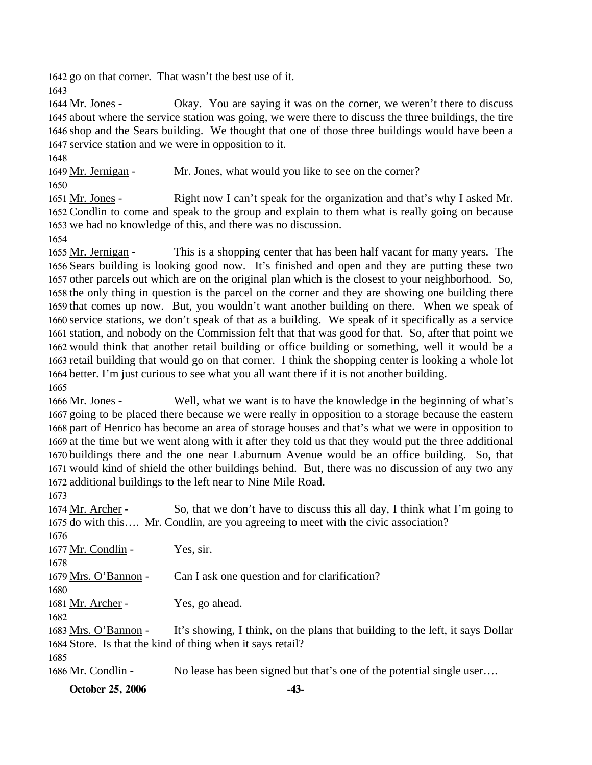1642 go on that corner. That wasn't the best use of it.

1643

Okay. You are saying it was on the corner, we weren't there to discuss 1645 about where the service station was going, we were there to discuss the three buildings, the tire 1646 shop and the Sears building. We thought that one of those three buildings would have been a 1647 service station and we were in opposition to it. 1644 Mr. Jones -

1648

1649 Mr. Jernigan - Mr. Jones, what would you like to see on the corner?

1650

Right now I can't speak for the organization and that's why I asked Mr. 1652 Condlin to come and speak to the group and explain to them what is really going on because 1653 we had no knowledge of this, and there was no discussion. 1651 Mr. Jones -

1654

This is a shopping center that has been half vacant for many years. The 1656 Sears building is looking good now. It's finished and open and they are putting these two 1657 other parcels out which are on the original plan which is the closest to your neighborhood. So, 1658 the only thing in question is the parcel on the corner and they are showing one building there 1659 that comes up now. But, you wouldn't want another building on there. When we speak of 1660 service stations, we don't speak of that as a building. We speak of it specifically as a service 1661 station, and nobody on the Commission felt that that was good for that. So, after that point we 1662 would think that another retail building or office building or something, well it would be a 1663 retail building that would go on that corner. I think the shopping center is looking a whole lot 1664 better. I'm just curious to see what you all want there if it is not another building. 1655 Mr. Jernigan -1665

Well, what we want is to have the knowledge in the beginning of what's 1667 going to be placed there because we were really in opposition to a storage because the eastern 1668 part of Henrico has become an area of storage houses and that's what we were in opposition to 1669 at the time but we went along with it after they told us that they would put the three additional 1670 buildings there and the one near Laburnum Avenue would be an office building. So, that 1671 would kind of shield the other buildings behind. But, there was no discussion of any two any 1672 additional buildings to the left near to Nine Mile Road. 1666 Mr. Jones -

1673

So, that we don't have to discuss this all day, I think what I'm going to 1675 do with this.... Mr. Condlin, are you agreeing to meet with the civic association? 1674 Mr. Archer -1676

| ,,,,,,               |                                                                               |
|----------------------|-------------------------------------------------------------------------------|
| 1677 Mr. Condlin -   | Yes, sir.                                                                     |
| 1678                 |                                                                               |
| 1679 Mrs. O'Bannon - | Can I ask one question and for clarification?                                 |
| 1680                 |                                                                               |
| 1681 Mr. Archer -    | Yes, go ahead.                                                                |
| 1682                 |                                                                               |
| 1683 Mrs. O'Bannon - | It's showing, I think, on the plans that building to the left, it says Dollar |
|                      | 1684 Store. Is that the kind of thing when it says retail?                    |
| 1685                 |                                                                               |
| 1686 Mr. Condlin -   | No lease has been signed but that's one of the potential single user          |

**October 25, 2006 -43-**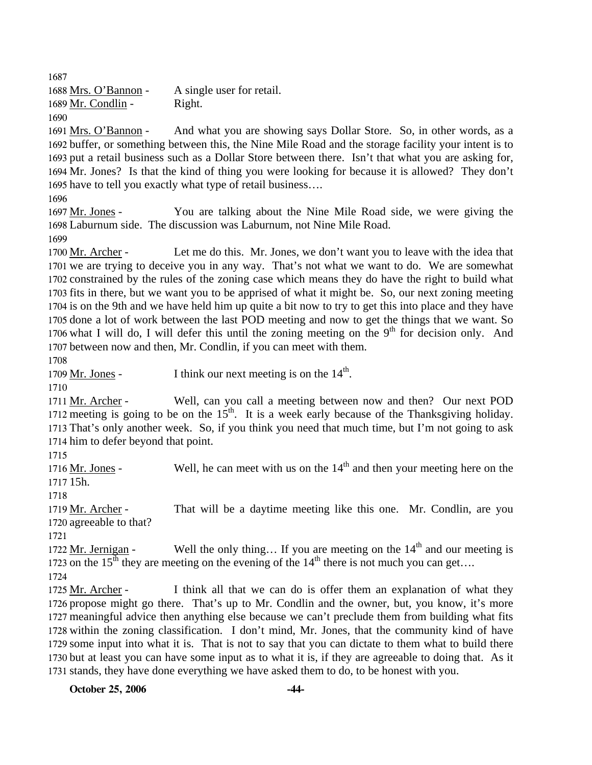1687 1688 Mrs. O'Bannon - A single user for retail. 1689 Mr. Condlin - Right. 1690 And what you are showing says Dollar Store. So, in other words, as a 1692 buffer, or something between this, the Nine Mile Road and the storage facility your intent is to 1693 put a retail business such as a Dollar Store between there. Isn't that what you are asking for, 1694 Mr. Jones? Is that the kind of thing you were looking for because it is allowed? They don't 1695 have to tell you exactly what type of retail business.... 1691 Mrs. O'Bannon -1696 You are talking about the Nine Mile Road side, we were giving the Laburnum side. The discussion was Laburnum, not Nine Mile Road. 1698 1697 Mr. Jones -1699 Let me do this. Mr. Jones, we don't want you to leave with the idea that 1701 we are trying to deceive you in any way. That's not what we want to do. We are somewhat 1702 constrained by the rules of the zoning case which means they do have the right to build what 1703 fits in there, but we want you to be apprised of what it might be. So, our next zoning meeting 1704 is on the 9th and we have held him up quite a bit now to try to get this into place and they have 1705 done a lot of work between the last POD meeting and now to get the things that we want. So 1706 what I will do, I will defer this until the zoning meeting on the 9<sup>th</sup> for decision only. And 1700 Mr. Archer -1707 between now and then, Mr. Condlin, if you can meet with them. 1708 1709 Mr. Jones - I think our next meeting is on the  $14<sup>th</sup>$ . 1710 Well, can you call a meeting between now and then? Our next POD 1712 meeting is going to be on the  $15<sup>th</sup>$ . It is a week early because of the Thanksgiving holiday. 1711 Mr. Archer -1713 That's only another week. So, if you think you need that much time, but I'm not going to ask 1714 him to defer beyond that point. 1715 Well, he can meet with us on the  $14<sup>th</sup>$  and then your meeting here on the 1717 15h. 1716 Mr. Jones -1718 That will be a daytime meeting like this one. Mr. Condlin, are you 1720 agreeable to that? 1719 Mr. Archer -1721 Well the only thing... If you are meeting on the  $14<sup>th</sup>$  and our meeting is 1723 on the 15<sup>th</sup> they are meeting on the evening of the  $14<sup>th</sup>$  there is not much you can get.... 1722 Mr. Jernigan -1724 I think all that we can do is offer them an explanation of what they 1726 propose might go there. That's up to Mr. Condlin and the owner, but, you know, it's more 1727 meaningful advice then anything else because we can't preclude them from building what fits 1728 within the zoning classification. I don't mind, Mr. Jones, that the community kind of have 1729 some input into what it is. That is not to say that you can dictate to them what to build there 1730 but at least you can have some input as to what it is, if they are agreeable to doing that. As it 1725 Mr. Archer -

**October 25, 2006 -44-**

1731 stands, they have done everything we have asked them to do, to be honest with you.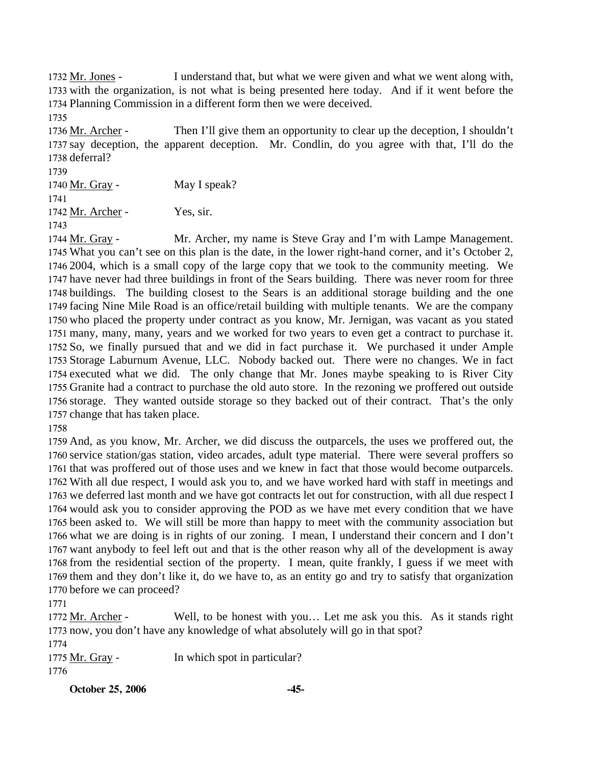I understand that, but what we were given and what we went along with, 1733 with the organization, is not what is being presented here today. And if it went before the 1734 Planning Commission in a different form then we were deceived. 1732 Mr. Jones -

1735

Then I'll give them an opportunity to clear up the deception, I shouldn't 1737 say deception, the apparent deception. Mr. Condlin, do you agree with that, I'll do the 1738 deferral? 1736 Mr. Archer -

1739

1740 Mr. Gray - May I speak?

1741

1742 Mr. Archer - Yes, sir.

1743

Mr. Archer, my name is Steve Gray and I'm with Lampe Management. 1745 What you can't see on this plan is the date, in the lower right-hand corner, and it's October 2, 2004, which is a small copy of the large copy that we took to the community meeting. We 1746 1747 have never had three buildings in front of the Sears building. There was never room for three 1748 buildings. The building closest to the Sears is an additional storage building and the one 1749 facing Nine Mile Road is an office/retail building with multiple tenants. We are the company 1750 who placed the property under contract as you know, Mr. Jernigan, was vacant as you stated many, many, many, years and we worked for two years to even get a contract to purchase it. 1751 1752 So, we finally pursued that and we did in fact purchase it. We purchased it under Ample 1753 Storage Laburnum Avenue, LLC. Nobody backed out. There were no changes. We in fact 1754 executed what we did. The only change that Mr. Jones maybe speaking to is River City 1755 Granite had a contract to purchase the old auto store. In the rezoning we proffered out outside 1756 storage. They wanted outside storage so they backed out of their contract. That's the only 1757 change that has taken place. 1744 Mr. Gray -

1758

 And, as you know, Mr. Archer, we did discuss the outparcels, the uses we proffered out, the service station/gas station, video arcades, adult type material. There were several proffers so that was proffered out of those uses and we knew in fact that those would become outparcels. With all due respect, I would ask you to, and we have worked hard with staff in meetings and we deferred last month and we have got contracts let out for construction, with all due respect I would ask you to consider approving the POD as we have met every condition that we have been asked to. We will still be more than happy to meet with the community association but what we are doing is in rights of our zoning. I mean, I understand their concern and I don't want anybody to feel left out and that is the other reason why all of the development is away from the residential section of the property. I mean, quite frankly, I guess if we meet with them and they don't like it, do we have to, as an entity go and try to satisfy that organization before we can proceed?

1771

Well, to be honest with you... Let me ask you this. As it stands right 1773 now, you don't have any knowledge of what absolutely will go in that spot? 1772 Mr. Archer -

1774

1775 Mr. Gray - In which spot in particular? 1776

**October 25, 2006 -45-**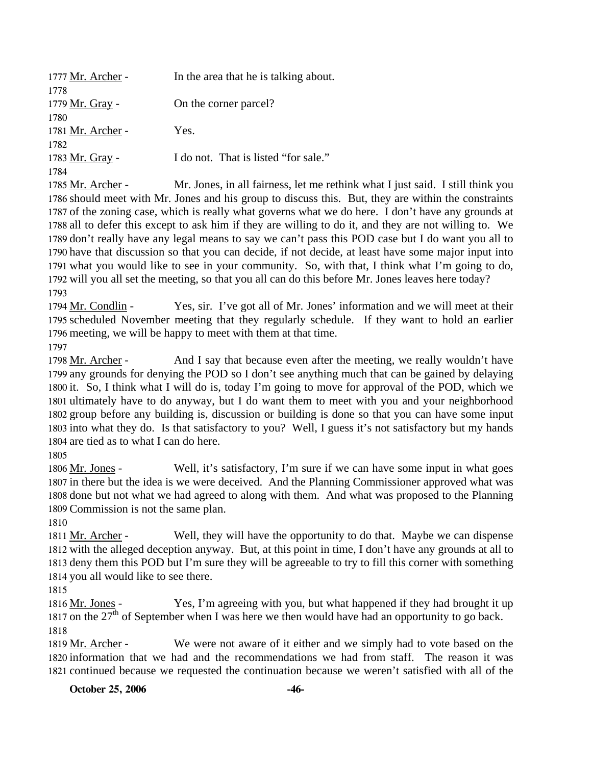| 1777 Mr. Archer - | In the area that he is talking about. |  |
|-------------------|---------------------------------------|--|
| 1778              |                                       |  |
| 1779 Mr. Gray -   | On the corner parcel?                 |  |
| 1780              |                                       |  |
| 1781 Mr. Archer - | Yes.                                  |  |
| 1782              |                                       |  |
| 1783 Mr. Gray -   | I do not. That is listed "for sale."  |  |
| 1784              |                                       |  |
|                   |                                       |  |

Mr. Jones, in all fairness, let me rethink what I just said. I still think you 1786 should meet with Mr. Jones and his group to discuss this. But, they are within the constraints 1787 of the zoning case, which is really what governs what we do here. I don't have any grounds at 1788 all to defer this except to ask him if they are willing to do it, and they are not willing to. We 1789 don't really have any legal means to say we can't pass this POD case but I do want you all to 1790 have that discussion so that you can decide, if not decide, at least have some major input into 1791 what you would like to see in your community. So, with that, I think what I'm going to do, 1792 will you all set the meeting, so that you all can do this before Mr. Jones leaves here today? 1785 Mr. Archer -1793

Yes, sir. I've got all of Mr. Jones' information and we will meet at their 1795 scheduled November meeting that they regularly schedule. If they want to hold an earlier 1796 meeting, we will be happy to meet with them at that time. 1794 Mr. Condlin -1797

And I say that because even after the meeting, we really wouldn't have 1799 any grounds for denying the POD so I don't see anything much that can be gained by delaying 1800 it. So, I think what I will do is, today I'm going to move for approval of the POD, which we 1801 ultimately have to do anyway, but I do want them to meet with you and your neighborhood 1802 group before any building is, discussion or building is done so that you can have some input 1803 into what they do. Is that satisfactory to you? Well, I guess it's not satisfactory but my hands 1804 are tied as to what I can do here. 1798 Mr. Archer -

1805

Well, it's satisfactory, I'm sure if we can have some input in what goes 1807 in there but the idea is we were deceived. And the Planning Commissioner approved what was 1808 done but not what we had agreed to along with them. And what was proposed to the Planning 1809 Commission is not the same plan. 1806 Mr. Jones -

1810

Well, they will have the opportunity to do that. Maybe we can dispense 1812 with the alleged deception anyway. But, at this point in time, I don't have any grounds at all to 1813 deny them this POD but I'm sure they will be agreeable to try to fill this corner with something 1814 you all would like to see there. 1811 Mr. Archer -

1815

Yes, I'm agreeing with you, but what happened if they had brought it up 1817 on the  $27<sup>th</sup>$  of September when I was here we then would have had an opportunity to go back. 1816 Mr. Jones -1818

We were not aware of it either and we simply had to vote based on the 1820 information that we had and the recommendations we had from staff. The reason it was 1821 continued because we requested the continuation because we weren't satisfied with all of the 1819 Mr. Archer -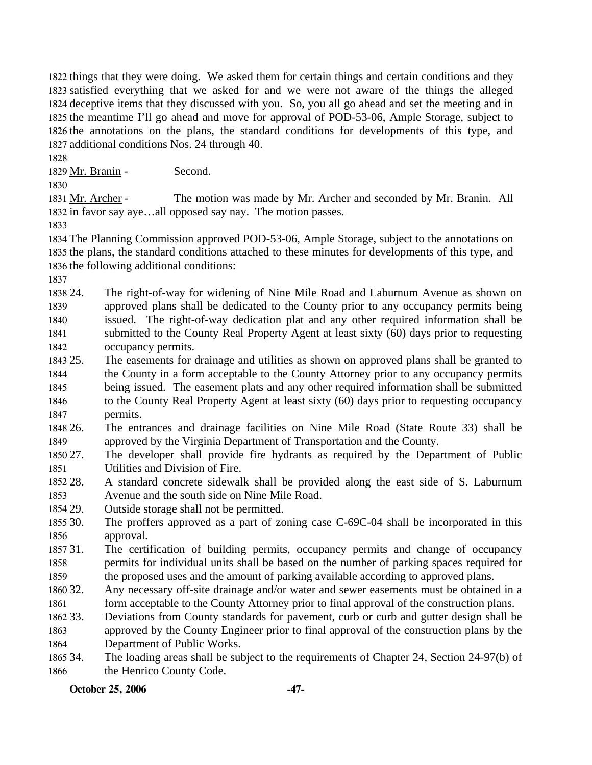things that they were doing. We asked them for certain things and certain conditions and they satisfied everything that we asked for and we were not aware of the things the alleged deceptive items that they discussed with you. So, you all go ahead and set the meeting and in the meantime I'll go ahead and move for approval of POD-53-06, Ample Storage, subject to the annotations on the plans, the standard conditions for developments of this type, and additional conditions Nos. 24 through 40.

1828

1829 Mr. Branin - Second.

1830

The motion was made by Mr. Archer and seconded by Mr. Branin. All 1832 in favor say aye...all opposed say nay. The motion passes. 1831 Mr. Archer -

1833

1834 The Planning Commission approved POD-53-06, Ample Storage, subject to the annotations on 1835 the plans, the standard conditions attached to these minutes for developments of this type, and 1836 the following additional conditions:

1837

1838 24. 1839 1840 1841 1842 24. The right-of-way for widening of Nine Mile Road and Laburnum Avenue as shown on approved plans shall be dedicated to the County prior to any occupancy permits being issued. The right-of-way dedication plat and any other required information shall be submitted to the County Real Property Agent at least sixty (60) days prior to requesting occupancy permits.

- 1843 25 1844 1845 1846 1847 The easements for drainage and utilities as shown on approved plans shall be granted to the County in a form acceptable to the County Attorney prior to any occupancy permits being issued. The easement plats and any other required information shall be submitted to the County Real Property Agent at least sixty (60) days prior to requesting occupancy permits.
- 1848 26. 1849 26.The entrances and drainage facilities on Nine Mile Road (State Route 33) shall be approved by the Virginia Department of Transportation and the County.
- 1850 27. 1851 The developer shall provide fire hydrants as required by the Department of Public Utilities and Division of Fire.
- 1852 28. 1853 28. A standard concrete sidewalk shall be provided along the east side of S. Laburnum Avenue and the south side on Nine Mile Road.
- 1854 29. Outside storage shall not be permitted.
- 1855 30. 1856 The proffers approved as a part of zoning case C-69C-04 shall be incorporated in this approval.
- 1857 31 1858 1859 The certification of building permits, occupancy permits and change of occupancy permits for individual units shall be based on the number of parking spaces required for the proposed uses and the amount of parking available according to approved plans.
- 1860 32. Any necessary off-site drainage and/or water and sewer easements must be obtained in a
- 1861 form acceptable to the County Attorney prior to final approval of the construction plans.
- 1862 33. 1863 1864 Deviations from County standards for pavement, curb or curb and gutter design shall be approved by the County Engineer prior to final approval of the construction plans by the Department of Public Works.
- 1865 34. 1866 The loading areas shall be subject to the requirements of Chapter 24, Section 24-97(b) of the Henrico County Code.

**October 25, 2006 -47-**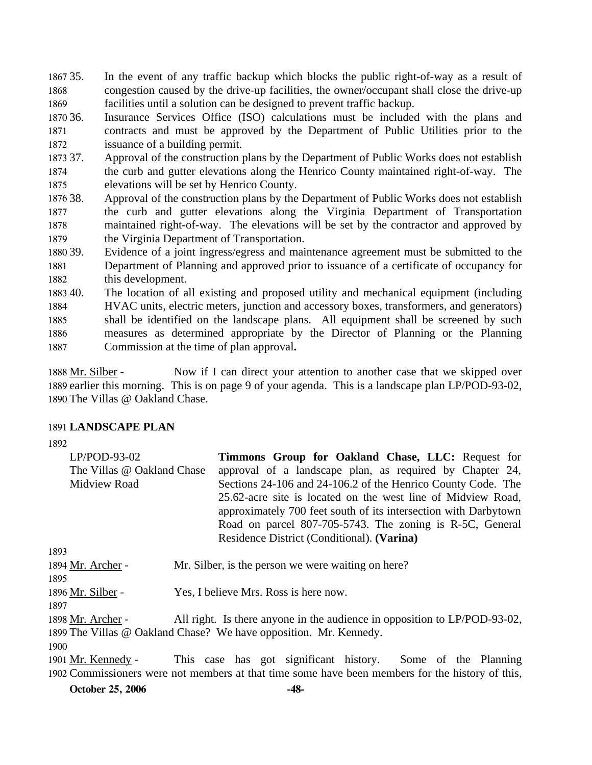1867 35. 1868 1869 In the event of any traffic backup which blocks the public right-of-way as a result of congestion caused by the drive-up facilities, the owner/occupant shall close the drive-up facilities until a solution can be designed to prevent traffic backup.

1870 36. 1871 1872 Insurance Services Office (ISO) calculations must be included with the plans and contracts and must be approved by the Department of Public Utilities prior to the issuance of a building permit.

1873 37. 1874 1875 37. Approval of the construction plans by the Department of Public Works does not establish the curb and gutter elevations along the Henrico County maintained right-of-way. The elevations will be set by Henrico County.

1876 38. 1877 1878 1879 Approval of the construction plans by the Department of Public Works does not establish the curb and gutter elevations along the Virginia Department of Transportation maintained right-of-way. The elevations will be set by the contractor and approved by the Virginia Department of Transportation.

1880 39 1881 1882 Evidence of a joint ingress/egress and maintenance agreement must be submitted to the Department of Planning and approved prior to issuance of a certificate of occupancy for this development.

1883 40. 1884 1885 1886 1887 The location of all existing and proposed utility and mechanical equipment (including HVAC units, electric meters, junction and accessory boxes, transformers, and generators) shall be identified on the landscape plans. All equipment shall be screened by such measures as determined appropriate by the Director of Planning or the Planning Commission at the time of plan approval**.** 

Now if I can direct your attention to another case that we skipped over 1889 earlier this morning. This is on page 9 of your agenda. This is a landscape plan LP/POD-93-02, 1890 The Villas @ Oakland Chase. 1888 Mr. Silber -

#### 1891 **LANDSCAPE PLAN**

1892

| $LP/POD-93-02$             | Timmons Group for Oakland Chase, LLC: Request for               |
|----------------------------|-----------------------------------------------------------------|
| The Villas @ Oakland Chase | approval of a landscape plan, as required by Chapter 24,        |
| Midview Road               | Sections 24-106 and 24-106.2 of the Henrico County Code. The    |
|                            | 25.62-acre site is located on the west line of Midview Road,    |
|                            | approximately 700 feet south of its intersection with Darbytown |
|                            | Road on parcel 807-705-5743. The zoning is R-5C, General        |
|                            | Residence District (Conditional). (Varina)                      |

1893 1894 Mr. Archer - Mr. Silber, is the person we were waiting on here? 1895 1896 Mr. Silber - Yes, I believe Mrs. Ross is here now. 1897 All right. Is there anyone in the audience in opposition to LP/POD-93-02, 1898 Mr. Archer -

1899 The Villas @ Oakland Chase? We have opposition. Mr. Kennedy. 1900

This case has got significant history. Some of the Planning 1902 Commissioners were not members at that time some have been members for the history of this, 1901 Mr. Kennedy -

**October 25, 2006 -48-**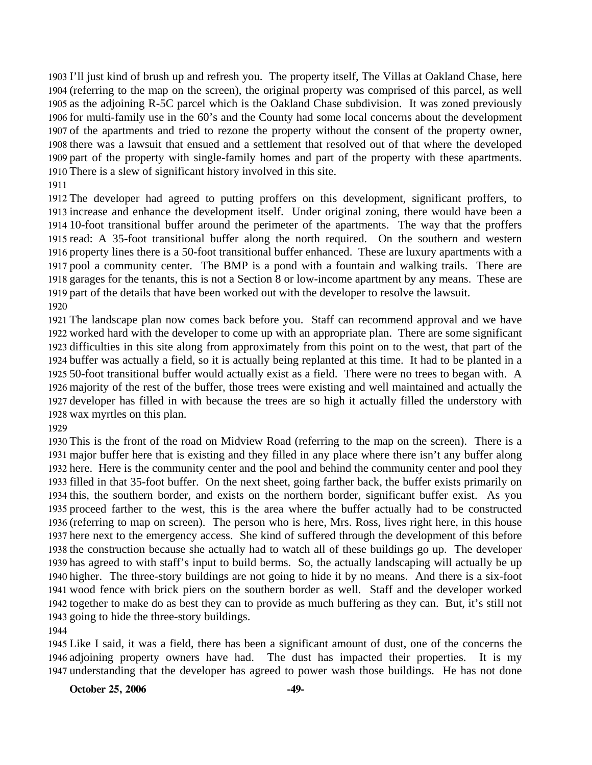I'll just kind of brush up and refresh you. The property itself, The Villas at Oakland Chase, here (referring to the map on the screen), the original property was comprised of this parcel, as well as the adjoining R-5C parcel which is the Oakland Chase subdivision. It was zoned previously for multi-family use in the 60's and the County had some local concerns about the development of the apartments and tried to rezone the property without the consent of the property owner, there was a lawsuit that ensued and a settlement that resolved out of that where the developed part of the property with single-family homes and part of the property with these apartments. There is a slew of significant history involved in this site.

 The developer had agreed to putting proffers on this development, significant proffers, to increase and enhance the development itself. Under original zoning, there would have been a 10-foot transitional buffer around the perimeter of the apartments. The way that the proffers 1915 read: A 35-foot transitional buffer along the north required. On the southern and western property lines there is a 50-foot transitional buffer enhanced. These are luxury apartments with a pool a community center. The BMP is a pond with a fountain and walking trails. There are garages for the tenants, this is not a Section 8 or low-income apartment by any means. These are part of the details that have been worked out with the developer to resolve the lawsuit. 

 The landscape plan now comes back before you. Staff can recommend approval and we have worked hard with the developer to come up with an appropriate plan. There are some significant difficulties in this site along from approximately from this point on to the west, that part of the buffer was actually a field, so it is actually being replanted at this time. It had to be planted in a 50-foot transitional buffer would actually exist as a field. There were no trees to began with. A majority of the rest of the buffer, those trees were existing and well maintained and actually the developer has filled in with because the trees are so high it actually filled the understory with wax myrtles on this plan.

 This is the front of the road on Midview Road (referring to the map on the screen). There is a major buffer here that is existing and they filled in any place where there isn't any buffer along here. Here is the community center and the pool and behind the community center and pool they filled in that 35-foot buffer. On the next sheet, going farther back, the buffer exists primarily on this, the southern border, and exists on the northern border, significant buffer exist. As you proceed farther to the west, this is the area where the buffer actually had to be constructed (referring to map on screen). The person who is here, Mrs. Ross, lives right here, in this house here next to the emergency access. She kind of suffered through the development of this before the construction because she actually had to watch all of these buildings go up. The developer has agreed to with staff's input to build berms. So, the actually landscaping will actually be up higher. The three-story buildings are not going to hide it by no means. And there is a six-foot wood fence with brick piers on the southern border as well. Staff and the developer worked together to make do as best they can to provide as much buffering as they can. But, it's still not going to hide the three-story buildings.

 Like I said, it was a field, there has been a significant amount of dust, one of the concerns the adjoining property owners have had. The dust has impacted their properties. It is my understanding that the developer has agreed to power wash those buildings. He has not done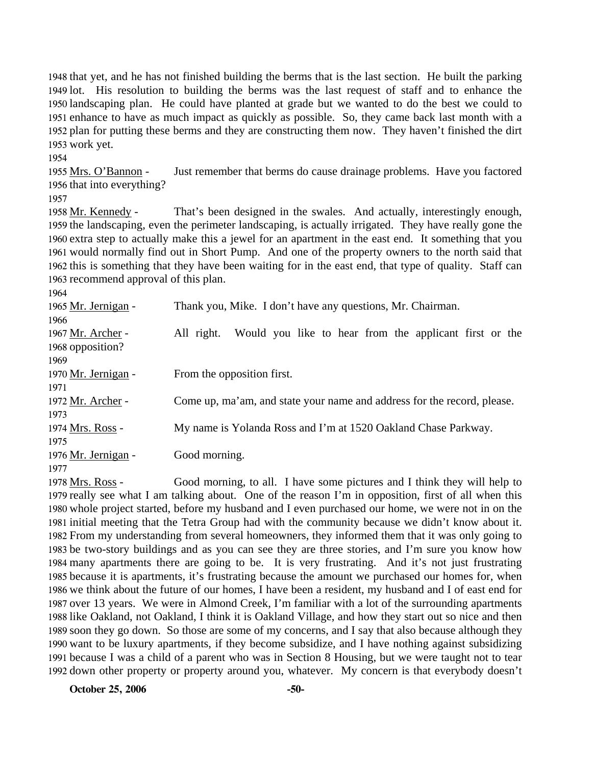that yet, and he has not finished building the berms that is the last section. He built the parking lot. His resolution to building the berms was the last request of staff and to enhance the landscaping plan. He could have planted at grade but we wanted to do the best we could to enhance to have as much impact as quickly as possible. So, they came back last month with a plan for putting these berms and they are constructing them now. They haven't finished the dirt work yet.

1954

Just remember that berms do cause drainage problems. Have you factored 1956 that into everything? 1955 Mrs. O'Bannon -

1957

That's been designed in the swales. And actually, interestingly enough, 1959 the landscaping, even the perimeter landscaping, is actually irrigated. They have really gone the 1960 extra step to actually make this a jewel for an apartment in the east end. It something that you 1961 would normally find out in Short Pump. And one of the property owners to the north said that 1962 this is something that they have been waiting for in the east end, that type of quality. Staff can 1963 recommend approval of this plan. 1958 Mr. Kennedy -

1964

| 1965 Mr. Jernigan - | Thank you, Mike. I don't have any questions, Mr. Chairman.              |  |  |
|---------------------|-------------------------------------------------------------------------|--|--|
| 1966                |                                                                         |  |  |
| 1967 Mr. Archer -   | Would you like to hear from the applicant first or the<br>All right.    |  |  |
| 1968 opposition?    |                                                                         |  |  |
| 1969                |                                                                         |  |  |
| 1970 Mr. Jernigan - | From the opposition first.                                              |  |  |
| 1971                |                                                                         |  |  |
| 1972 Mr. Archer -   | Come up, ma'am, and state your name and address for the record, please. |  |  |
| 1973                |                                                                         |  |  |
| 1974 Mrs. Ross -    | My name is Yolanda Ross and I'm at 1520 Oakland Chase Parkway.          |  |  |
| 1975                |                                                                         |  |  |
| 1976 Mr. Jernigan - | Good morning.                                                           |  |  |
| 1977                |                                                                         |  |  |
|                     |                                                                         |  |  |

Good morning, to all. I have some pictures and I think they will help to 1979 really see what I am talking about. One of the reason I'm in opposition, first of all when this 1980 whole project started, before my husband and I even purchased our home, we were not in on the 1981 initial meeting that the Tetra Group had with the community because we didn't know about it. 1982 From my understanding from several homeowners, they informed them that it was only going to 1983 be two-story buildings and as you can see they are three stories, and I'm sure you know how 1984 many apartments there are going to be. It is very frustrating. And it's not just frustrating 1985 because it is apartments, it's frustrating because the amount we purchased our homes for, when 1986 we think about the future of our homes, I have been a resident, my husband and I of east end for 1987 over 13 years. We were in Almond Creek, I'm familiar with a lot of the surrounding apartments 1988 like Oakland, not Oakland, I think it is Oakland Village, and how they start out so nice and then 1989 soon they go down. So those are some of my concerns, and I say that also because although they 1990 want to be luxury apartments, if they become subsidize, and I have nothing against subsidizing 1991 because I was a child of a parent who was in Section 8 Housing, but we were taught not to tear 1992 down other property or property around you, whatever. My concern is that everybody doesn't 1978 Mrs. Ross -

**October 25, 2006** -50-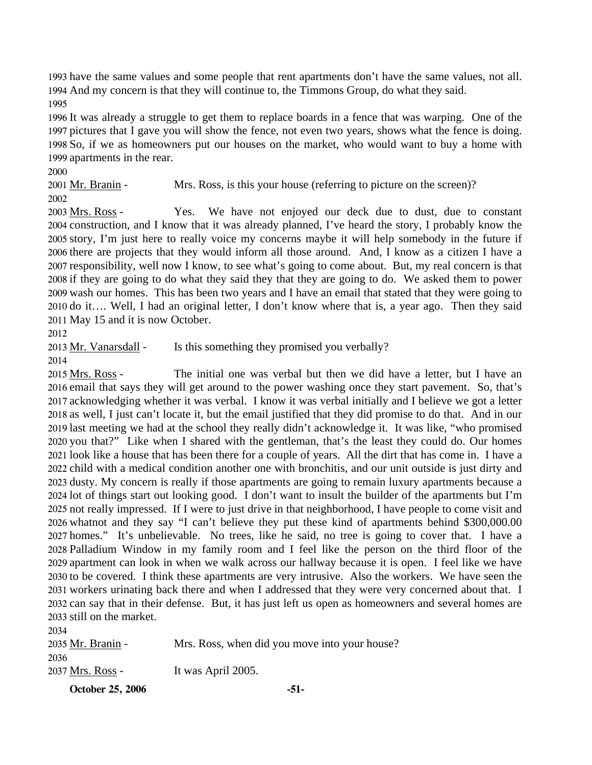1993 have the same values and some people that rent apartments don't have the same values, not all. 1994 And my concern is that they will continue to, the Timmons Group, do what they said. 1995

 It was already a struggle to get them to replace boards in a fence that was warping. One of the pictures that I gave you will show the fence, not even two years, shows what the fence is doing. So, if we as homeowners put our houses on the market, who would want to buy a home with apartments in the rear.

2000

2001 Mr. Branin - Mrs. Ross, is this your house (referring to picture on the screen)?

2002

Yes. We have not enjoyed our deck due to dust, due to constant 2004 construction, and I know that it was already planned, I've heard the story, I probably know the 2005 story, I'm just here to really voice my concerns maybe it will help somebody in the future if 2006 there are projects that they would inform all those around. And, I know as a citizen I have a 2007 responsibility, well now I know, to see what's going to come about. But, my real concern is that 2008 if they are going to do what they said they that they are going to do. We asked them to power 2009 wash our homes. This has been two years and I have an email that stated that they were going to 2010 do it.... Well, I had an original letter, I don't know where that is, a year ago. Then they said 2011 May 15 and it is now October. 2003 Mrs. Ross -

2013 Mr. Vanarsdall - Is this something they promised you verbally?

2014

2034

The initial one was verbal but then we did have a letter, but I have an 2016 email that says they will get around to the power washing once they start pavement. So, that's 2017 acknowledging whether it was verbal. I know it was verbal initially and I believe we got a letter 2018 as well, I just can't locate it, but the email justified that they did promise to do that. And in our 2019 last meeting we had at the school they really didn't acknowledge it. It was like, "who promised 2020 you that?" Like when I shared with the gentleman, that's the least they could do. Our homes 2021 look like a house that has been there for a couple of years. All the dirt that has come in. I have a 2022 child with a medical condition another one with bronchitis, and our unit outside is just dirty and 2023 dusty. My concern is really if those apartments are going to remain luxury apartments because a 2024 lot of things start out looking good. I don't want to insult the builder of the apartments but I'm 2025 not really impressed. If I were to just drive in that neighborhood, I have people to come visit and 2026 whatnot and they say "I can't believe they put these kind of apartments behind \$300,000.00 2027 homes." It's unbelievable. No trees, like he said, no tree is going to cover that. I have a 2028 Palladium Window in my family room and I feel like the person on the third floor of the 2029 apartment can look in when we walk across our hallway because it is open. I feel like we have 2030 to be covered. I think these apartments are very intrusive. Also the workers. We have seen the 2031 workers urinating back there and when I addressed that they were very concerned about that. I 2032 can say that in their defense. But, it has just left us open as homeowners and several homes are 2033 still on the market. 2015 Mrs. Ross -

| 2035 Mr. Branin -   | Mrs. Ross, when did you move into your house? |
|---------------------|-----------------------------------------------|
| 2036                |                                               |
| 2037 Mrs. Ross -    | It was April 2005.                            |
| $0.11.22$ are annot |                                               |

**October 25, 2006** -51-

<sup>2012</sup>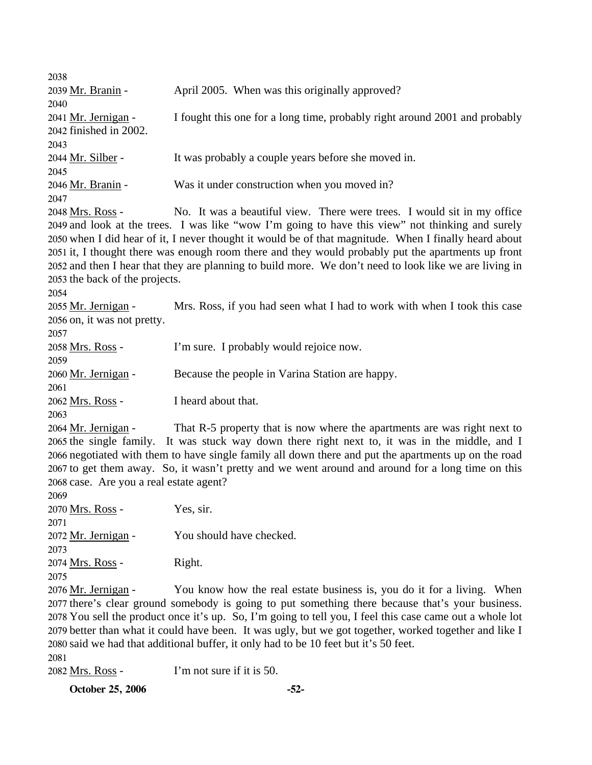| 2038<br>2039 Mr. Branin -                                             | April 2005. When was this originally approved?                                                                                                                                                                                                                                                                                                                                                                                                                                                       |
|-----------------------------------------------------------------------|------------------------------------------------------------------------------------------------------------------------------------------------------------------------------------------------------------------------------------------------------------------------------------------------------------------------------------------------------------------------------------------------------------------------------------------------------------------------------------------------------|
| 2040                                                                  |                                                                                                                                                                                                                                                                                                                                                                                                                                                                                                      |
| 2041 <u>Mr. Jernigan</u> -<br>2042 finished in 2002.<br>2043          | I fought this one for a long time, probably right around 2001 and probably                                                                                                                                                                                                                                                                                                                                                                                                                           |
| 2044 <u>Mr. Silber</u> -<br>2045                                      | It was probably a couple years before she moved in.                                                                                                                                                                                                                                                                                                                                                                                                                                                  |
| 2046 Mr. Branin -<br>2047                                             | Was it under construction when you moved in?                                                                                                                                                                                                                                                                                                                                                                                                                                                         |
| 2048 Mrs. Ross -<br>2053 the back of the projects.<br>2054            | No. It was a beautiful view. There were trees. I would sit in my office<br>2049 and look at the trees. I was like "wow I'm going to have this view" not thinking and surely<br>2050 when I did hear of it, I never thought it would be of that magnitude. When I finally heard about<br>2051 it, I thought there was enough room there and they would probably put the apartments up front<br>2052 and then I hear that they are planning to build more. We don't need to look like we are living in |
| 2055 <u>Mr. Jernigan</u> -<br>2056 on, it was not pretty.<br>2057     | Mrs. Ross, if you had seen what I had to work with when I took this case                                                                                                                                                                                                                                                                                                                                                                                                                             |
| 2058 <u>Mrs. Ross</u> -<br>2059                                       | I'm sure. I probably would rejoice now.                                                                                                                                                                                                                                                                                                                                                                                                                                                              |
| 2060 Mr. Jernigan -<br>2061                                           | Because the people in Varina Station are happy.                                                                                                                                                                                                                                                                                                                                                                                                                                                      |
| 2062 <u>Mrs. Ross</u> -<br>2063                                       | I heard about that.                                                                                                                                                                                                                                                                                                                                                                                                                                                                                  |
| 2064 <u>Mr. Jernigan</u> -<br>2068 case. Are you a real estate agent? | That R-5 property that is now where the apartments are was right next to<br>2065 the single family. It was stuck way down there right next to, it was in the middle, and I<br>2066 negotiated with them to have single family all down there and put the apartments up on the road<br>2067 to get them away. So, it wasn't pretty and we went around and around for a long time on this                                                                                                              |
| 2069<br>2070 <u>Mrs. Ross</u> -<br>2071                               | Yes, sir.                                                                                                                                                                                                                                                                                                                                                                                                                                                                                            |
| 2072 <u>Mr. Jernigan</u> -<br>2073                                    | You should have checked.                                                                                                                                                                                                                                                                                                                                                                                                                                                                             |
| 2074 Mrs. Ross -<br>2075                                              | Right.                                                                                                                                                                                                                                                                                                                                                                                                                                                                                               |
| 2076 <u>Mr. Jernigan</u> -<br>2081                                    | You know how the real estate business is, you do it for a living. When<br>2077 there's clear ground somebody is going to put something there because that's your business.<br>2078 You sell the product once it's up. So, I'm going to tell you, I feel this case came out a whole lot<br>2079 better than what it could have been. It was ugly, but we got together, worked together and like I<br>2080 said we had that additional buffer, it only had to be 10 feet but it's 50 feet.             |
| 2082 Mrs. Ross -                                                      | I'm not sure if it is 50.                                                                                                                                                                                                                                                                                                                                                                                                                                                                            |

**October 25, 2006** -52-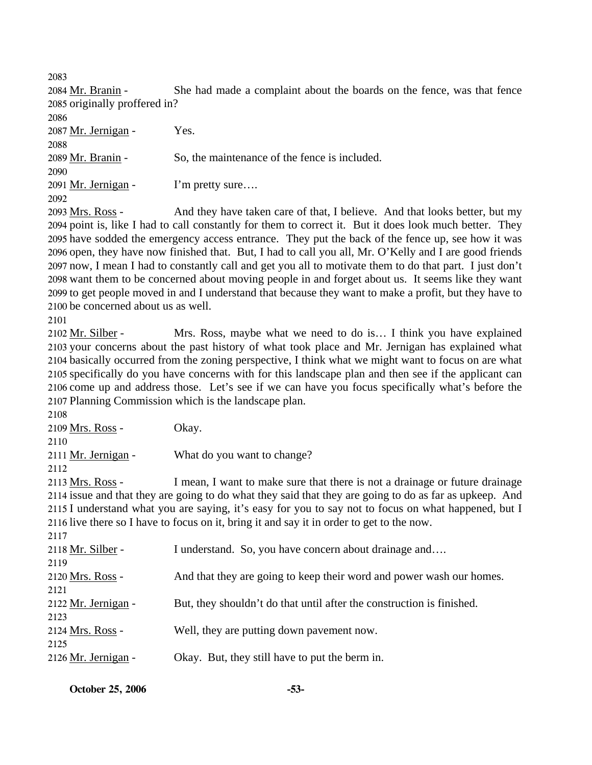2083

She had made a complaint about the boards on the fence, was that fence 2085 originally proffered in? 2084 Mr. Branin -

2086 2087 Mr. Jernigan - Yes. 2088 2089 Mr. Branin - So, the maintenance of the fence is included. 2090 2091 Mr. Jernigan - I'm pretty sure…. 2092

And they have taken care of that, I believe. And that looks better, but my 2094 point is, like I had to call constantly for them to correct it. But it does look much better. They 2095 have sodded the emergency access entrance. They put the back of the fence up, see how it was 2096 open, they have now finished that. But, I had to call you all, Mr. O'Kelly and I are good friends 2097 now, I mean I had to constantly call and get you all to motivate them to do that part. I just don't 2098 want them to be concerned about moving people in and forget about us. It seems like they want 2099 to get people moved in and I understand that because they want to make a profit, but they have to 2100 be concerned about us as well. 2093 Mrs. Ross -

Mrs. Ross, maybe what we need to do is… I think you have explained 2103 your concerns about the past history of what took place and Mr. Jernigan has explained what 2104 basically occurred from the zoning perspective, I think what we might want to focus on are what 2105 specifically do you have concerns with for this landscape plan and then see if the applicant can 2106 come up and address those. Let's see if we can have you focus specifically what's before the 2107 Planning Commission which is the landscape plan. 2102 Mr. Silber -

| 2108                       |                                                                                                         |
|----------------------------|---------------------------------------------------------------------------------------------------------|
| 2109 Mrs. Ross -           | Okay.                                                                                                   |
| 2110                       |                                                                                                         |
| 2111 <u>Mr. Jernigan</u> - | What do you want to change?                                                                             |
| 2112                       |                                                                                                         |
| 2113 Mrs. Ross -           | I mean, I want to make sure that there is not a drainage or future drainage                             |
|                            | 2114 issue and that they are going to do what they said that they are going to do as far as upkeep. And |
|                            | 2115 I understand what you are saying, it's easy for you to say not to focus on what happened, but I    |
|                            | 2116 live there so I have to focus on it, bring it and say it in order to get to the now.               |
| 2117                       |                                                                                                         |
| 2118 Mr. Silber -          | I understand. So, you have concern about drainage and                                                   |
| 2119                       |                                                                                                         |
| 2120 Mrs. Ross -           | And that they are going to keep their word and power wash our homes.                                    |
| 2121                       |                                                                                                         |
| 2122 Mr. Jernigan -        | But, they shouldn't do that until after the construction is finished.                                   |
| 2123                       |                                                                                                         |
| 2124 Mrs. Ross -           | Well, they are putting down pavement now.                                                               |
| 2125                       |                                                                                                         |
| 2126 Mr. Jernigan -        | Okay. But, they still have to put the berm in.                                                          |
|                            |                                                                                                         |

<sup>2101</sup>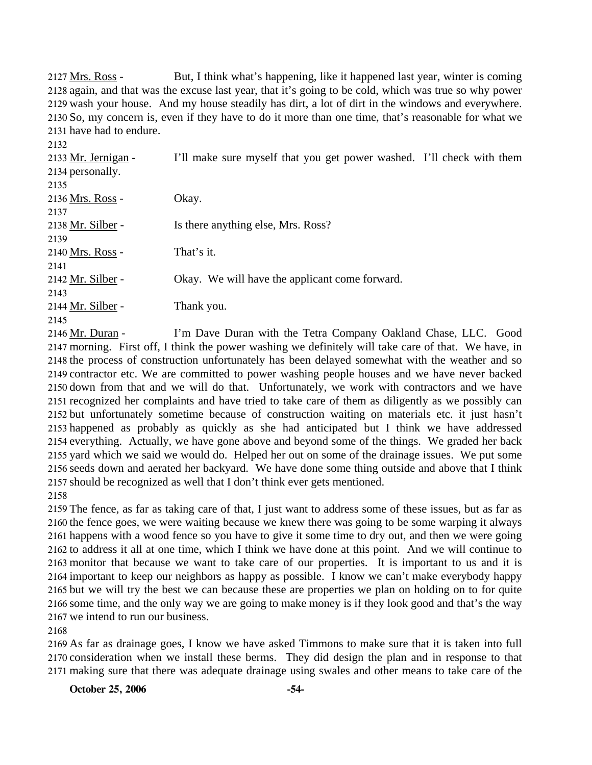But, I think what's happening, like it happened last year, winter is coming 2128 again, and that was the excuse last year, that it's going to be cold, which was true so why power 2129 wash your house. And my house steadily has dirt, a lot of dirt in the windows and everywhere. 2130 So, my concern is, even if they have to do it more than one time, that's reasonable for what we 2131 have had to endure. 2127 Mrs. Ross -

| 2132                |                                                                       |  |
|---------------------|-----------------------------------------------------------------------|--|
| 2133 Mr. Jernigan - | I'll make sure myself that you get power washed. I'll check with them |  |
| 2134 personally.    |                                                                       |  |
| 2135                |                                                                       |  |
| 2136 Mrs. Ross -    | Okay.                                                                 |  |
| 2137                |                                                                       |  |
| 2138 Mr. Silber -   | Is there anything else, Mrs. Ross?                                    |  |
| 2139                |                                                                       |  |
| 2140 Mrs. Ross -    | That's it.                                                            |  |
| 2141                |                                                                       |  |
| 2142 Mr. Silber -   | Okay. We will have the applicant come forward.                        |  |
| 2143                |                                                                       |  |
| 2144 Mr. Silber -   | Thank you.                                                            |  |
| 2145                |                                                                       |  |

I'm Dave Duran with the Tetra Company Oakland Chase, LLC. Good 2147 morning. First off, I think the power washing we definitely will take care of that. We have, in 2148 the process of construction unfortunately has been delayed somewhat with the weather and so 2149 contractor etc. We are committed to power washing people houses and we have never backed 2150 down from that and we will do that. Unfortunately, we work with contractors and we have 2151 recognized her complaints and have tried to take care of them as diligently as we possibly can 2152 but unfortunately sometime because of construction waiting on materials etc. it just hasn't 2153 happened as probably as quickly as she had anticipated but I think we have addressed 2154 everything. Actually, we have gone above and beyond some of the things. We graded her back 2155 yard which we said we would do. Helped her out on some of the drainage issues. We put some 2156 seeds down and aerated her backyard. We have done some thing outside and above that I think 2157 should be recognized as well that I don't think ever gets mentioned. 2146 Mr. Duran -

2158

 The fence, as far as taking care of that, I just want to address some of these issues, but as far as the fence goes, we were waiting because we knew there was going to be some warping it always happens with a wood fence so you have to give it some time to dry out, and then we were going to address it all at one time, which I think we have done at this point. And we will continue to monitor that because we want to take care of our properties. It is important to us and it is important to keep our neighbors as happy as possible. I know we can't make everybody happy but we will try the best we can because these are properties we plan on holding on to for quite some time, and the only way we are going to make money is if they look good and that's the way we intend to run our business.

2168

2169 As far as drainage goes, I know we have asked Timmons to make sure that it is taken into full 2170 consideration when we install these berms. They did design the plan and in response to that 2171 making sure that there was adequate drainage using swales and other means to take care of the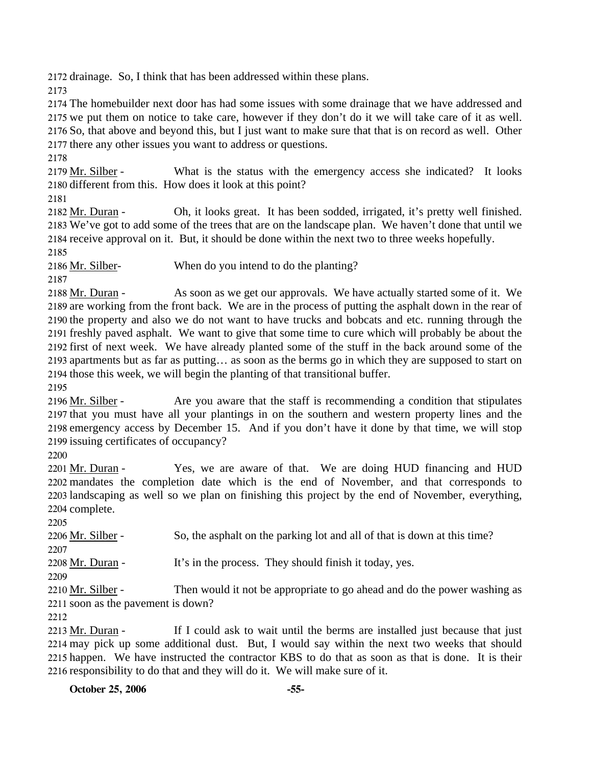2172 drainage. So, I think that has been addressed within these plans.

2173

 The homebuilder next door has had some issues with some drainage that we have addressed and we put them on notice to take care, however if they don't do it we will take care of it as well. So, that above and beyond this, but I just want to make sure that that is on record as well. Other there any other issues you want to address or questions.

2178

What is the status with the emergency access she indicated? It looks 2180 different from this. How does it look at this point? 2179 Mr. Silber -

2181

Oh, it looks great. It has been sodded, irrigated, it's pretty well finished. We've got to add some of the trees that are on the landscape plan. We haven't done that until we 2183 2184 receive approval on it. But, it should be done within the next two to three weeks hopefully. 2182 Mr. Duran -

2185

2186 Mr. Silber-<br>When do you intend to do the planting?

2187

As soon as we get our approvals. We have actually started some of it. We 2189 are working from the front back. We are in the process of putting the asphalt down in the rear of 2190 the property and also we do not want to have trucks and bobcats and etc. running through the 2191 freshly paved asphalt. We want to give that some time to cure which will probably be about the 2192 first of next week. We have already planted some of the stuff in the back around some of the 2193 apartments but as far as putting... as soon as the berms go in which they are supposed to start on 2194 those this week, we will begin the planting of that transitional buffer. 2188 Mr. Duran -

2195

Are you aware that the staff is recommending a condition that stipulates 2197 that you must have all your plantings in on the southern and western property lines and the 2198 emergency access by December 15. And if you don't have it done by that time, we will stop 2199 issuing certificates of occupancy? 2196 Mr. Silber -

2200

Yes, we are aware of that. We are doing HUD financing and HUD 2202 mandates the completion date which is the end of November, and that corresponds to 2203 landscaping as well so we plan on finishing this project by the end of November, everything, 2204 complete. 2201 Mr. Duran -

2205

2206 Mr. Silber - So, the asphalt on the parking lot and all of that is down at this time? 2207

2208 Mr. Duran - It's in the process. They should finish it today, yes.

2209

Then would it not be appropriate to go ahead and do the power washing as 2211 soon as the pavement is down? 2210 Mr. Silber -

2212

If I could ask to wait until the berms are installed just because that just 2214 may pick up some additional dust. But, I would say within the next two weeks that should 2215 happen. We have instructed the contractor KBS to do that as soon as that is done. It is their 2216 responsibility to do that and they will do it. We will make sure of it. 2213 Mr. Duran -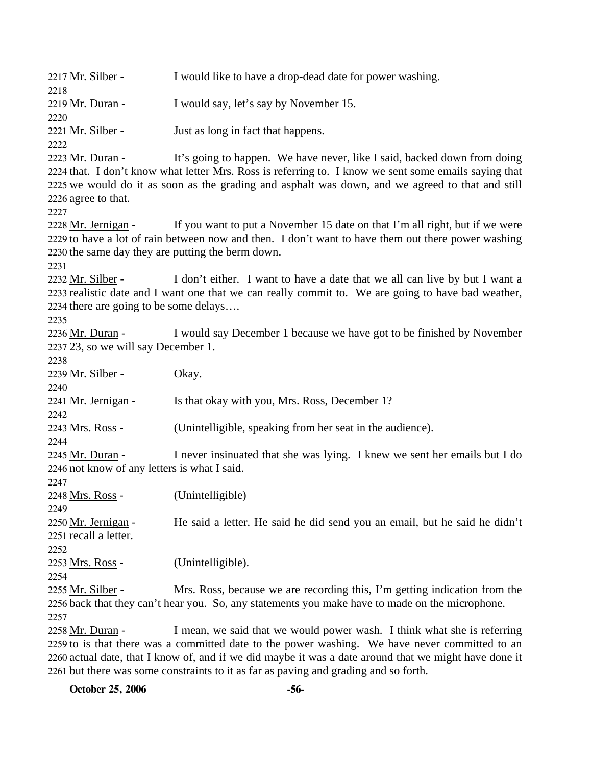2217 Mr. Silber - I would like to have a drop-dead date for power washing. 2218 2219 Mr. Duran - I would say, let's say by November 15. 2220 2221 Mr. Silber - Just as long in fact that happens. 2222 It's going to happen. We have never, like I said, backed down from doing 2224 that. I don't know what letter Mrs. Ross is referring to. I know we sent some emails saying that 2225 we would do it as soon as the grading and asphalt was down, and we agreed to that and still 2226 agree to that. 2223 Mr. Duran -2227 If you want to put a November 15 date on that I'm all right, but if we were 2229 to have a lot of rain between now and then. I don't want to have them out there power washing 2230 the same day they are putting the berm down. 2228 Mr. Jernigan -2231 I don't either. I want to have a date that we all can live by but I want a 2233 realistic date and I want one that we can really commit to. We are going to have bad weather, 2234 there are going to be some delays.... 2232 Mr. Silber -2235 I would say December 1 because we have got to be finished by November 2237 23, so we will say December 1. 2236 Mr. Duran -2238 2239 Mr. Silber - Okay. 2240 2241 Mr. Jernigan - Is that okay with you, Mrs. Ross, December 1? 2242 2243 Mrs. Ross - (Unintelligible, speaking from her seat in the audience). 2244 I never insinuated that she was lying. I knew we sent her emails but I do 2246 not know of any letters is what I said. 2245 Mr. Duran -2247 2248 Mrs. Ross - (Unintelligible) 2249 He said a letter. He said he did send you an email, but he said he didn't 2251 recall a letter. 2250 Mr. Jernigan -2252 2253 Mrs. Ross - (Unintelligible). 2254 Mrs. Ross, because we are recording this, I'm getting indication from the 2256 back that they can't hear you. So, any statements you make have to made on the microphone. 2255 Mr. Silber -2257 I mean, we said that we would power wash. I think what she is referring 2259 to is that there was a committed date to the power washing. We have never committed to an 2260 actual date, that I know of, and if we did maybe it was a date around that we might have done it 2261 but there was some constraints to it as far as paving and grading and so forth. 2258 Mr. Duran -

**October 25, 2006 -56-**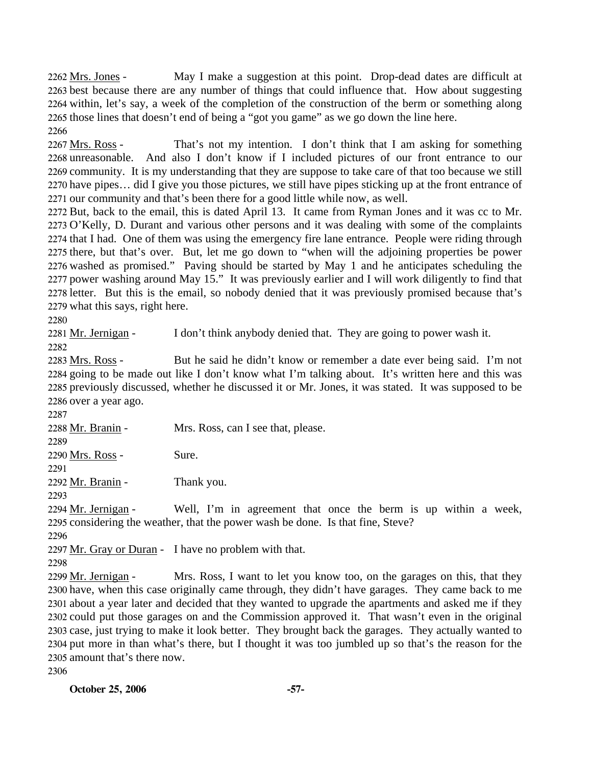May I make a suggestion at this point. Drop-dead dates are difficult at 2263 best because there are any number of things that could influence that. How about suggesting 2264 within, let's say, a week of the completion of the construction of the berm or something along 2265 those lines that doesn't end of being a "got you game" as we go down the line here. 2262 Mrs. Jones -2266

That's not my intention. I don't think that I am asking for something 2268 unreasonable. And also I don't know if I included pictures of our front entrance to our 2269 community. It is my understanding that they are suppose to take care of that too because we still 2270 have pipes... did I give you those pictures, we still have pipes sticking up at the front entrance of 2271 our community and that's been there for a good little while now, as well. 2267 Mrs. Ross -

 But, back to the email, this is dated April 13. It came from Ryman Jones and it was cc to Mr. O'Kelly, D. Durant and various other persons and it was dealing with some of the complaints that I had. One of them was using the emergency fire lane entrance. People were riding through there, but that's over. But, let me go down to "when will the adjoining properties be power washed as promised." Paving should be started by May 1 and he anticipates scheduling the power washing around May 15." It was previously earlier and I will work diligently to find that letter. But this is the email, so nobody denied that it was previously promised because that's what this says, right here.

2280

2281 Mr. Jernigan - I don't think anybody denied that. They are going to power wash it.

2282

But he said he didn't know or remember a date ever being said. I'm not 2284 going to be made out like I don't know what I'm talking about. It's written here and this was 2285 previously discussed, whether he discussed it or Mr. Jones, it was stated. It was supposed to be 2286 over a year ago. 2283 Mrs. Ross -

2287

2288 Mr. Branin - Mrs. Ross, can I see that, please. 2289

2290 Mrs. Ross - Sure.

2291

2292 Mr. Branin - Thank you.

2293

Well, I'm in agreement that once the berm is up within a week, 2295 considering the weather, that the power wash be done. Is that fine, Steve? 2294 Mr. Jernigan -

2296

2297 Mr. Gray or Duran - I have no problem with that.

2298

Mrs. Ross, I want to let you know too, on the garages on this, that they 2300 have, when this case originally came through, they didn't have garages. They came back to me 2301 about a year later and decided that they wanted to upgrade the apartments and asked me if they 2302 could put those garages on and the Commission approved it. That wasn't even in the original 2303 case, just trying to make it look better. They brought back the garages. They actually wanted to 2304 put more in than what's there, but I thought it was too jumbled up so that's the reason for the 2305 amount that's there now. 2299 Mr. Jernigan -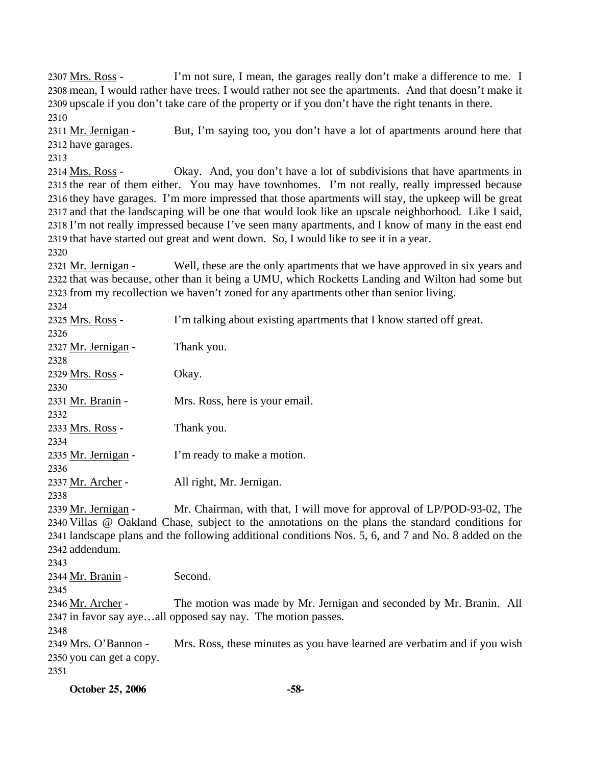I'm not sure, I mean, the garages really don't make a difference to me. I 2308 mean, I would rather have trees. I would rather not see the apartments. And that doesn't make it 2309 upscale if you don't take care of the property or if you don't have the right tenants in there. 2307 Mrs. Ross -2310

But, I'm saying too, you don't have a lot of apartments around here that 2312 have garages. 2311 Mr. Jernigan -

2313

Okay. And, you don't have a lot of subdivisions that have apartments in 2315 the rear of them either. You may have townhomes. I'm not really, really impressed because 2316 they have garages. I'm more impressed that those apartments will stay, the upkeep will be great 2317 and that the landscaping will be one that would look like an upscale neighborhood. Like I said, 2318 I'm not really impressed because I've seen many apartments, and I know of many in the east end 2319 that have started out great and went down. So, I would like to see it in a year. 2314 Mrs. Ross -

2320

Well, these are the only apartments that we have approved in six years and 2322 that was because, other than it being a UMU, which Rocketts Landing and Wilton had some but 2323 from my recollection we haven't zoned for any apartments other than senior living. 2321 Mr. Jernigan -

| 2325 Mrs. Ross -         | I'm talking about existing apartments that I know started off great.                                 |
|--------------------------|------------------------------------------------------------------------------------------------------|
| 2326                     |                                                                                                      |
| 2327 Mr. Jernigan -      | Thank you.                                                                                           |
| 2328                     |                                                                                                      |
| 2329 Mrs. Ross -         | Okay.                                                                                                |
| 2330                     |                                                                                                      |
| 2331 Mr. Branin -        | Mrs. Ross, here is your email.                                                                       |
| 2332                     |                                                                                                      |
| 2333 Mrs. Ross -         | Thank you.                                                                                           |
| 2334                     |                                                                                                      |
| 2335 Mr. Jernigan -      | I'm ready to make a motion.                                                                          |
| 2336                     |                                                                                                      |
| 2337 Mr. Archer -        | All right, Mr. Jernigan.                                                                             |
| 2338                     |                                                                                                      |
| 2339 Mr. Jernigan -      | Mr. Chairman, with that, I will move for approval of LP/POD-93-02, The                               |
|                          | 2340 Villas @ Oakland Chase, subject to the annotations on the plans the standard conditions for     |
|                          | 2341 landscape plans and the following additional conditions Nos. 5, 6, and 7 and No. 8 added on the |
| 2342 addendum.           |                                                                                                      |
| 2343                     |                                                                                                      |
| 2344 Mr. Branin -        | Second.                                                                                              |
| 2345                     |                                                                                                      |
| 2346 Mr. Archer -        | The motion was made by Mr. Jernigan and seconded by Mr. Branin. All                                  |
|                          | 2347 in favor say ayeall opposed say nay. The motion passes.                                         |
| 2348                     |                                                                                                      |
| 2349 Mrs. O'Bannon -     | Mrs. Ross, these minutes as you have learned are verbatim and if you wish                            |
| 2350 you can get a copy. |                                                                                                      |
| 2351                     |                                                                                                      |
| <b>October 25, 2006</b>  | $-58-$                                                                                               |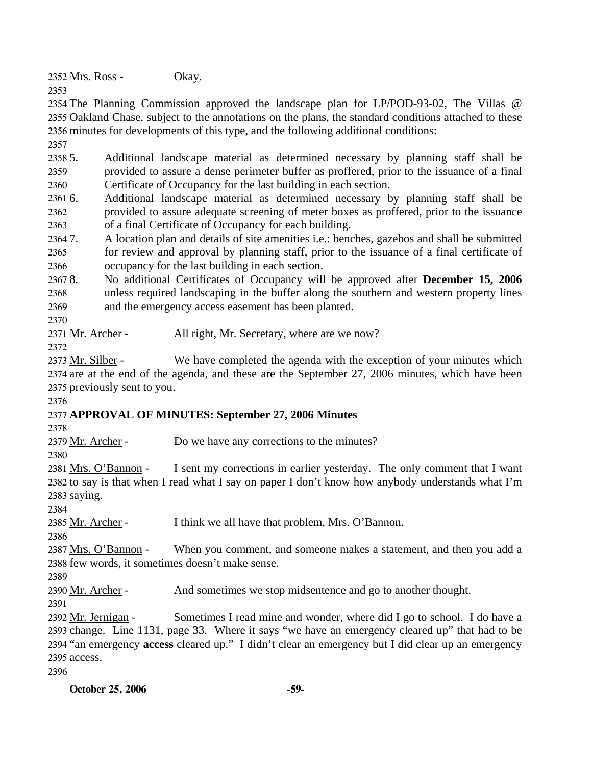2352 Mrs. Ross - Okay.

2353

2354 The Planning Commission approved the landscape plan for LP/POD-93-02, The Villas @ 2355 Oakland Chase, subject to the annotations on the plans, the standard conditions attached to these 2356 minutes for developments of this type, and the following additional conditions:

2357

2358 5. 2359 2360 5. Additional landscape material as determined necessary by planning staff shall be provided to assure a dense perimeter buffer as proffered, prior to the issuance of a final Certificate of Occupancy for the last building in each section.

 $23616.$ 2362 2363 6. Additional landscape material as determined necessary by planning staff shall be provided to assure adequate screening of meter boxes as proffered, prior to the issuance of a final Certificate of Occupancy for each building.

23647. 2365 2366 7. A location plan and details of site amenities i.e.: benches, gazebos and shall be submitted for review and approval by planning staff, prior to the issuance of a final certificate of occupancy for the last building in each section.

2367 8. 2368 2369 8. No additional Certificates of Occupancy will be approved after **December 15, 2006** unless required landscaping in the buffer along the southern and western property lines and the emergency access easement has been planted.

2370

2371 Mr. Archer - All right, Mr. Secretary, where are we now?

2372

We have completed the agenda with the exception of your minutes which 2374 are at the end of the agenda, and these are the September 27, 2006 minutes, which have been 2375 previously sent to you. 2373 Mr. Silber -

2376

# 2377 **APPROVAL OF MINUTES: September 27, 2006 Minutes**

2378

2379 Mr. Archer - Do we have any corrections to the minutes?

2380

I sent my corrections in earlier yesterday. The only comment that I want 2382 to say is that when I read what I say on paper I don't know how anybody understands what I'm 2383 saying. 2381 Mrs. O'Bannon -

2384

2385 Mr. Archer - I think we all have that problem, Mrs. O'Bannon.

2386

When you comment, and someone makes a statement, and then you add a 2388 few words, it sometimes doesn't make sense. 2387 Mrs. O'Bannon -

2389

2390 Mr. Archer - And sometimes we stop midsentence and go to another thought.

2391

Sometimes I read mine and wonder, where did I go to school. I do have a 2393 change. Line 1131, page 33. Where it says "we have an emergency cleared up" that had to be 2394 "an emergency **access** cleared up." I didn't clear an emergency but I did clear up an emergency 2395 access. 2392 Mr. Jernigan -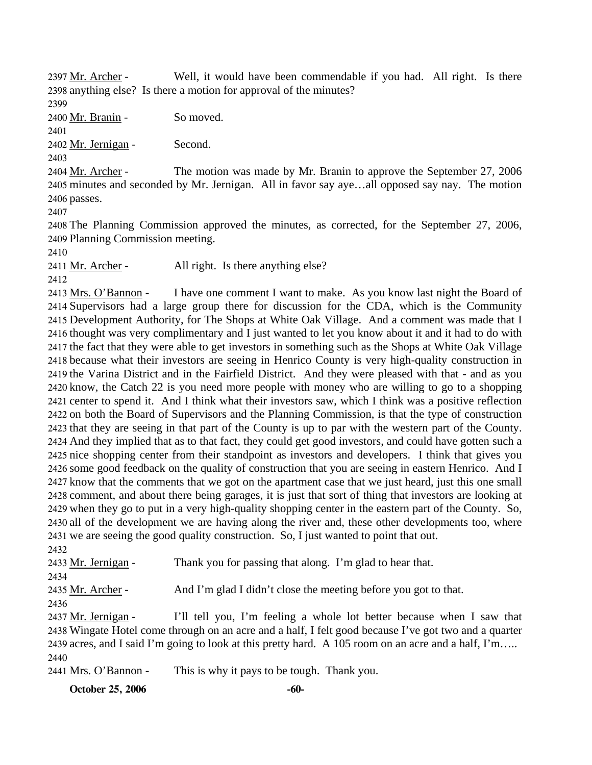Well, it would have been commendable if you had. All right. Is there 2398 anything else? Is there a motion for approval of the minutes? 2397 Mr. Archer -

2399

2400 Mr. Branin - So moved.

2401

2402 Mr. Jernigan - Second.

2403

The motion was made by Mr. Branin to approve the September 27, 2006 2405 minutes and seconded by Mr. Jernigan. All in favor say aye...all opposed say nay. The motion 2406 passes. 2404 Mr. Archer -

2407

2408 The Planning Commission approved the minutes, as corrected, for the September 27, 2006, 2409 Planning Commission meeting.

2410

2411 Mr. Archer - All right. Is there anything else?

2412

I have one comment I want to make. As you know last night the Board of 2414 Supervisors had a large group there for discussion for the CDA, which is the Community 2415 Development Authority, for The Shops at White Oak Village. And a comment was made that I 2416 thought was very complimentary and I just wanted to let you know about it and it had to do with 2417 the fact that they were able to get investors in something such as the Shops at White Oak Village 2418 because what their investors are seeing in Henrico County is very high-quality construction in 2419 the Varina District and in the Fairfield District. And they were pleased with that - and as you 2420 know, the Catch 22 is you need more people with money who are willing to go to a shopping 2421 center to spend it. And I think what their investors saw, which I think was a positive reflection 2422 on both the Board of Supervisors and the Planning Commission, is that the type of construction 2423 that they are seeing in that part of the County is up to par with the western part of the County. 2424 And they implied that as to that fact, they could get good investors, and could have gotten such a 2425 nice shopping center from their standpoint as investors and developers. I think that gives you 2426 some good feedback on the quality of construction that you are seeing in eastern Henrico. And I 2427 know that the comments that we got on the apartment case that we just heard, just this one small 2428 comment, and about there being garages, it is just that sort of thing that investors are looking at 2429 when they go to put in a very high-quality shopping center in the eastern part of the County. So, 2430 all of the development we are having along the river and, these other developments too, where 2431 we are seeing the good quality construction. So, I just wanted to point that out. 2413 Mrs. O'Bannon -

2432

2433 Mr. Jernigan - Thank you for passing that along. I'm glad to hear that. 2434 2435 Mr. Archer - And I'm glad I didn't close the meeting before you got to that. 2436 I'll tell you, I'm feeling a whole lot better because when I saw that 2438 Wingate Hotel come through on an acre and a half, I felt good because I've got two and a quarter 2437 Mr. Jernigan -

2439 acres, and I said I'm going to look at this pretty hard. A 105 room on an acre and a half, I'm….. 2440

2441 Mrs. O'Bannon - This is why it pays to be tough. Thank you.

**October 25, 2006** -60-